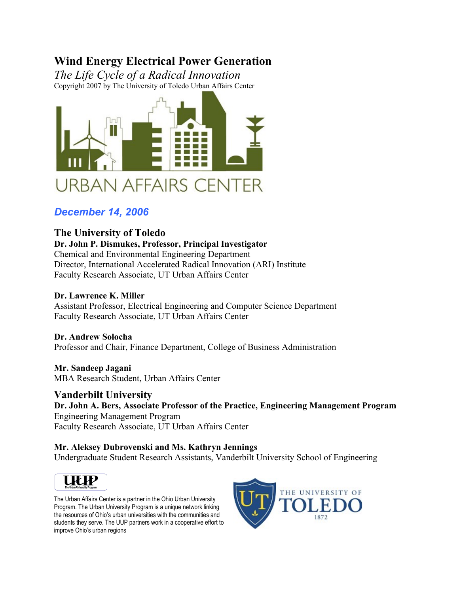# **Wind Energy Electrical Power Generation**

*The Life Cycle of a Radical Innovation* Copyright 2007 by The University of Toledo Urban Affairs Center



# *December 14, 2006*

# **The University of Toledo**

# **Dr. John P. Dismukes, Professor, Principal Investigator**

Chemical and Environmental Engineering Department Director, International Accelerated Radical Innovation (ARI) Institute Faculty Research Associate, UT Urban Affairs Center

## **Dr. Lawrence K. Miller**

Assistant Professor, Electrical Engineering and Computer Science Department Faculty Research Associate, UT Urban Affairs Center

## **Dr. Andrew Solocha** Professor and Chair, Finance Department, College of Business Administration

**Mr. Sandeep Jagani** MBA Research Student, Urban Affairs Center

## **Vanderbilt University Dr. John A. Bers, Associate Professor of the Practice, Engineering Management Program** Engineering Management Program Faculty Research Associate, UT Urban Affairs Center

# **Mr. Aleksey Dubrovenski and Ms. Kathryn Jennings**

Undergraduate Student Research Assistants, Vanderbilt University School of Engineering



The Urban Affairs Center is a partner in the Ohio Urban University Program. The Urban University Program is a unique network linking the resources of Ohio's urban universities with the communities and students they serve. The UUP partners work in a cooperative effort to improve Ohio's urban regions

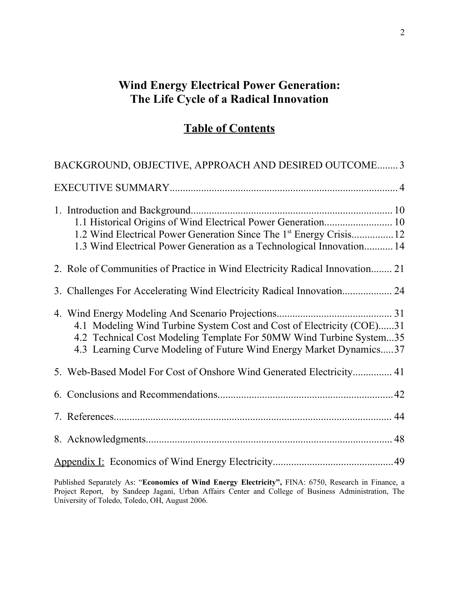# **Wind Energy Electrical Power Generation: The Life Cycle of a Radical Innovation**

# **Table of Contents**

| BACKGROUND, OBJECTIVE, APPROACH AND DESIRED OUTCOME 3                                                                                                                                                               |  |
|---------------------------------------------------------------------------------------------------------------------------------------------------------------------------------------------------------------------|--|
|                                                                                                                                                                                                                     |  |
| 1.2 Wind Electrical Power Generation Since The 1 <sup>st</sup> Energy Crisis12<br>1.3 Wind Electrical Power Generation as a Technological Innovation 14                                                             |  |
| 2. Role of Communities of Practice in Wind Electricity Radical Innovation 21                                                                                                                                        |  |
|                                                                                                                                                                                                                     |  |
| 4.1 Modeling Wind Turbine System Cost and Cost of Electricity (COE)31<br>4.2 Technical Cost Modeling Template For 50MW Wind Turbine System35<br>4.3 Learning Curve Modeling of Future Wind Energy Market Dynamics37 |  |
| 5. Web-Based Model For Cost of Onshore Wind Generated Electricity 41                                                                                                                                                |  |
|                                                                                                                                                                                                                     |  |
|                                                                                                                                                                                                                     |  |
|                                                                                                                                                                                                                     |  |
|                                                                                                                                                                                                                     |  |
|                                                                                                                                                                                                                     |  |

Published Separately As: "**Economics of Wind Energy Electricity",** FINA: 6750, Research in Finance, a Project Report, by Sandeep Jagani, Urban Affairs Center and College of Business Administration, The University of Toledo, Toledo, OH, August 2006.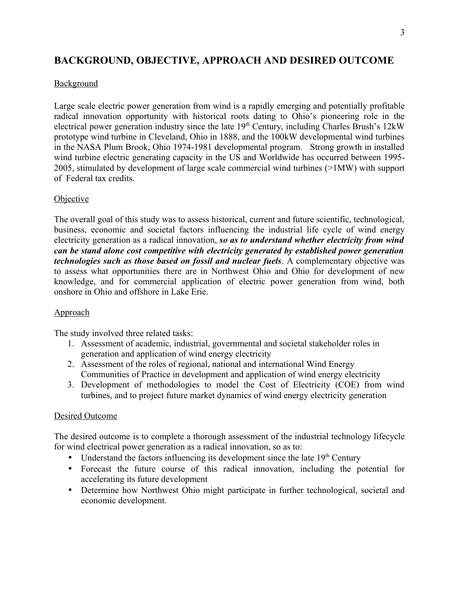# **BACKGROUND, OBJECTIVE, APPROACH AND DESIRED OUTCOME**

## **Background**

Large scale electric power generation from wind is a rapidly emerging and potentially profitable radical innovation opportunity with historical roots dating to Ohio's pioneering role in the electrical power generation industry since the late 19<sup>th</sup> Century, including Charles Brush's 12kW prototype wind turbine in Cleveland, Ohio in 1888, and the 100kW developmental wind turbines in the NASA Plum Brook, Ohio 1974-1981 developmental program. Strong growth in installed wind turbine electric generating capacity in the US and Worldwide has occurred between 1995- 2005, stimulated by development of large scale commercial wind turbines (>1MW) with support of Federal tax credits.

## **Objective**

The overall goal of this study was to assess historical, current and future scientific, technological, business, economic and societal factors influencing the industrial life cycle of wind energy electricity generation as a radical innovation, *so as to understand whether electricity from wind can be stand alone cost competitive with electricity generated by established power generation technologies such as those based on fossil and nuclear fuels*. A complementary objective was to assess what opportunities there are in Northwest Ohio and Ohio for development of new knowledge, and for commercial application of electric power generation from wind, both onshore in Ohio and offshore in Lake Erie.

## Approach

The study involved three related tasks:

- 1. Assessment of academic, industrial, governmental and societal stakeholder roles in generation and application of wind energy electricity
- 2. Assessment of the roles of regional, national and international Wind Energy Communities of Practice in development and application of wind energy electricity
- 3. Development of methodologies to model the Cost of Electricity (COE) from wind turbines, and to project future market dynamics of wind energy electricity generation

### Desired Outcome

The desired outcome is to complete a thorough assessment of the industrial technology lifecycle for wind electrical power generation as a radical innovation, so as to:

- Understand the factors influencing its development since the late  $19<sup>th</sup>$  Century
- Forecast the future course of this radical innovation, including the potential for accelerating its future development
- Determine how Northwest Ohio might participate in further technological, societal and economic development.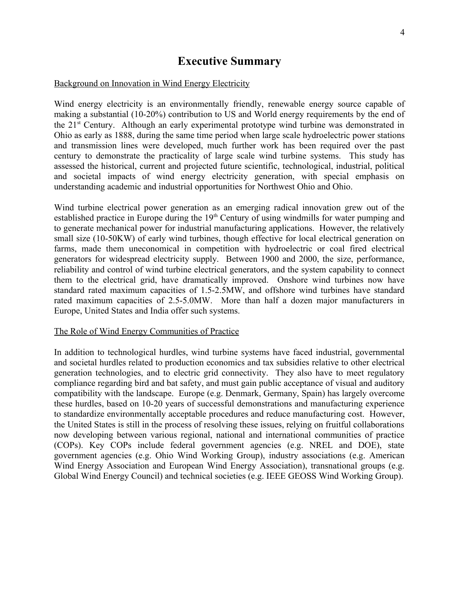# **Executive Summary**

#### Background on Innovation in Wind Energy Electricity

Wind energy electricity is an environmentally friendly, renewable energy source capable of making a substantial (10-20%) contribution to US and World energy requirements by the end of the 21st Century. Although an early experimental prototype wind turbine was demonstrated in Ohio as early as 1888, during the same time period when large scale hydroelectric power stations and transmission lines were developed, much further work has been required over the past century to demonstrate the practicality of large scale wind turbine systems. This study has assessed the historical, current and projected future scientific, technological, industrial, political and societal impacts of wind energy electricity generation, with special emphasis on understanding academic and industrial opportunities for Northwest Ohio and Ohio.

Wind turbine electrical power generation as an emerging radical innovation grew out of the established practice in Europe during the 19<sup>th</sup> Century of using windmills for water pumping and to generate mechanical power for industrial manufacturing applications. However, the relatively small size (10-50KW) of early wind turbines, though effective for local electrical generation on farms, made them uneconomical in competition with hydroelectric or coal fired electrical generators for widespread electricity supply. Between 1900 and 2000, the size, performance, reliability and control of wind turbine electrical generators, and the system capability to connect them to the electrical grid, have dramatically improved. Onshore wind turbines now have standard rated maximum capacities of 1.5-2.5MW, and offshore wind turbines have standard rated maximum capacities of 2.5-5.0MW. More than half a dozen major manufacturers in Europe, United States and India offer such systems.

### The Role of Wind Energy Communities of Practice

In addition to technological hurdles, wind turbine systems have faced industrial, governmental and societal hurdles related to production economics and tax subsidies relative to other electrical generation technologies, and to electric grid connectivity. They also have to meet regulatory compliance regarding bird and bat safety, and must gain public acceptance of visual and auditory compatibility with the landscape. Europe (e.g. Denmark, Germany, Spain) has largely overcome these hurdles, based on 10-20 years of successful demonstrations and manufacturing experience to standardize environmentally acceptable procedures and reduce manufacturing cost. However, the United States is still in the process of resolving these issues, relying on fruitful collaborations now developing between various regional, national and international communities of practice (COPs). Key COPs include federal government agencies (e.g. NREL and DOE), state government agencies (e.g. Ohio Wind Working Group), industry associations (e.g. American Wind Energy Association and European Wind Energy Association), transnational groups (e.g. Global Wind Energy Council) and technical societies (e.g. IEEE GEOSS Wind Working Group).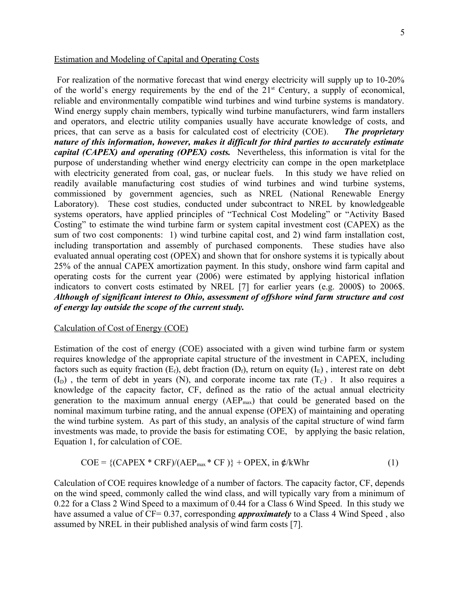### Estimation and Modeling of Capital and Operating Costs

For realization of the normative forecast that wind energy electricity will supply up to 10-20% of the world's energy requirements by the end of the  $21<sup>st</sup>$  Century, a supply of economical, reliable and environmentally compatible wind turbines and wind turbine systems is mandatory. Wind energy supply chain members, typically wind turbine manufacturers, wind farm installers and operators, and electric utility companies usually have accurate knowledge of costs, and prices, that can serve as a basis for calculated cost of electricity (COE). *The proprietary nature of this information, however, makes it difficult for third parties to accurately estimate capital (CAPEX) and operating (OPEX) costs.* Nevertheless, this information is vital for the purpose of understanding whether wind energy electricity can compe in the open marketplace with electricity generated from coal, gas, or nuclear fuels. In this study we have relied on readily available manufacturing cost studies of wind turbines and wind turbine systems, commissioned by government agencies, such as NREL (National Renewable Energy Laboratory). These cost studies, conducted under subcontract to NREL by knowledgeable systems operators, have applied principles of "Technical Cost Modeling" or "Activity Based Costing" to estimate the wind turbine farm or system capital investment cost (CAPEX) as the sum of two cost components: 1) wind turbine capital cost, and 2) wind farm installation cost, including transportation and assembly of purchased components. These studies have also evaluated annual operating cost (OPEX) and shown that for onshore systems it is typically about 25% of the annual CAPEX amortization payment. In this study, onshore wind farm capital and operating costs for the current year (2006) were estimated by applying historical inflation indicators to convert costs estimated by NREL [7] for earlier years (e.g. 2000\$) to 2006\$. *Although of significant interest to Ohio, assessment of offshore wind farm structure and cost of energy lay outside the scope of the current study.* 

#### Calculation of Cost of Energy (COE)

Estimation of the cost of energy (COE) associated with a given wind turbine farm or system requires knowledge of the appropriate capital structure of the investment in CAPEX, including factors such as equity fraction  $(E_f)$ , debt fraction  $(D_f)$ , return on equity  $(I_E)$ , interest rate on debt  $(I_D)$ , the term of debt in years (N), and corporate income tax rate  $(T_C)$ . It also requires a knowledge of the capacity factor, CF, defined as the ratio of the actual annual electricity generation to the maximum annual energy  $(AEP_{max})$  that could be generated based on the nominal maximum turbine rating, and the annual expense (OPEX) of maintaining and operating the wind turbine system. As part of this study, an analysis of the capital structure of wind farm investments was made, to provide the basis for estimating COE, by applying the basic relation, Equation 1, for calculation of COE.

$$
COE = \{ (CAPEX * CRF)/(AEPmax * CF ) \} + OPEX, in \, \phi/kWhr
$$
 (1)

Calculation of COE requires knowledge of a number of factors. The capacity factor, CF, depends on the wind speed, commonly called the wind class, and will typically vary from a minimum of 0.22 for a Class 2 Wind Speed to a maximum of 0.44 for a Class 6 Wind Speed. In this study we have assumed a value of CF= 0.37, corresponding *approximately* to a Class 4 Wind Speed, also assumed by NREL in their published analysis of wind farm costs [7].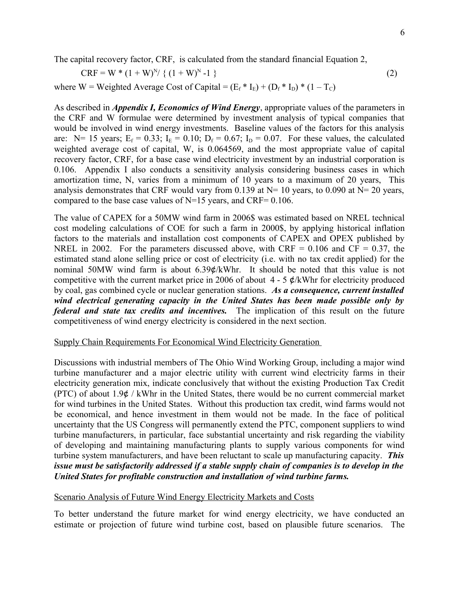The capital recovery factor, CRF, is calculated from the standard financial Equation 2,

$$
CRF = W * (1 + W)^{N} \{ (1 + W)^{N} - 1 \}
$$
 (2)

where W = Weighted Average Cost of Capital =  $(E_f * I_E) + (D_f * I_D) * (1 - T_C)$ 

As described in *Appendix I, Economics of Wind Energy*, appropriate values of the parameters in the CRF and W formulae were determined by investment analysis of typical companies that would be involved in wind energy investments. Baseline values of the factors for this analysis are: N= 15 years;  $E_f = 0.33$ ;  $I_E = 0.10$ ;  $D_f = 0.67$ ;  $I_D = 0.07$ . For these values, the calculated weighted average cost of capital, W, is 0.064569, and the most appropriate value of capital recovery factor, CRF, for a base case wind electricity investment by an industrial corporation is 0.106. Appendix I also conducts a sensitivity analysis considering business cases in which amortization time, N, varies from a minimum of 10 years to a maximum of 20 years, This analysis demonstrates that CRF would vary from 0.139 at  $N=10$  years, to 0.090 at  $N=20$  years, compared to the base case values of  $N=15$  years, and CRF= 0.106.

The value of CAPEX for a 50MW wind farm in 2006\$ was estimated based on NREL technical cost modeling calculations of COE for such a farm in 2000\$, by applying historical inflation factors to the materials and installation cost components of CAPEX and OPEX published by NREL in 2002. For the parameters discussed above, with CRF =  $0.106$  and CF = 0.37, the estimated stand alone selling price or cost of electricity (i.e. with no tax credit applied) for the nominal 50MW wind farm is about 6.39¢/kWhr. It should be noted that this value is not competitive with the current market price in 2006 of about  $4 - 5 \notin /kWhr$  for electricity produced by coal, gas combined cycle or nuclear generation stations. *As a consequence, current installed wind electrical generating capacity in the United States has been made possible only by federal and state tax credits and incentives.* The implication of this result on the future competitiveness of wind energy electricity is considered in the next section.

### Supply Chain Requirements For Economical Wind Electricity Generation

Discussions with industrial members of The Ohio Wind Working Group, including a major wind turbine manufacturer and a major electric utility with current wind electricity farms in their electricity generation mix, indicate conclusively that without the existing Production Tax Credit (PTC) of about 1.9¢ / kWhr in the United States, there would be no current commercial market for wind turbines in the United States. Without this production tax credit, wind farms would not be economical, and hence investment in them would not be made. In the face of political uncertainty that the US Congress will permanently extend the PTC, component suppliers to wind turbine manufacturers, in particular, face substantial uncertainty and risk regarding the viability of developing and maintaining manufacturing plants to supply various components for wind turbine system manufacturers, and have been reluctant to scale up manufacturing capacity. *This issue must be satisfactorily addressed if a stable supply chain of companies is to develop in the United States for profitable construction and installation of wind turbine farms.*

### Scenario Analysis of Future Wind Energy Electricity Markets and Costs

To better understand the future market for wind energy electricity, we have conducted an estimate or projection of future wind turbine cost, based on plausible future scenarios. The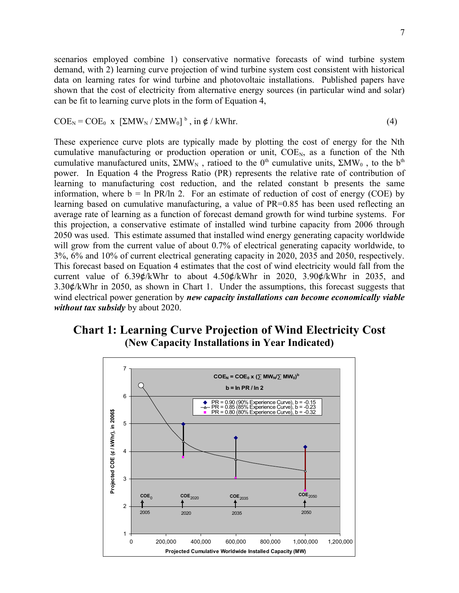scenarios employed combine 1) conservative normative forecasts of wind turbine system demand, with 2) learning curve projection of wind turbine system cost consistent with historical data on learning rates for wind turbine and photovoltaic installations. Published papers have shown that the cost of electricity from alternative energy sources (in particular wind and solar) can be fit to learning curve plots in the form of Equation 4,

$$
COE_N = COE_0 \times [\Sigma MW_N / \Sigma MW_0]^{b}, \text{ in } \phi / \text{kWhr.}
$$
 (4)

These experience curve plots are typically made by plotting the cost of energy for the Nth cumulative manufacturing or production operation or unit,  $COE<sub>N</sub>$ , as a function of the Nth cumulative manufactured units,  $\Sigma MW_N$ , ratioed to the 0<sup>th</sup> cumulative units,  $\Sigma MW_0$ , to the b<sup>th</sup> power. In Equation 4 the Progress Ratio (PR) represents the relative rate of contribution of learning to manufacturing cost reduction, and the related constant b presents the same information, where  $b = \ln PR/\ln 2$ . For an estimate of reduction of cost of energy (COE) by learning based on cumulative manufacturing, a value of PR=0.85 has been used reflecting an average rate of learning as a function of forecast demand growth for wind turbine systems. For this projection, a conservative estimate of installed wind turbine capacity from 2006 through 2050 was used. This estimate assumed that installed wind energy generating capacity worldwide will grow from the current value of about 0.7% of electrical generating capacity worldwide, to 3%, 6% and 10% of current electrical generating capacity in 2020, 2035 and 2050, respectively. This forecast based on Equation 4 estimates that the cost of wind electricity would fall from the current value of  $6.39\&/kWhr$  to about  $4.50\&/kWhr$  in  $2020$ ,  $3.90\&/kWhr$  in  $2035$ , and 3.30¢/kWhr in 2050, as shown in Chart 1. Under the assumptions, this forecast suggests that wind electrical power generation by *new capacity installations can become economically viable without tax subsidy* by about 2020.

# **Chart 1: Learning Curve Projection of Wind Electricity Cost (New Capacity Installations in Year Indicated)**

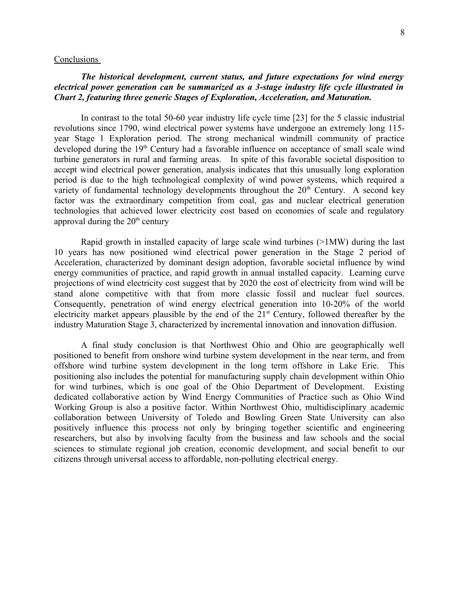#### Conclusions

### *The historical development, current status, and future expectations for wind energy electrical power generation can be summarized as a 3-stage industry life cycle illustrated in Chart 2, featuring three generic Stages of Exploration, Acceleration, and Maturation.*

In contrast to the total 50-60 year industry life cycle time [23] for the 5 classic industrial revolutions since 1790, wind electrical power systems have undergone an extremely long 115 year Stage 1 Exploration period. The strong mechanical windmill community of practice developed during the 19<sup>th</sup> Century had a favorable influence on acceptance of small scale wind turbine generators in rural and farming areas. In spite of this favorable societal disposition to accept wind electrical power generation, analysis indicates that this unusually long exploration period is due to the high technological complexity of wind power systems, which required a variety of fundamental technology developments throughout the  $20<sup>th</sup>$  Century. A second key factor was the extraordinary competition from coal, gas and nuclear electrical generation technologies that achieved lower electricity cost based on economies of scale and regulatory approval during the  $20<sup>th</sup>$  century

Rapid growth in installed capacity of large scale wind turbines (>1MW) during the last 10 years has now positioned wind electrical power generation in the Stage 2 period of Acceleration, characterized by dominant design adoption, favorable societal influence by wind energy communities of practice, and rapid growth in annual installed capacity. Learning curve projections of wind electricity cost suggest that by 2020 the cost of electricity from wind will be stand alone competitive with that from more classic fossil and nuclear fuel sources. Consequently, penetration of wind energy electrical generation into 10-20% of the world electricity market appears plausible by the end of the  $21<sup>st</sup>$  Century, followed thereafter by the industry Maturation Stage 3, characterized by incremental innovation and innovation diffusion.

A final study conclusion is that Northwest Ohio and Ohio are geographically well positioned to benefit from onshore wind turbine system development in the near term, and from offshore wind turbine system development in the long term offshore in Lake Erie. This positioning also includes the potential for manufacturing supply chain development within Ohio for wind turbines, which is one goal of the Ohio Department of Development. Existing dedicated collaborative action by Wind Energy Communities of Practice such as Ohio Wind Working Group is also a positive factor. Within Northwest Ohio, multidisciplinary academic collaboration between University of Toledo and Bowling Green State University can also positively influence this process not only by bringing together scientific and engineering researchers, but also by involving faculty from the business and law schools and the social sciences to stimulate regional job creation, economic development, and social benefit to our citizens through universal access to affordable, non-polluting electrical energy.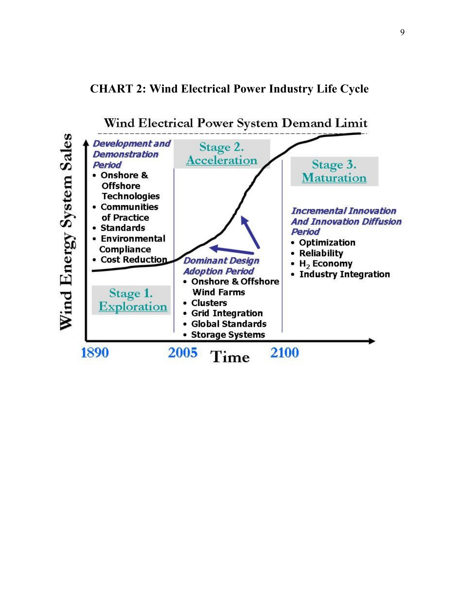# **CHART 2: Wind Electrical Power Industry Life Cycle**

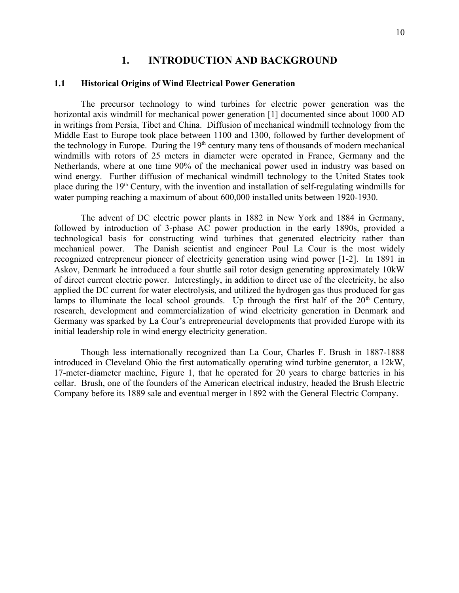## **1. INTRODUCTION AND BACKGROUND**

### **1.1 Historical Origins of Wind Electrical Power Generation**

The precursor technology to wind turbines for electric power generation was the horizontal axis windmill for mechanical power generation [1] documented since about 1000 AD in writings from Persia, Tibet and China. Diffusion of mechanical windmill technology from the Middle East to Europe took place between 1100 and 1300, followed by further development of the technology in Europe. During the  $19<sup>th</sup>$  century many tens of thousands of modern mechanical windmills with rotors of 25 meters in diameter were operated in France, Germany and the Netherlands, where at one time 90% of the mechanical power used in industry was based on wind energy. Further diffusion of mechanical windmill technology to the United States took place during the  $19<sup>th</sup>$  Century, with the invention and installation of self-regulating windmills for water pumping reaching a maximum of about 600,000 installed units between 1920-1930.

The advent of DC electric power plants in 1882 in New York and 1884 in Germany, followed by introduction of 3-phase AC power production in the early 1890s, provided a technological basis for constructing wind turbines that generated electricity rather than mechanical power. The Danish scientist and engineer Poul La Cour is the most widely recognized entrepreneur pioneer of electricity generation using wind power [1-2]. In 1891 in Askov, Denmark he introduced a four shuttle sail rotor design generating approximately 10kW of direct current electric power. Interestingly, in addition to direct use of the electricity, he also applied the DC current for water electrolysis, and utilized the hydrogen gas thus produced for gas lamps to illuminate the local school grounds. Up through the first half of the  $20<sup>th</sup>$  Century, research, development and commercialization of wind electricity generation in Denmark and Germany was sparked by La Cour's entrepreneurial developments that provided Europe with its initial leadership role in wind energy electricity generation.

Though less internationally recognized than La Cour, Charles F. Brush in 1887-1888 introduced in Cleveland Ohio the first automatically operating wind turbine generator, a 12kW, 17-meter-diameter machine, Figure 1, that he operated for 20 years to charge batteries in his cellar. Brush, one of the founders of the American electrical industry, headed the Brush Electric Company before its 1889 sale and eventual merger in 1892 with the General Electric Company.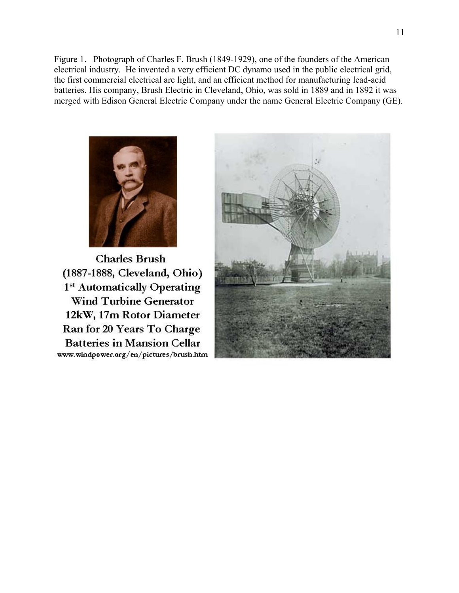Figure 1. Photograph of Charles F. Brush (1849-1929), one of the founders of the American electrical industry. He invented a very efficient DC dynamo used in the public electrical grid, the first commercial electrical arc light, and an efficient method for manufacturing lead-acid batteries. His company, Brush Electric in Cleveland, Ohio, was sold in 1889 and in 1892 it was merged with Edison General Electric Company under the name General Electric Company (GE).



**Charles Brush** (1887-1888, Cleveland, Ohio) 1st Automatically Operating **Wind Turbine Generator** 12kW, 17m Rotor Diameter Ran for 20 Years To Charge **Batteries in Mansion Cellar** www.windpower.org/en/pictures/brush.htm

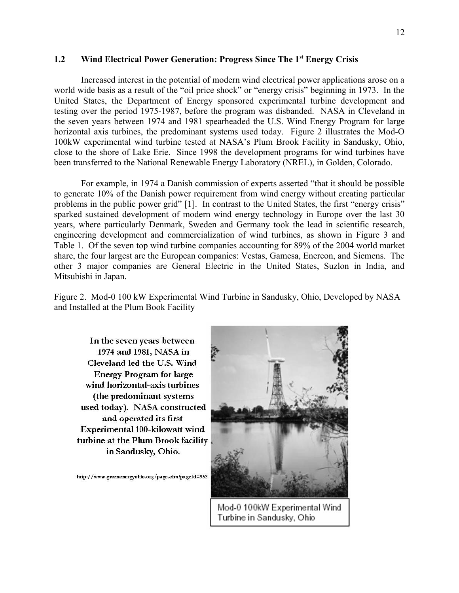### **1.2 Wind Electrical Power Generation: Progress Since The 1st Energy Crisis**

Increased interest in the potential of modern wind electrical power applications arose on a world wide basis as a result of the "oil price shock" or "energy crisis" beginning in 1973. In the United States, the Department of Energy sponsored experimental turbine development and testing over the period 1975-1987, before the program was disbanded. NASA in Cleveland in the seven years between 1974 and 1981 spearheaded the U.S. Wind Energy Program for large horizontal axis turbines, the predominant systems used today. Figure 2 illustrates the Mod-O 100kW experimental wind turbine tested at NASA's Plum Brook Facility in Sandusky, Ohio, close to the shore of Lake Erie. Since 1998 the development programs for wind turbines have been transferred to the National Renewable Energy Laboratory (NREL), in Golden, Colorado.

For example, in 1974 a Danish commission of experts asserted "that it should be possible to generate 10% of the Danish power requirement from wind energy without creating particular problems in the public power grid" [1]. In contrast to the United States, the first "energy crisis" sparked sustained development of modern wind energy technology in Europe over the last 30 years, where particularly Denmark, Sweden and Germany took the lead in scientific research, engineering development and commercialization of wind turbines, as shown in Figure 3 and Table 1. Of the seven top wind turbine companies accounting for 89% of the 2004 world market share, the four largest are the European companies: Vestas, Gamesa, Enercon, and Siemens. The other 3 major companies are General Electric in the United States, Suzlon in India, and Mitsubishi in Japan.

Figure 2. Mod-0 100 kW Experimental Wind Turbine in Sandusky, Ohio, Developed by NASA and Installed at the Plum Book Facility

In the seven years between 1974 and 1981, NASA in Cleveland led the U.S. Wind **Energy Program for large** wind horizontal-axis turbines (the predominant systems used today). NASA constructed and operated its first **Experimental 100-kilowatt wind** turbine at the Plum Brook facility in Sandusky, Ohio.

http://www.greenenergyohio.org/page.cfm?pageId=952



Mod-0 100kW Experimental Wind Turbine in Sandusky, Ohio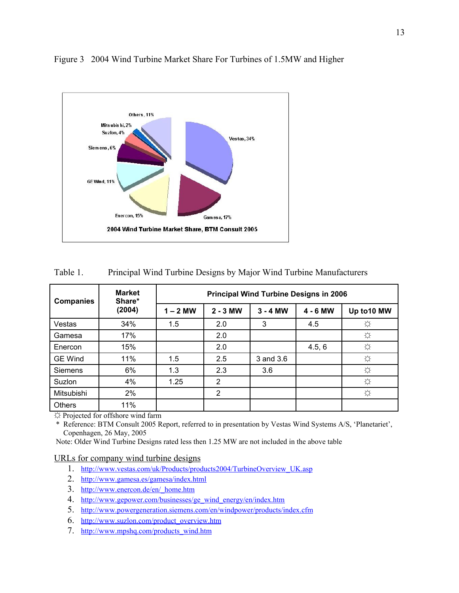

### Figure 3 2004 Wind Turbine Market Share For Turbines of 1.5MW and Higher

| Table 1. | Principal Wind Turbine Designs by Major Wind Turbine Manufacturers |  |  |
|----------|--------------------------------------------------------------------|--|--|
|          |                                                                    |  |  |

| <b>Companies</b> | <b>Market</b><br>Share* | <b>Principal Wind Turbine Designs in 2006</b> |                |            |        |             |  |  |
|------------------|-------------------------|-----------------------------------------------|----------------|------------|--------|-------------|--|--|
|                  | (2004)                  | $1 - 2$ MW                                    | $2 - 3$ MW     | $3 - 4$ MW |        | Up to 10 MW |  |  |
| Vestas           | 34%                     | 1.5                                           | 2.0            | 3          | 4.5    | ☆           |  |  |
| Gamesa           | 17%                     |                                               | 2.0            |            |        | ☆           |  |  |
| Enercon          | 15%                     |                                               | 2.0            |            | 4.5, 6 | ☆           |  |  |
| <b>GE Wind</b>   | 11%                     | 1.5                                           | 2.5            | 3 and 3.6  |        | ☆           |  |  |
| <b>Siemens</b>   | 6%                      | 1.3                                           | 2.3            | 3.6        |        | ☆           |  |  |
| Suzlon           | 4%                      | 1.25                                          | 2              |            |        | ☆           |  |  |
| Mitsubishi       | 2%                      |                                               | $\overline{2}$ |            |        | ☆           |  |  |
| <b>Others</b>    | 11%                     |                                               |                |            |        |             |  |  |

☼ Projected for offshore wind farm

 \* Reference: BTM Consult 2005 Report, referred to in presentation by Vestas Wind Systems A/S, 'Planetariet', Copenhagen, 26 May, 2005

Note: Older Wind Turbine Designs rated less then 1.25 MW are not included in the above table

#### URLs for company wind turbine designs

- 1. [http://www.vestas.com/uk/Products/products2004/TurbineOverview\\_UK.asp](http://www.vestas.com/uk/Products/products2004/TurbineOverview_UK.asp)
- 2.<http://www.gamesa.es/gamesa/index.html>
- 3. [http://www.enercon.de/en/\\_home.htm](http://www.enercon.de/en/_home.htm)
- 4. [http://www.gepower.com/businesses/ge\\_wind\\_energy/en/index.htm](http://www.gepower.com/businesses/ge_wind_energy/en/index.htm)
- 5.<http://www.powergeneration.siemens.com/en/windpower/products/index.cfm>
- 6. [http://www.suzlon.com/product\\_overview.htm](http://www.suzlon.com/product_overview.htm)
- 7. [http://www.mpshq.com/products\\_wind.htm](http://www.mpshq.com/products_wind.htm)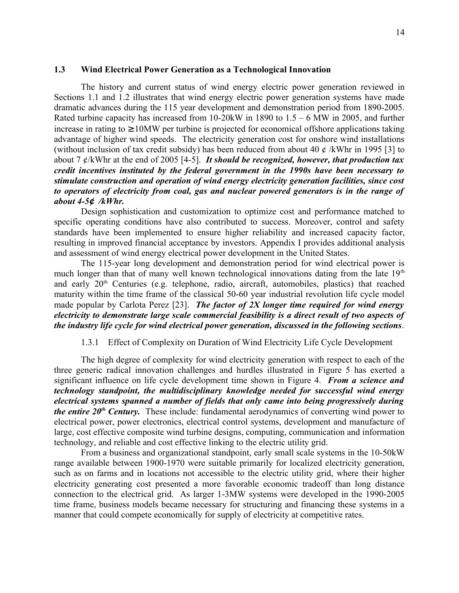#### **1.3 Wind Electrical Power Generation as a Technological Innovation**

The history and current status of wind energy electric power generation reviewed in Sections 1.1 and 1.2 illustrates that wind energy electric power generation systems have made dramatic advances during the 115 year development and demonstration period from 1890-2005. Rated turbine capacity has increased from  $10-20$ kW in  $1890$  to  $1.5 - 6$  MW in  $2005$ , and further increase in rating to  $\geq 10$ MW per turbine is projected for economical offshore applications taking advantage of higher wind speeds. The electricity generation cost for onshore wind installations (without inclusion of tax credit subsidy) has been reduced from about 40  $\ell$  /kWhr in 1995 [3] to about 7 ¢/kWhr at the end of 2005 [4-5]. *It should be recognized, however, that production tax credit incentives instituted by the federal government in the 1990s have been necessary to stimulate construction and operation of wind energy electricity generation facilities, since cost to operators of electricity from coal, gas and nuclear powered generators is in the range of about 4-5¢ /kWhr.* 

Design sophistication and customization to optimize cost and performance matched to specific operating conditions have also contributed to success. Moreover, control and safety standards have been implemented to ensure higher reliability and increased capacity factor, resulting in improved financial acceptance by investors. Appendix I provides additional analysis and assessment of wind energy electrical power development in the United States.

The 115-year long development and demonstration period for wind electrical power is much longer than that of many well known technological innovations dating from the late  $19<sup>th</sup>$ and early 20th Centuries (e.g. telephone, radio, aircraft, automobiles, plastics) that reached maturity within the time frame of the classical 50-60 year industrial revolution life cycle model made popular by Carlota Perez [23]. *The factor of 2X longer time required for wind energy electricity to demonstrate large scale commercial feasibility is a direct result of two aspects of the industry life cycle for wind electrical power generation, discussed in the following sections*.

1.3.1 Effect of Complexity on Duration of Wind Electricity Life Cycle Development

The high degree of complexity for wind electricity generation with respect to each of the three generic radical innovation challenges and hurdles illustrated in Figure 5 has exerted a significant influence on life cycle development time shown in Figure 4. *From a science and technology standpoint, the multidisciplinary knowledge needed for successful wind energy electrical systems spanned a number of fields that only came into being progressively during the entire 20th Century.* These include: fundamental aerodynamics of converting wind power to electrical power, power electronics, electrical control systems, development and manufacture of large, cost effective composite wind turbine designs, computing, communication and information technology, and reliable and cost effective linking to the electric utility grid.

From a business and organizational standpoint, early small scale systems in the 10-50kW range available between 1900-1970 were suitable primarily for localized electricity generation, such as on farms and in locations not accessible to the electric utility grid, where their higher electricity generating cost presented a more favorable economic tradeoff than long distance connection to the electrical grid. As larger 1-3MW systems were developed in the 1990-2005 time frame, business models became necessary for structuring and financing these systems in a manner that could compete economically for supply of electricity at competitive rates.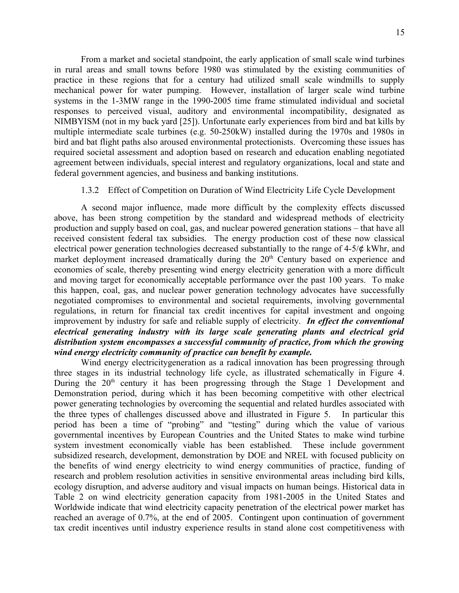From a market and societal standpoint, the early application of small scale wind turbines in rural areas and small towns before 1980 was stimulated by the existing communities of practice in these regions that for a century had utilized small scale windmills to supply mechanical power for water pumping. However, installation of larger scale wind turbine systems in the 1-3MW range in the 1990-2005 time frame stimulated individual and societal responses to perceived visual, auditory and environmental incompatibility, designated as NIMBYISM (not in my back yard [25]). Unfortunate early experiences from bird and bat kills by multiple intermediate scale turbines (e.g. 50-250kW) installed during the 1970s and 1980s in bird and bat flight paths also aroused environmental protectionists. Overcoming these issues has required societal assessment and adoption based on research and education enabling negotiated agreement between individuals, special interest and regulatory organizations, local and state and federal government agencies, and business and banking institutions.

### 1.3.2 Effect of Competition on Duration of Wind Electricity Life Cycle Development

A second major influence, made more difficult by the complexity effects discussed above, has been strong competition by the standard and widespread methods of electricity production and supply based on coal, gas, and nuclear powered generation stations – that have all received consistent federal tax subsidies. The energy production cost of these now classical electrical power generation technologies decreased substantially to the range of 4-5/¢ kWhr, and market deployment increased dramatically during the 20<sup>th</sup> Century based on experience and economies of scale, thereby presenting wind energy electricity generation with a more difficult and moving target for economically acceptable performance over the past 100 years. To make this happen, coal, gas, and nuclear power generation technology advocates have successfully negotiated compromises to environmental and societal requirements, involving governmental regulations, in return for financial tax credit incentives for capital investment and ongoing improvement by industry for safe and reliable supply of electricity. *In effect the conventional electrical generating industry with its large scale generating plants and electrical grid distribution system encompasses a successful community of practice, from which the growing wind energy electricity community of practice can benefit by example.* 

Wind energy electricitygeneration as a radical innovation has been progressing through three stages in its industrial technology life cycle, as illustrated schematically in Figure 4. During the  $20<sup>th</sup>$  century it has been progressing through the Stage 1 Development and Demonstration period, during which it has been becoming competitive with other electrical power generating technologies by overcoming the sequential and related hurdles associated with the three types of challenges discussed above and illustrated in Figure 5. In particular this period has been a time of "probing" and "testing" during which the value of various governmental incentives by European Countries and the United States to make wind turbine system investment economically viable has been established. These include government subsidized research, development, demonstration by DOE and NREL with focused publicity on the benefits of wind energy electricity to wind energy communities of practice, funding of research and problem resolution activities in sensitive environmental areas including bird kills, ecology disruption, and adverse auditory and visual impacts on human beings. Historical data in Table 2 on wind electricity generation capacity from 1981-2005 in the United States and Worldwide indicate that wind electricity capacity penetration of the electrical power market has reached an average of 0.7%, at the end of 2005. Contingent upon continuation of government tax credit incentives until industry experience results in stand alone cost competitiveness with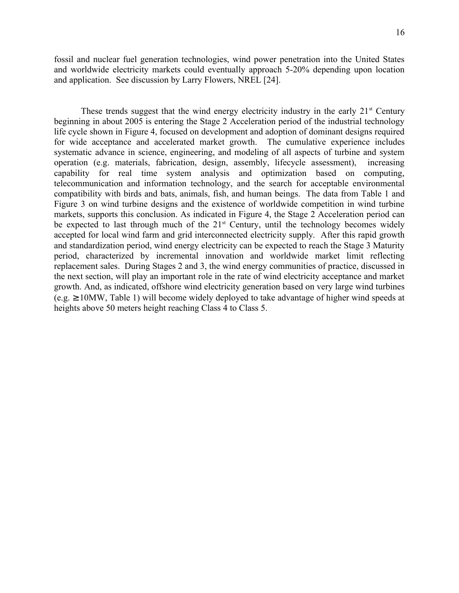fossil and nuclear fuel generation technologies, wind power penetration into the United States and worldwide electricity markets could eventually approach 5-20% depending upon location and application. See discussion by Larry Flowers, NREL [24].

These trends suggest that the wind energy electricity industry in the early  $21<sup>st</sup>$  Century beginning in about 2005 is entering the Stage 2 Acceleration period of the industrial technology life cycle shown in Figure 4, focused on development and adoption of dominant designs required for wide acceptance and accelerated market growth. The cumulative experience includes systematic advance in science, engineering, and modeling of all aspects of turbine and system operation (e.g. materials, fabrication, design, assembly, lifecycle assessment), increasing capability for real time system analysis and optimization based on computing, telecommunication and information technology, and the search for acceptable environmental compatibility with birds and bats, animals, fish, and human beings. The data from Table 1 and Figure 3 on wind turbine designs and the existence of worldwide competition in wind turbine markets, supports this conclusion. As indicated in Figure 4, the Stage 2 Acceleration period can be expected to last through much of the  $21<sup>st</sup>$  Century, until the technology becomes widely accepted for local wind farm and grid interconnected electricity supply. After this rapid growth and standardization period, wind energy electricity can be expected to reach the Stage 3 Maturity period, characterized by incremental innovation and worldwide market limit reflecting replacement sales. During Stages 2 and 3, the wind energy communities of practice, discussed in the next section, will play an important role in the rate of wind electricity acceptance and market growth. And, as indicated, offshore wind electricity generation based on very large wind turbines  $(e.g. \ge 10MW, Table 1)$  will become widely deployed to take advantage of higher wind speeds at heights above 50 meters height reaching Class 4 to Class 5.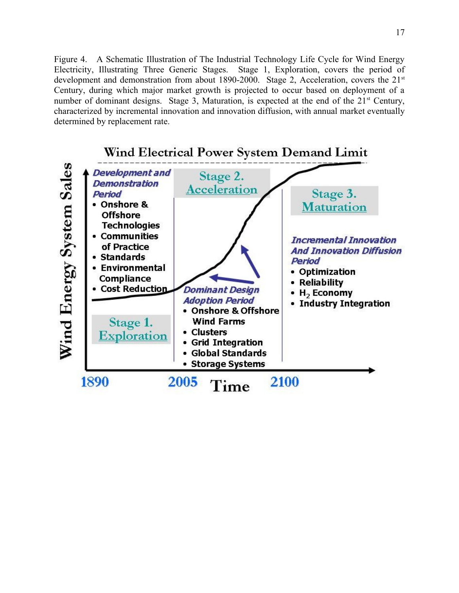Figure 4. A Schematic Illustration of The Industrial Technology Life Cycle for Wind Energy Electricity, Illustrating Three Generic Stages. Stage 1, Exploration, covers the period of development and demonstration from about 1890-2000. Stage 2, Acceleration, covers the  $21<sup>st</sup>$ Century, during which major market growth is projected to occur based on deployment of a number of dominant designs. Stage 3, Maturation, is expected at the end of the 21<sup>st</sup> Century, characterized by incremental innovation and innovation diffusion, with annual market eventually determined by replacement rate.

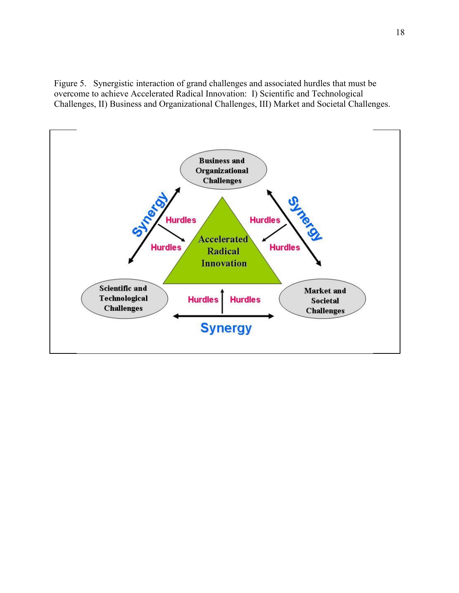Figure 5. Synergistic interaction of grand challenges and associated hurdles that must be overcome to achieve Accelerated Radical Innovation: I) Scientific and Technological Challenges, II) Business and Organizational Challenges, III) Market and Societal Challenges.

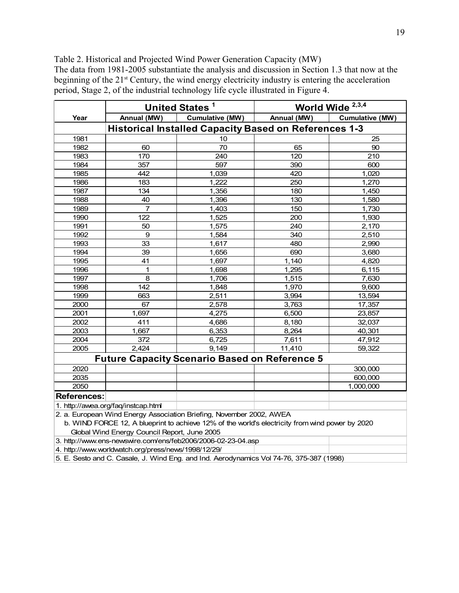Table 2. Historical and Projected Wind Power Generation Capacity (MW) The data from 1981-2005 substantiate the analysis and discussion in Section 1.3 that now at the beginning of the 21<sup>st</sup> Century, the wind energy electricity industry is entering the acceleration period, Stage 2, of the industrial technology life cycle illustrated in Figure 4.

|                                                              |                                                     | United States <sup>1</sup>                                                                                                                                              |             | World Wide <sup>2,3,4</sup> |  |  |  |  |
|--------------------------------------------------------------|-----------------------------------------------------|-------------------------------------------------------------------------------------------------------------------------------------------------------------------------|-------------|-----------------------------|--|--|--|--|
| Year                                                         | Annual (MW)                                         | <b>Cumulative (MW)</b>                                                                                                                                                  | Annual (MW) | <b>Cumulative (MW)</b>      |  |  |  |  |
| <b>Historical Installed Capacity Based on References 1-3</b> |                                                     |                                                                                                                                                                         |             |                             |  |  |  |  |
| 1981                                                         |                                                     | 10                                                                                                                                                                      |             | 25                          |  |  |  |  |
| 1982                                                         | 60                                                  | 70                                                                                                                                                                      | 65          | 90                          |  |  |  |  |
| 1983                                                         | 170                                                 | 240                                                                                                                                                                     | 120         | 210                         |  |  |  |  |
| 1984                                                         | 357                                                 | 597                                                                                                                                                                     | 390         | 600                         |  |  |  |  |
| 1985                                                         | 442                                                 | 1,039                                                                                                                                                                   | 420         | 1,020                       |  |  |  |  |
| 1986                                                         | 183                                                 | 1,222                                                                                                                                                                   | 250         | 1,270                       |  |  |  |  |
| 1987                                                         | 134                                                 | 1,356                                                                                                                                                                   | 180         | 1,450                       |  |  |  |  |
| 1988                                                         | 40                                                  | 1,396                                                                                                                                                                   | 130         | 1,580                       |  |  |  |  |
| 1989                                                         | $\overline{7}$                                      | 1,403                                                                                                                                                                   | 150         | 1,730                       |  |  |  |  |
| 1990                                                         | 122                                                 | 1,525                                                                                                                                                                   | 200         | 1,930                       |  |  |  |  |
| 1991                                                         | 50                                                  | 1,575                                                                                                                                                                   | 240         | 2,170                       |  |  |  |  |
| 1992                                                         | 9                                                   | 1,584                                                                                                                                                                   | 340         | 2,510                       |  |  |  |  |
| 1993                                                         | 33                                                  | 1,617                                                                                                                                                                   | 480         | 2,990                       |  |  |  |  |
| 1994                                                         | 39                                                  | 1,656                                                                                                                                                                   | 690         | 3,680                       |  |  |  |  |
| 1995                                                         | 41                                                  | 1,697                                                                                                                                                                   | 1,140       | 4,820                       |  |  |  |  |
| 1996                                                         | 1                                                   | 1,698                                                                                                                                                                   | 1,295       | 6,115                       |  |  |  |  |
| 1997                                                         | 8                                                   | 1,706                                                                                                                                                                   | 1,515       | 7,630                       |  |  |  |  |
| 1998                                                         | 142                                                 | 1,848                                                                                                                                                                   | 1,970       | 9,600                       |  |  |  |  |
| 1999                                                         | 663                                                 | 2,511                                                                                                                                                                   | 3,994       | 13,594                      |  |  |  |  |
| 2000                                                         | 67                                                  | 2,578                                                                                                                                                                   | 3,763       | 17,357                      |  |  |  |  |
| 2001                                                         | 1,697                                               | 4,275                                                                                                                                                                   | 6,500       | 23,857                      |  |  |  |  |
| 2002                                                         | 411                                                 | 4,686                                                                                                                                                                   | 8,180       | 32,037                      |  |  |  |  |
| 2003                                                         | 1,667                                               | 6,353                                                                                                                                                                   | 8,264       | 40,301                      |  |  |  |  |
| 2004                                                         | 372                                                 | 6,725                                                                                                                                                                   | 7,611       | 47,912                      |  |  |  |  |
| 2005                                                         | 2,424                                               | 9,149                                                                                                                                                                   | 11,410      | 59,322                      |  |  |  |  |
|                                                              |                                                     | <b>Future Capacity Scenario Based on Reference 5</b>                                                                                                                    |             |                             |  |  |  |  |
| 2020                                                         |                                                     |                                                                                                                                                                         |             | 300,000                     |  |  |  |  |
| 2035                                                         |                                                     |                                                                                                                                                                         |             | 600,000                     |  |  |  |  |
| 2050                                                         |                                                     |                                                                                                                                                                         |             | 1,000,000                   |  |  |  |  |
| <b>References:</b>                                           |                                                     |                                                                                                                                                                         |             |                             |  |  |  |  |
|                                                              | 1. http://awea.org/faq/instcap.html                 |                                                                                                                                                                         |             |                             |  |  |  |  |
|                                                              | Global Wind Energy Council Report, June 2005        | 2. a. European Wind Energy Association Briefing, November 2002, AWEA<br>b. WIND FORCE 12, A blueprint to achieve 12% of the world's electricity from wind power by 2020 |             |                             |  |  |  |  |
|                                                              |                                                     | 3. http://www.ens-newswire.com/ens/feb2006/2006-02-23-04.asp                                                                                                            |             |                             |  |  |  |  |
|                                                              | 4. http://www.worldwatch.org/press/news/1998/12/29/ |                                                                                                                                                                         |             |                             |  |  |  |  |
|                                                              |                                                     |                                                                                                                                                                         |             |                             |  |  |  |  |

5. E. Sesto and C. Casale, J. Wind Eng. and Ind. Aerodynamics Vol 74-76, 375-387 (1998)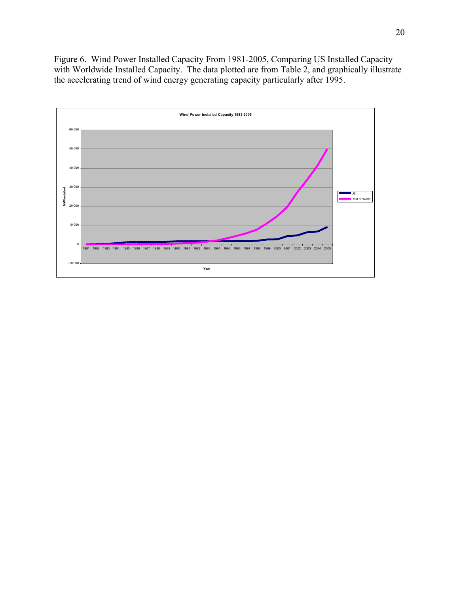Figure 6. Wind Power Installed Capacity From 1981-2005, Comparing US Installed Capacity with Worldwide Installed Capacity. The data plotted are from Table 2, and graphically illustrate the accelerating trend of wind energy generating capacity particularly after 1995.

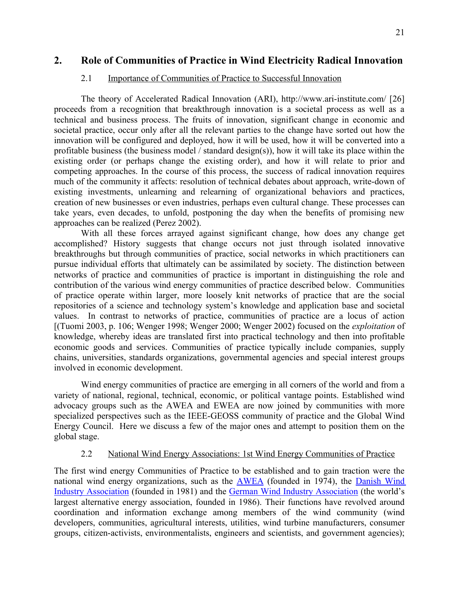# **2. Role of Communities of Practice in Wind Electricity Radical Innovation**

## 2.1 Importance of Communities of Practice to Successful Innovation

The theory of Accelerated Radical Innovation (ARI), http://www.ari-institute.com/ [26] proceeds from a recognition that breakthrough innovation is a societal process as well as a technical and business process. The fruits of innovation, significant change in economic and societal practice, occur only after all the relevant parties to the change have sorted out how the innovation will be configured and deployed, how it will be used, how it will be converted into a profitable business (the business model / standard design(s)), how it will take its place within the existing order (or perhaps change the existing order), and how it will relate to prior and competing approaches. In the course of this process, the success of radical innovation requires much of the community it affects: resolution of technical debates about approach, write-down of existing investments, unlearning and relearning of organizational behaviors and practices, creation of new businesses or even industries, perhaps even cultural change. These processes can take years, even decades, to unfold, postponing the day when the benefits of promising new approaches can be realized (Perez 2002).

With all these forces arrayed against significant change, how does any change get accomplished? History suggests that change occurs not just through isolated innovative breakthroughs but through communities of practice, social networks in which practitioners can pursue individual efforts that ultimately can be assimilated by society. The distinction between networks of practice and communities of practice is important in distinguishing the role and contribution of the various wind energy communities of practice described below. Communities of practice operate within larger, more loosely knit networks of practice that are the social repositories of a science and technology system's knowledge and application base and societal values. In contrast to networks of practice, communities of practice are a locus of action [(Tuomi 2003, p. 106; Wenger 1998; Wenger 2000; Wenger 2002) focused on the *exploitation* of knowledge, whereby ideas are translated first into practical technology and then into profitable economic goods and services. Communities of practice typically include companies, supply chains, universities, standards organizations, governmental agencies and special interest groups involved in economic development.

Wind energy communities of practice are emerging in all corners of the world and from a variety of national, regional, technical, economic, or political vantage points. Established wind advocacy groups such as the AWEA and EWEA are now joined by communities with more specialized perspectives such as the IEEE-GEOSS community of practice and the Global Wind Energy Council. Here we discuss a few of the major ones and attempt to position them on the global stage.

## 2.2 National Wind Energy Associations: 1st Wind Energy Communities of Practice

The first wind energy Communities of Practice to be established and to gain traction were the national wind energy organizations, such as the **[AWEA](http://www.awea.org/aboutawea.html)** (founded in 1974), the **[Danish](http://www.windpower.org/en/about.htm) Wind** Industry [Association](http://www.windpower.org/en/about.htm) (founded in 1981) and the German Wind Industry [Association](http://www.wind-energie.de/en/) (the world's largest alternative energy association, founded in 1986). Their functions have revolved around coordination and information exchange among members of the wind community (wind developers, communities, agricultural interests, utilities, wind turbine manufacturers, consumer groups, citizen-activists, environmentalists, engineers and scientists, and government agencies);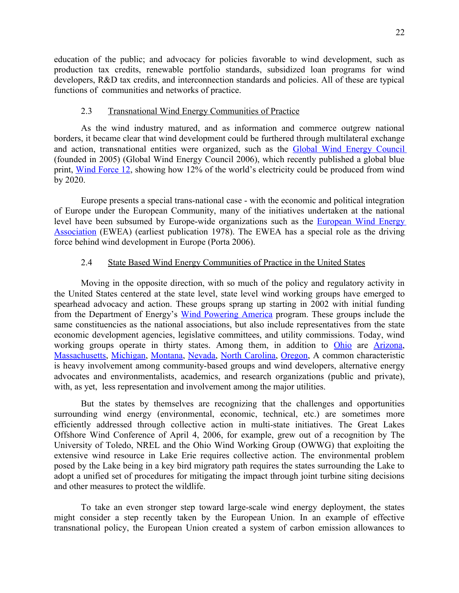education of the public; and advocacy for policies favorable to wind development, such as production tax credits, renewable portfolio standards, subsidized loan programs for wind developers, R&D tax credits, and interconnection standards and policies. All of these are typical functions of communities and networks of practice.

### 2.3 Transnational Wind Energy Communities of Practice

As the wind industry matured, and as information and commerce outgrew national borders, it became clear that wind development could be furthered through multilateral exchange and action, transnational entities were organized, such as the Global Wind Energy [Council](http://www.gwec.net/index.php?id=17) (founded in 2005) (Global Wind Energy Council 2006), which recently published a global blue print, Wind [Force](http://www.greenpeace.org/international/press/reports/windforce-12-2005) 12, showing how 12% of the world's electricity could be produced from wind by 2020.

Europe presents a special trans-national case - with the economic and political integration of Europe under the European Community, many of the initiatives undertaken at the national level have been subsumed by Europe-wide organizations such as the [European](http://www.ewea.org/) Wind Energy [Association](http://www.ewea.org/) (EWEA) (earliest publication 1978). The EWEA has a special role as the driving force behind wind development in Europe (Porta 2006).

## 2.4 State Based Wind Energy Communities of Practice in the United States

Moving in the opposite direction, with so much of the policy and regulatory activity in the United States centered at the state level, state level wind working groups have emerged to spearhead advocacy and action. These groups sprang up starting in 2002 with initial funding from the Department of Energy's Wind [Powering](http://www.eere.energy.gov/windandhydro/windpoweringamerica/) America program. These groups include the same constituencies as the national associations, but also include representatives from the state economic development agencies, legislative committees, and utility commissions. Today, wind working groups operate in thirty states. Among them, in addition to [Ohio](http://www.ohiowind.org/ohiowind/page.cfm) are [Arizona,](http://wind.nau.edu/azwwg/) [Massachusetts,](http://www.ceere.org/rerl/mwwg.html) [Michigan,](http://www.michigan.gov/cis/0,1607,7-154-25676_25774-75767--,00.html) [Montana,](http://www.deq.state.mt.us/energy/Renewable/MtWindWorkGroup.asp) [Nevada,](http://energy.state.nv.us/workgroups/wind/default.htm) North [Carolina,](http://www.wind.appstate.edu/wwg.php) [Oregon,](http://www.oregon.gov/ENERGY/RENEW/Wind/OWWG/OWWG.shtml) A common characteristic is heavy involvement among community-based groups and wind developers, alternative energy advocates and environmentalists, academics, and research organizations (public and private), with, as yet, less representation and involvement among the major utilities.

But the states by themselves are recognizing that the challenges and opportunities surrounding wind energy (environmental, economic, technical, etc.) are sometimes more efficiently addressed through collective action in multi-state initiatives. The Great Lakes Offshore Wind Conference of April 4, 2006, for example, grew out of a recognition by The University of Toledo, NREL and the Ohio Wind Working Group (OWWG) that exploiting the extensive wind resource in Lake Erie requires collective action. The environmental problem posed by the Lake being in a key bird migratory path requires the states surrounding the Lake to adopt a unified set of procedures for mitigating the impact through joint turbine siting decisions and other measures to protect the wildlife.

To take an even stronger step toward large-scale wind energy deployment, the states might consider a step recently taken by the European Union. In an example of effective transnational policy, the European Union created a system of carbon emission allowances to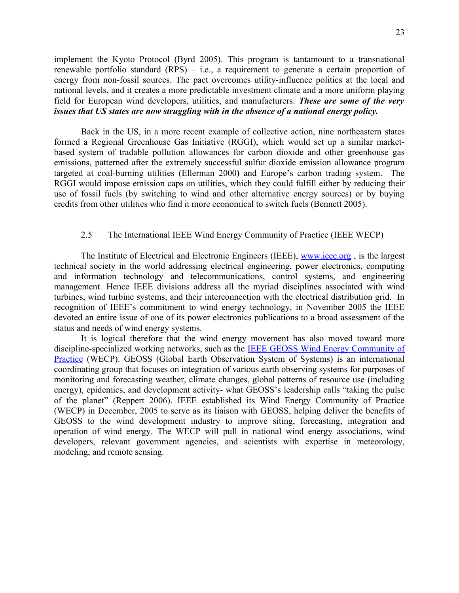implement the Kyoto Protocol (Byrd 2005). This program is tantamount to a transnational renewable portfolio standard (RPS) – i.e., a requirement to generate a certain proportion of energy from non-fossil sources. The pact overcomes utility-influence politics at the local and national levels, and it creates a more predictable investment climate and a more uniform playing field for European wind developers, utilities, and manufacturers. *These are some of the very issues that US states are now struggling with in the absence of a national energy policy.*

Back in the US, in a more recent example of collective action, nine northeastern states formed a Regional Greenhouse Gas Initiative (RGGI), which would set up a similar marketbased system of tradable pollution allowances for carbon dioxide and other greenhouse gas emissions, patterned after the extremely successful sulfur dioxide emission allowance program targeted at coal-burning utilities (Ellerman 2000**)** and Europe's carbon trading system. The RGGI would impose emission caps on utilities, which they could fulfill either by reducing their use of fossil fuels (by switching to wind and other alternative energy sources) or by buying credits from other utilities who find it more economical to switch fuels (Bennett 2005).

### 2.5 The International IEEE Wind Energy Community of Practice (IEEE WECP)

The Institute of Electrical and Electronic Engineers (IEEE), [www.ieee.org](http://www.ieee.org/) , is the largest technical society in the world addressing electrical engineering, power electronics, computing and information technology and telecommunications, control systems, and engineering management. Hence IEEE divisions address all the myriad disciplines associated with wind turbines, wind turbine systems, and their interconnection with the electrical distribution grid. In recognition of IEEE's commitment to wind energy technology, in November 2005 the IEEE devoted an entire issue of one of its power electronics publications to a broad assessment of the status and needs of wind energy systems.

It is logical therefore that the wind energy movement has also moved toward more discipline-specialized working networks, such as the **IEEE GEOSS** Wind Energy [Community](http://www.grss-ieee.org/files/CP_Proposal.pdf) of [Practice](http://www.grss-ieee.org/files/CP_Proposal.pdf) (WECP). GEOSS (Global Earth Observation System of Systems) is an international coordinating group that focuses on integration of various earth observing systems for purposes of monitoring and forecasting weather, climate changes, global patterns of resource use (including energy), epidemics, and development activity- what GEOSS's leadership calls "taking the pulse of the planet" (Reppert 2006). IEEE established its Wind Energy Community of Practice (WECP) in December, 2005 to serve as its liaison with GEOSS, helping deliver the benefits of GEOSS to the wind development industry to improve siting, forecasting, integration and operation of wind energy. The WECP will pull in national wind energy associations, wind developers, relevant government agencies, and scientists with expertise in meteorology, modeling, and remote sensing.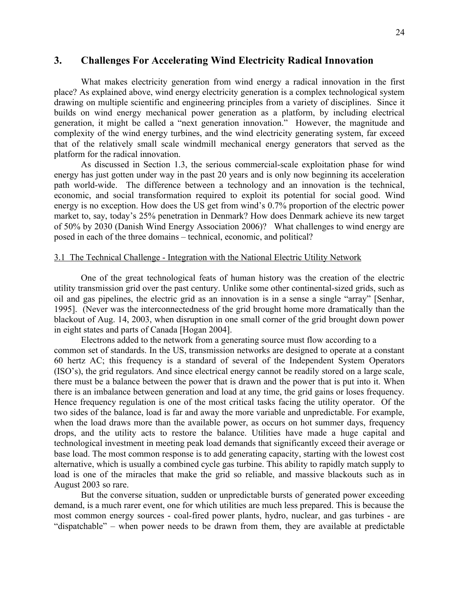## **3. Challenges For Accelerating Wind Electricity Radical Innovation**

What makes electricity generation from wind energy a radical innovation in the first place? As explained above, wind energy electricity generation is a complex technological system drawing on multiple scientific and engineering principles from a variety of disciplines. Since it builds on wind energy mechanical power generation as a platform, by including electrical generation, it might be called a "next generation innovation." However, the magnitude and complexity of the wind energy turbines, and the wind electricity generating system, far exceed that of the relatively small scale windmill mechanical energy generators that served as the platform for the radical innovation.

As discussed in Section 1.3, the serious commercial-scale exploitation phase for wind energy has just gotten under way in the past 20 years and is only now beginning its acceleration path world-wide. The difference between a technology and an innovation is the technical, economic, and social transformation required to exploit its potential for social good. Wind energy is no exception. How does the US get from wind's 0.7% proportion of the electric power market to, say, today's 25% penetration in Denmark? How does Denmark achieve its new target of 50% by 2030 (Danish Wind Energy Association 2006)? What challenges to wind energy are posed in each of the three domains – technical, economic, and political?

### 3.1 The Technical Challenge - Integration with the National Electric Utility Network

One of the great technological feats of human history was the creation of the electric utility transmission grid over the past century. Unlike some other continental-sized grids, such as oil and gas pipelines, the electric grid as an innovation is in a sense a single "array" [Senhar, 1995]. (Never was the interconnectedness of the grid brought home more dramatically than the blackout of Aug. 14, 2003, when disruption in one small corner of the grid brought down power in eight states and parts of Canada [Hogan 2004].

Electrons added to the network from a generating source must flow according to a common set of standards. In the US, transmission networks are designed to operate at a constant 60 hertz AC; this frequency is a standard of several of the Independent System Operators (ISO's), the grid regulators. And since electrical energy cannot be readily stored on a large scale, there must be a balance between the power that is drawn and the power that is put into it. When there is an imbalance between generation and load at any time, the grid gains or loses frequency. Hence frequency regulation is one of the most critical tasks facing the utility operator. Of the two sides of the balance, load is far and away the more variable and unpredictable. For example, when the load draws more than the available power, as occurs on hot summer days, frequency drops, and the utility acts to restore the balance. Utilities have made a huge capital and technological investment in meeting peak load demands that significantly exceed their average or base load. The most common response is to add generating capacity, starting with the lowest cost alternative, which is usually a combined cycle gas turbine. This ability to rapidly match supply to load is one of the miracles that make the grid so reliable, and massive blackouts such as in August 2003 so rare.

But the converse situation, sudden or unpredictable bursts of generated power exceeding demand, is a much rarer event, one for which utilities are much less prepared. This is because the most common energy sources - coal-fired power plants, hydro, nuclear, and gas turbines - are "dispatchable" – when power needs to be drawn from them, they are available at predictable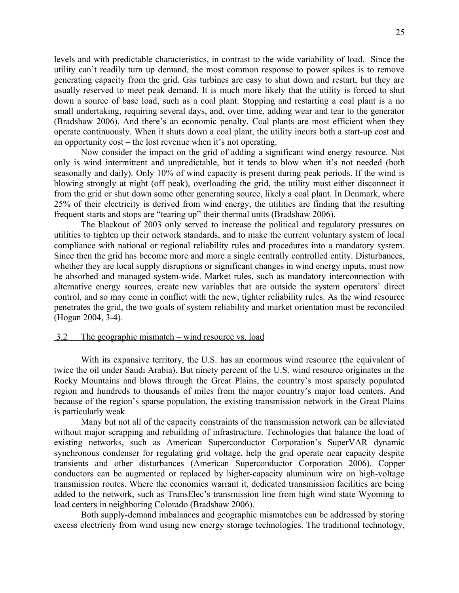levels and with predictable characteristics, in contrast to the wide variability of load. Since the utility can't readily turn up demand, the most common response to power spikes is to remove generating capacity from the grid. Gas turbines are easy to shut down and restart, but they are usually reserved to meet peak demand. It is much more likely that the utility is forced to shut down a source of base load, such as a coal plant. Stopping and restarting a coal plant is a no small undertaking, requiring several days, and, over time, adding wear and tear to the generator (Bradshaw 2006). And there's an economic penalty. Coal plants are most efficient when they operate continuously. When it shuts down a coal plant, the utility incurs both a start-up cost and an opportunity cost – the lost revenue when it's not operating.

Now consider the impact on the grid of adding a significant wind energy resource. Not only is wind intermittent and unpredictable, but it tends to blow when it's not needed (both seasonally and daily). Only 10% of wind capacity is present during peak periods. If the wind is blowing strongly at night (off peak), overloading the grid, the utility must either disconnect it from the grid or shut down some other generating source, likely a coal plant. In Denmark, where 25% of their electricity is derived from wind energy, the utilities are finding that the resulting frequent starts and stops are "tearing up" their thermal units (Bradshaw 2006).

The blackout of 2003 only served to increase the political and regulatory pressures on utilities to tighten up their network standards, and to make the current voluntary system of local compliance with national or regional reliability rules and procedures into a mandatory system. Since then the grid has become more and more a single centrally controlled entity. Disturbances, whether they are local supply disruptions or significant changes in wind energy inputs, must now be absorbed and managed system-wide. Market rules, such as mandatory interconnection with alternative energy sources, create new variables that are outside the system operators' direct control, and so may come in conflict with the new, tighter reliability rules. As the wind resource penetrates the grid, the two goals of system reliability and market orientation must be reconciled (Hogan 2004, 3-4).

### 3.2 The geographic mismatch – wind resource vs. load

With its expansive territory, the U.S. has an enormous wind resource (the equivalent of twice the oil under Saudi Arabia). But ninety percent of the U.S. wind resource originates in the Rocky Mountains and blows through the Great Plains, the country's most sparsely populated region and hundreds to thousands of miles from the major country's major load centers. And because of the region's sparse population, the existing transmission network in the Great Plains is particularly weak.

Many but not all of the capacity constraints of the transmission network can be alleviated without major scrapping and rebuilding of infrastructure. Technologies that balance the load of existing networks, such as American Superconductor Corporation's SuperVAR dynamic synchronous condenser for regulating grid voltage, help the grid operate near capacity despite transients and other disturbances (American Superconductor Corporation 2006). Copper conductors can be augmented or replaced by higher-capacity aluminum wire on high-voltage transmission routes. Where the economics warrant it, dedicated transmission facilities are being added to the network, such as TransElec's transmission line from high wind state Wyoming to load centers in neighboring Colorado (Bradshaw 2006).

Both supply-demand imbalances and geographic mismatches can be addressed by storing excess electricity from wind using new energy storage technologies. The traditional technology,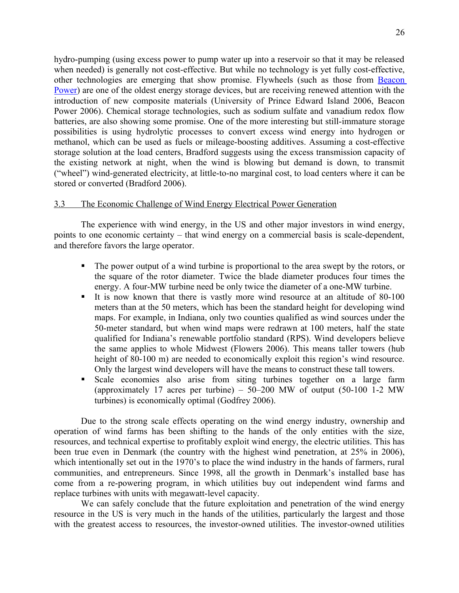hydro-pumping (using excess power to pump water up into a reservoir so that it may be released when needed) is generally not cost-effective. But while no technology is yet fully cost-effective, other technologies are emerging that show promise. Flywheels (such as those from [Beacon](http://www.beaconpower.com/products/EnergyStorageSystems/flywheels.htm) [Power\)](http://www.beaconpower.com/products/EnergyStorageSystems/flywheels.htm) are one of the oldest energy storage devices, but are receiving renewed attention with the introduction of new composite materials (University of Prince Edward Island 2006, Beacon Power 2006). Chemical storage technologies, such as sodium sulfate and vanadium redox flow batteries, are also showing some promise. One of the more interesting but still-immature storage possibilities is using hydrolytic processes to convert excess wind energy into hydrogen or methanol, which can be used as fuels or mileage-boosting additives. Assuming a cost-effective storage solution at the load centers, Bradford suggests using the excess transmission capacity of the existing network at night, when the wind is blowing but demand is down, to transmit ("wheel") wind-generated electricity, at little-to-no marginal cost, to load centers where it can be stored or converted (Bradford 2006).

### 3.3 The Economic Challenge of Wind Energy Electrical Power Generation

The experience with wind energy, in the US and other major investors in wind energy, points to one economic certainty – that wind energy on a commercial basis is scale-dependent, and therefore favors the large operator.

- The power output of a wind turbine is proportional to the area swept by the rotors, or the square of the rotor diameter. Twice the blade diameter produces four times the energy. A four-MW turbine need be only twice the diameter of a one-MW turbine.
- It is now known that there is vastly more wind resource at an altitude of 80-100 meters than at the 50 meters, which has been the standard height for developing wind maps. For example, in Indiana, only two counties qualified as wind sources under the 50-meter standard, but when wind maps were redrawn at 100 meters, half the state qualified for Indiana's renewable portfolio standard (RPS). Wind developers believe the same applies to whole Midwest (Flowers 2006). This means taller towers (hub height of 80-100 m) are needed to economically exploit this region's wind resource. Only the largest wind developers will have the means to construct these tall towers.
- Scale economies also arise from siting turbines together on a large farm (approximately 17 acres per turbine) –  $50-200$  MW of output (50-100 1-2 MW turbines) is economically optimal (Godfrey 2006).

Due to the strong scale effects operating on the wind energy industry, ownership and operation of wind farms has been shifting to the hands of the only entities with the size, resources, and technical expertise to profitably exploit wind energy, the electric utilities. This has been true even in Denmark (the country with the highest wind penetration, at 25% in 2006), which intentionally set out in the 1970's to place the wind industry in the hands of farmers, rural communities, and entrepreneurs. Since 1998, all the growth in Denmark's installed base has come from a re-powering program, in which utilities buy out independent wind farms and replace turbines with units with megawatt-level capacity.

We can safely conclude that the future exploitation and penetration of the wind energy resource in the US is very much in the hands of the utilities, particularly the largest and those with the greatest access to resources, the investor-owned utilities. The investor-owned utilities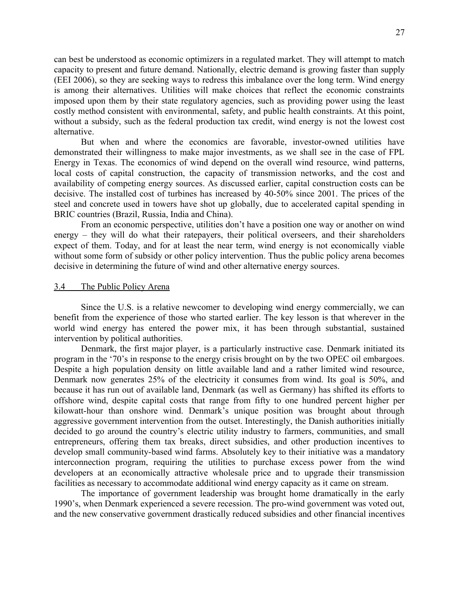can best be understood as economic optimizers in a regulated market. They will attempt to match capacity to present and future demand. Nationally, electric demand is growing faster than supply (EEI 2006), so they are seeking ways to redress this imbalance over the long term. Wind energy is among their alternatives. Utilities will make choices that reflect the economic constraints imposed upon them by their state regulatory agencies, such as providing power using the least costly method consistent with environmental, safety, and public health constraints. At this point, without a subsidy, such as the federal production tax credit, wind energy is not the lowest cost alternative.

But when and where the economics are favorable, investor-owned utilities have demonstrated their willingness to make major investments, as we shall see in the case of FPL Energy in Texas. The economics of wind depend on the overall wind resource, wind patterns, local costs of capital construction, the capacity of transmission networks, and the cost and availability of competing energy sources. As discussed earlier, capital construction costs can be decisive. The installed cost of turbines has increased by 40-50% since 2001. The prices of the steel and concrete used in towers have shot up globally, due to accelerated capital spending in BRIC countries (Brazil, Russia, India and China).

From an economic perspective, utilities don't have a position one way or another on wind energy – they will do what their ratepayers, their political overseers, and their shareholders expect of them. Today, and for at least the near term, wind energy is not economically viable without some form of subsidy or other policy intervention. Thus the public policy arena becomes decisive in determining the future of wind and other alternative energy sources.

#### 3.4 The Public Policy Arena

Since the U.S. is a relative newcomer to developing wind energy commercially, we can benefit from the experience of those who started earlier. The key lesson is that wherever in the world wind energy has entered the power mix, it has been through substantial, sustained intervention by political authorities.

Denmark, the first major player, is a particularly instructive case. Denmark initiated its program in the '70's in response to the energy crisis brought on by the two OPEC oil embargoes. Despite a high population density on little available land and a rather limited wind resource, Denmark now generates 25% of the electricity it consumes from wind. Its goal is 50%, and because it has run out of available land, Denmark (as well as Germany) has shifted its efforts to offshore wind, despite capital costs that range from fifty to one hundred percent higher per kilowatt-hour than onshore wind. Denmark's unique position was brought about through aggressive government intervention from the outset. Interestingly, the Danish authorities initially decided to go around the country's electric utility industry to farmers, communities, and small entrepreneurs, offering them tax breaks, direct subsidies, and other production incentives to develop small community-based wind farms. Absolutely key to their initiative was a mandatory interconnection program, requiring the utilities to purchase excess power from the wind developers at an economically attractive wholesale price and to upgrade their transmission facilities as necessary to accommodate additional wind energy capacity as it came on stream.

The importance of government leadership was brought home dramatically in the early 1990's, when Denmark experienced a severe recession. The pro-wind government was voted out, and the new conservative government drastically reduced subsidies and other financial incentives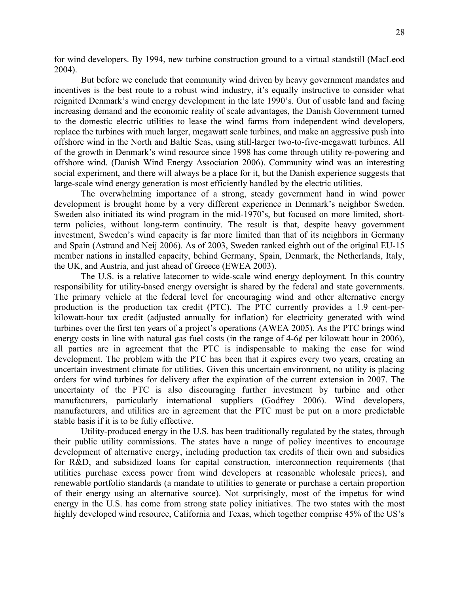for wind developers. By 1994, new turbine construction ground to a virtual standstill (MacLeod 2004).

But before we conclude that community wind driven by heavy government mandates and incentives is the best route to a robust wind industry, it's equally instructive to consider what reignited Denmark's wind energy development in the late 1990's. Out of usable land and facing increasing demand and the economic reality of scale advantages, the Danish Government turned to the domestic electric utilities to lease the wind farms from independent wind developers, replace the turbines with much larger, megawatt scale turbines, and make an aggressive push into offshore wind in the North and Baltic Seas, using still-larger two-to-five-megawatt turbines. All of the growth in Denmark's wind resource since 1998 has come through utility re-powering and offshore wind. (Danish Wind Energy Association 2006). Community wind was an interesting social experiment, and there will always be a place for it, but the Danish experience suggests that large-scale wind energy generation is most efficiently handled by the electric utilities.

The overwhelming importance of a strong, steady government hand in wind power development is brought home by a very different experience in Denmark's neighbor Sweden. Sweden also initiated its wind program in the mid-1970's, but focused on more limited, shortterm policies, without long-term continuity. The result is that, despite heavy government investment, Sweden's wind capacity is far more limited than that of its neighbors in Germany and Spain (Astrand and Neij 2006). As of 2003, Sweden ranked eighth out of the original EU-15 member nations in installed capacity, behind Germany, Spain, Denmark, the Netherlands, Italy, the UK, and Austria, and just ahead of Greece (EWEA 2003).

The U.S. is a relative latecomer to wide-scale wind energy deployment. In this country responsibility for utility-based energy oversight is shared by the federal and state governments. The primary vehicle at the federal level for encouraging wind and other alternative energy production is the production tax credit (PTC). The PTC currently provides a 1.9 cent-perkilowatt-hour tax credit (adjusted annually for inflation) for electricity generated with wind turbines over the first ten years of a project's operations (AWEA 2005). As the PTC brings wind energy costs in line with natural gas fuel costs (in the range of 4-6¢ per kilowatt hour in 2006), all parties are in agreement that the PTC is indispensable to making the case for wind development. The problem with the PTC has been that it expires every two years, creating an uncertain investment climate for utilities. Given this uncertain environment, no utility is placing orders for wind turbines for delivery after the expiration of the current extension in 2007. The uncertainty of the PTC is also discouraging further investment by turbine and other manufacturers, particularly international suppliers (Godfrey 2006). Wind developers, manufacturers, and utilities are in agreement that the PTC must be put on a more predictable stable basis if it is to be fully effective.

Utility-produced energy in the U.S. has been traditionally regulated by the states, through their public utility commissions. The states have a range of policy incentives to encourage development of alternative energy, including production tax credits of their own and subsidies for R&D, and subsidized loans for capital construction, interconnection requirements (that utilities purchase excess power from wind developers at reasonable wholesale prices), and renewable portfolio standards (a mandate to utilities to generate or purchase a certain proportion of their energy using an alternative source). Not surprisingly, most of the impetus for wind energy in the U.S. has come from strong state policy initiatives. The two states with the most highly developed wind resource, California and Texas, which together comprise 45% of the US's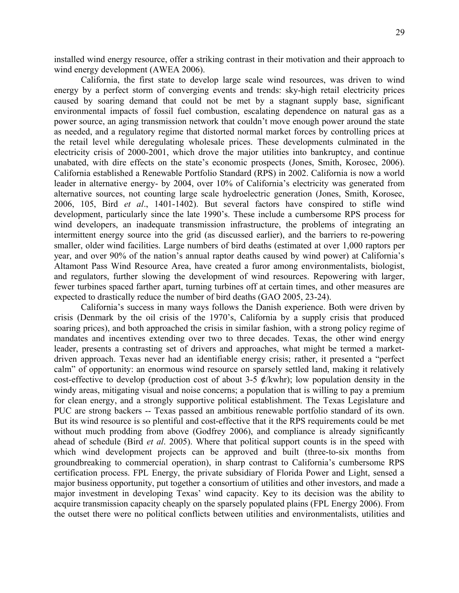installed wind energy resource, offer a striking contrast in their motivation and their approach to wind energy development (AWEA 2006).

California, the first state to develop large scale wind resources, was driven to wind energy by a perfect storm of converging events and trends: sky-high retail electricity prices caused by soaring demand that could not be met by a stagnant supply base, significant environmental impacts of fossil fuel combustion, escalating dependence on natural gas as a power source, an aging transmission network that couldn't move enough power around the state as needed, and a regulatory regime that distorted normal market forces by controlling prices at the retail level while deregulating wholesale prices. These developments culminated in the electricity crisis of 2000-2001, which drove the major utilities into bankruptcy, and continue unabated, with dire effects on the state's economic prospects (Jones, Smith, Korosec, 2006). California established a Renewable Portfolio Standard (RPS) in 2002. California is now a world leader in alternative energy- by 2004, over 10% of California's electricity was generated from alternative sources, not counting large scale hydroelectric generation (Jones, Smith, Korosec, 2006, 105, Bird *et al*., 1401-1402). But several factors have conspired to stifle wind development, particularly since the late 1990's. These include a cumbersome RPS process for wind developers, an inadequate transmission infrastructure, the problems of integrating an intermittent energy source into the grid (as discussed earlier), and the barriers to re-powering smaller, older wind facilities. Large numbers of bird deaths (estimated at over 1,000 raptors per year, and over 90% of the nation's annual raptor deaths caused by wind power) at California's Altamont Pass Wind Resource Area, have created a furor among environmentalists, biologist, and regulators, further slowing the development of wind resources. Repowering with larger, fewer turbines spaced farther apart, turning turbines off at certain times, and other measures are expected to drastically reduce the number of bird deaths (GAO 2005, 23-24).

California's success in many ways follows the Danish experience. Both were driven by crisis (Denmark by the oil crisis of the 1970's, California by a supply crisis that produced soaring prices), and both approached the crisis in similar fashion, with a strong policy regime of mandates and incentives extending over two to three decades. Texas, the other wind energy leader, presents a contrasting set of drivers and approaches, what might be termed a marketdriven approach. Texas never had an identifiable energy crisis; rather, it presented a "perfect calm" of opportunity: an enormous wind resource on sparsely settled land, making it relatively cost-effective to develop (production cost of about 3-5  $\mathcal{L}/kwhr$ ); low population density in the windy areas, mitigating visual and noise concerns; a population that is willing to pay a premium for clean energy, and a strongly supportive political establishment. The Texas Legislature and PUC are strong backers -- Texas passed an ambitious renewable portfolio standard of its own. But its wind resource is so plentiful and cost-effective that it the RPS requirements could be met without much prodding from above (Godfrey 2006), and compliance is already significantly ahead of schedule (Bird *et al*. 2005). Where that political support counts is in the speed with which wind development projects can be approved and built (three-to-six months from groundbreaking to commercial operation), in sharp contrast to California's cumbersome RPS certification process. FPL Energy, the private subsidiary of Florida Power and Light, sensed a major business opportunity, put together a consortium of utilities and other investors, and made a major investment in developing Texas' wind capacity. Key to its decision was the ability to acquire transmission capacity cheaply on the sparsely populated plains (FPL Energy 2006). From the outset there were no political conflicts between utilities and environmentalists, utilities and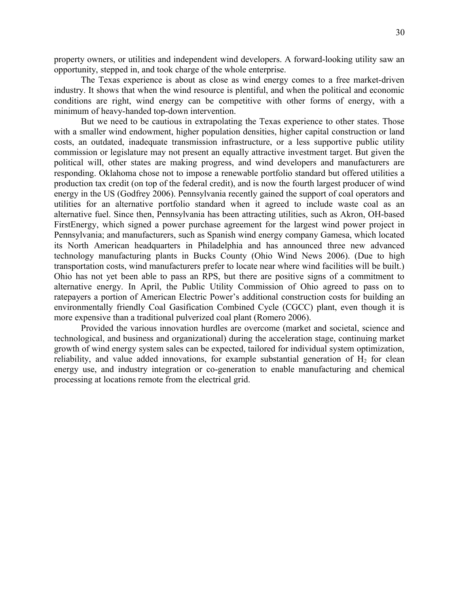property owners, or utilities and independent wind developers. A forward-looking utility saw an opportunity, stepped in, and took charge of the whole enterprise.

The Texas experience is about as close as wind energy comes to a free market-driven industry. It shows that when the wind resource is plentiful, and when the political and economic conditions are right, wind energy can be competitive with other forms of energy, with a minimum of heavy-handed top-down intervention.

But we need to be cautious in extrapolating the Texas experience to other states. Those with a smaller wind endowment, higher population densities, higher capital construction or land costs, an outdated, inadequate transmission infrastructure, or a less supportive public utility commission or legislature may not present an equally attractive investment target. But given the political will, other states are making progress, and wind developers and manufacturers are responding. Oklahoma chose not to impose a renewable portfolio standard but offered utilities a production tax credit (on top of the federal credit), and is now the fourth largest producer of wind energy in the US (Godfrey 2006). Pennsylvania recently gained the support of coal operators and utilities for an alternative portfolio standard when it agreed to include waste coal as an alternative fuel. Since then, Pennsylvania has been attracting utilities, such as Akron, OH-based FirstEnergy, which signed a power purchase agreement for the largest wind power project in Pennsylvania; and manufacturers, such as Spanish wind energy company Gamesa, which located its North American headquarters in Philadelphia and has announced three new advanced technology manufacturing plants in Bucks County (Ohio Wind News 2006). (Due to high transportation costs, wind manufacturers prefer to locate near where wind facilities will be built.) Ohio has not yet been able to pass an RPS, but there are positive signs of a commitment to alternative energy. In April, the Public Utility Commission of Ohio agreed to pass on to ratepayers a portion of American Electric Power's additional construction costs for building an environmentally friendly Coal Gasification Combined Cycle (CGCC) plant, even though it is more expensive than a traditional pulverized coal plant (Romero 2006).

Provided the various innovation hurdles are overcome (market and societal, science and technological, and business and organizational) during the acceleration stage, continuing market growth of wind energy system sales can be expected, tailored for individual system optimization, reliability, and value added innovations, for example substantial generation of  $H<sub>2</sub>$  for clean energy use, and industry integration or co-generation to enable manufacturing and chemical processing at locations remote from the electrical grid.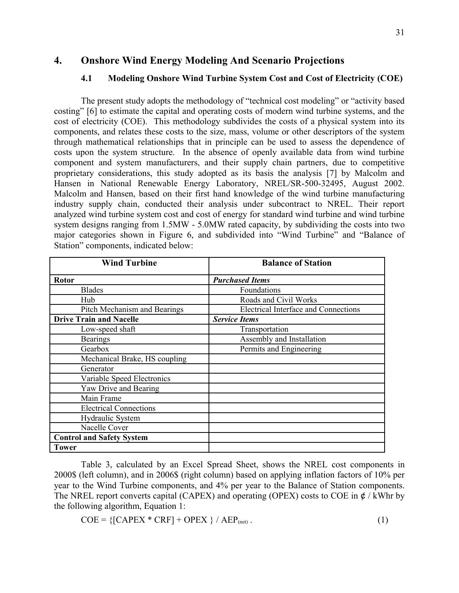## **4. Onshore Wind Energy Modeling And Scenario Projections**

## **4.1 Modeling Onshore Wind Turbine System Cost and Cost of Electricity (COE)**

The present study adopts the methodology of "technical cost modeling" or "activity based costing" [6] to estimate the capital and operating costs of modern wind turbine systems, and the cost of electricity (COE). This methodology subdivides the costs of a physical system into its components, and relates these costs to the size, mass, volume or other descriptors of the system through mathematical relationships that in principle can be used to assess the dependence of costs upon the system structure. In the absence of openly available data from wind turbine component and system manufacturers, and their supply chain partners, due to competitive proprietary considerations, this study adopted as its basis the analysis [7] by Malcolm and Hansen in National Renewable Energy Laboratory, NREL/SR-500-32495, August 2002. Malcolm and Hansen, based on their first hand knowledge of the wind turbine manufacturing industry supply chain, conducted their analysis under subcontract to NREL. Their report analyzed wind turbine system cost and cost of energy for standard wind turbine and wind turbine system designs ranging from 1.5MW - 5.0MW rated capacity, by subdividing the costs into two major categories shown in Figure 6, and subdivided into "Wind Turbine" and "Balance of Station" components, indicated below:

| <b>Wind Turbine</b>              | <b>Balance of Station</b>                   |
|----------------------------------|---------------------------------------------|
| <b>Rotor</b>                     | <b>Purchased Items</b>                      |
| <b>Blades</b>                    | Foundations                                 |
| Hub                              | Roads and Civil Works                       |
| Pitch Mechanism and Bearings     | <b>Electrical Interface and Connections</b> |
| <b>Drive Train and Nacelle</b>   | <b>Service Items</b>                        |
| Low-speed shaft                  | Transportation                              |
| <b>Bearings</b>                  | Assembly and Installation                   |
| Gearbox                          | Permits and Engineering                     |
| Mechanical Brake, HS coupling    |                                             |
| Generator                        |                                             |
| Variable Speed Electronics       |                                             |
| Yaw Drive and Bearing            |                                             |
| Main Frame                       |                                             |
| <b>Electrical Connections</b>    |                                             |
| Hydraulic System                 |                                             |
| Nacelle Cover                    |                                             |
| <b>Control and Safety System</b> |                                             |
| <b>Tower</b>                     |                                             |

Table 3, calculated by an Excel Spread Sheet, shows the NREL cost components in 2000\$ (left column), and in 2006\$ (right column) based on applying inflation factors of 10% per year to the Wind Turbine components, and 4% per year to the Balance of Station components. The NREL report converts capital (CAPEX) and operating (OPEX) costs to COE in  $\phi$  / kWhr by the following algorithm, Equation 1:

 $COE = \{[CAPEX * CRF] + OPEX \} / AEP_{net}$ . (1)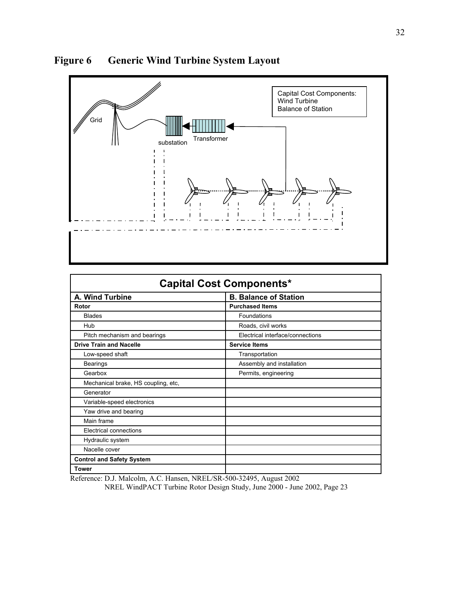

**Figure 6 Generic Wind Turbine System Layout**

| <b>Capital Cost Components*</b>     |                                  |  |  |  |  |
|-------------------------------------|----------------------------------|--|--|--|--|
| A. Wind Turbine                     | <b>B. Balance of Station</b>     |  |  |  |  |
| Rotor                               | <b>Purchased Items</b>           |  |  |  |  |
| <b>Blades</b>                       | Foundations                      |  |  |  |  |
| Hub                                 | Roads, civil works               |  |  |  |  |
| Pitch mechanism and bearings        | Electrical interface/connections |  |  |  |  |
| <b>Drive Train and Nacelle</b>      | <b>Service Items</b>             |  |  |  |  |
| Low-speed shaft                     | Transportation                   |  |  |  |  |
| Bearings                            | Assembly and installation        |  |  |  |  |
| Gearbox                             | Permits, engineering             |  |  |  |  |
| Mechanical brake, HS coupling, etc, |                                  |  |  |  |  |
| Generator                           |                                  |  |  |  |  |
| Variable-speed electronics          |                                  |  |  |  |  |
| Yaw drive and bearing               |                                  |  |  |  |  |
| Main frame                          |                                  |  |  |  |  |
| Electrical connections              |                                  |  |  |  |  |
| Hydraulic system                    |                                  |  |  |  |  |
| Nacelle cover                       |                                  |  |  |  |  |
| <b>Control and Safety System</b>    |                                  |  |  |  |  |
| <b>Tower</b>                        |                                  |  |  |  |  |

Reference: D.J. Malcolm, A.C. Hansen, NREL/SR-500-32495, August 2002

NREL WindPACT Turbine Rotor Design Study, June 2000 - June 2002, Page 23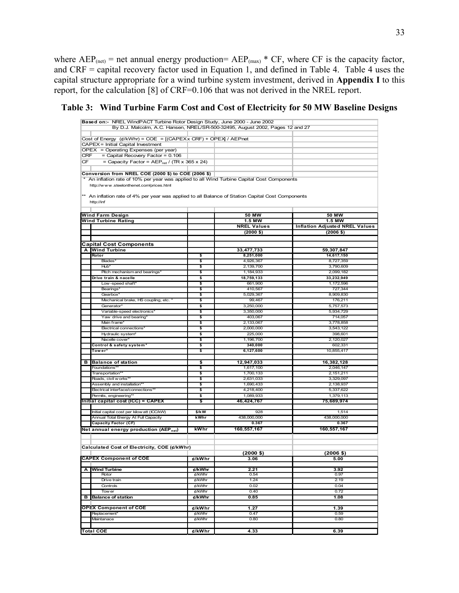where  $AEP_{(net)}$  = net annual energy production=  $AEP_{(max)}$  \* CF, where CF is the capacity factor, and CRF = capital recovery factor used in Equation 1, and defined in Table 4. Table 4 uses the capital structure appropriate for a wind turbine system investment, derived in **Appendix I** to this report, for the calculation [8] of CRF=0.106 that was not derived in the NREL report.

|     | Based on:- NREL WindPACT Turbine Rotor Design Study, June 2000 - June 2002                         |        |                                                                               |                                       |
|-----|----------------------------------------------------------------------------------------------------|--------|-------------------------------------------------------------------------------|---------------------------------------|
|     |                                                                                                    |        | By D.J. Malcolm, A.C. Hansen, NREL/SR-500-32495, August 2002, Pages 12 and 27 |                                       |
|     |                                                                                                    |        |                                                                               |                                       |
|     | Cost of Energy (¢/kWhr) = COE = [(CAPEXx CRF) + OPEX] / AEPnet                                     |        |                                                                               |                                       |
|     | CAPEX = Initial Capital Investment                                                                 |        |                                                                               |                                       |
|     | OPEX = Operating Expenses (per year)                                                               |        |                                                                               |                                       |
| CRF | = Capital Recovery Factor = 0.106                                                                  |        |                                                                               |                                       |
| CF  | = Capacity Factor = $AEP_{net}$ / (TR x 365 x 24)                                                  |        |                                                                               |                                       |
|     |                                                                                                    |        |                                                                               |                                       |
|     | Conversion from NREL COE (2000 \$) to COE (2006 \$)                                                |        |                                                                               |                                       |
|     | An inflation rate of 10% per year was applied to all Wind Turbine Capital Cost Components          |        |                                                                               |                                       |
|     | http://www.steelonthenet.com/prices.html                                                           |        |                                                                               |                                       |
|     |                                                                                                    |        |                                                                               |                                       |
|     | **  An inflation rate of 4% per year was applied to all Balance of Station Capital Cost Components |        |                                                                               |                                       |
|     | http://inf                                                                                         |        |                                                                               |                                       |
|     |                                                                                                    |        |                                                                               |                                       |
|     | Wind Farm Design                                                                                   |        | 50 MW                                                                         | 50 MW                                 |
|     | <b>Wind Turbine Rating</b>                                                                         |        | $1.5$ MW                                                                      | 1.5 MW                                |
|     |                                                                                                    |        | <b>NREL Values</b>                                                            | <b>Inflation Adjusted NREL Values</b> |
|     |                                                                                                    |        | (2000 \$)                                                                     | (2006 \$)                             |
|     |                                                                                                    |        |                                                                               |                                       |
|     | Capital Cost Components                                                                            |        |                                                                               |                                       |
| A   | <b>Wind Turbine</b>                                                                                |        | 33,477,733                                                                    | 59,307,847                            |
|     | Rotor                                                                                              | \$     | 8,251,000                                                                     | 14,617,150                            |
|     | Blades*                                                                                            | \$     | 4,926,367                                                                     | 8,727,359                             |
|     | Hub*                                                                                               | \$     | 2,139,700                                                                     | 3,790,609                             |
|     | Pitch mechanism and bearings'                                                                      | \$     | 1,184,933                                                                     | 2,099,182                             |
|     | Drive train & nacelle                                                                              | \$     | 18,759,133                                                                    | 33,232,949                            |
|     | Low-speed shaft*                                                                                   | \$     | 661,900                                                                       | 1,172,596                             |
|     | <b>Bearings</b>                                                                                    | \$     | 410.567                                                                       | 727,344                               |
|     | Gearbox'                                                                                           | \$     | 5,029,367                                                                     | 8,909,830                             |
|     | Mechanical brake, HS coupling, etc.                                                                | \$     | 99,467                                                                        | 176,211                               |
|     | Generator <sup>®</sup>                                                                             | \$     | 3,250,000                                                                     | 5,757,573                             |
|     | Variable-speed electronics'                                                                        | \$     | 3,350,000                                                                     | 5,934,729                             |
|     | Yaw drive and bearing*                                                                             | \$     | 403,067                                                                       | 714,057                               |
|     | Main frame*                                                                                        | \$     | 2,133,067                                                                     | 3,778,858                             |
|     | <b>Electrical connections</b>                                                                      | \$     | 2,000,000                                                                     | 3,543,122                             |
|     | Hydraulic system*                                                                                  | \$     | 225,000                                                                       | 398,601                               |
|     | Nacelle cover*                                                                                     | \$     | 1,196,700                                                                     | 2,120,027                             |
|     | Control & safety system'                                                                           | \$     | 340,000                                                                       | 602,331                               |
|     | Tower*                                                                                             | \$     | 6,127,600                                                                     | 10,855,417                            |
|     |                                                                                                    |        |                                                                               |                                       |
| в   | <b>Balance of station</b>                                                                          | \$     | 12,947,033                                                                    | 16,382,128                            |
|     | Foundations*                                                                                       | \$     | 1,617,100                                                                     | 2,046,147                             |
|     | Transportation*                                                                                    | \$     | 1,700,133                                                                     | 2,151,211                             |
|     | Roads, civil w orks*                                                                               | \$     | 2,631,033                                                                     | 3,329,097                             |
|     | Assembly and installation*                                                                         | \$     | 1,690,433                                                                     | 2,138,937                             |
|     | Electrical interface/connections*                                                                  | \$     | 4,218,400                                                                     | 5,337,622                             |
|     | Permits, engineering*                                                                              | \$     | 1,089,933                                                                     | 1,379,113                             |
|     | Initial capital cost (ICC) = CAPEX                                                                 | \$     | 46,424,767                                                                    | 75,689,974                            |
|     | Initial capital cost per kilow att (ICC/kW)                                                        | \$/kW  | 928                                                                           | 1,514                                 |
|     | Annual Total Energy At Full Capacity                                                               | kWhr   | 438,000,000                                                                   | 438,000,000                           |
|     | <b>Capacity Factor (CF)</b>                                                                        |        | 0.367                                                                         | 0.367                                 |
|     |                                                                                                    | kWhr   | 160,557,167                                                                   | 160,557,167                           |
|     | Net annual energy production (AEP <sub>net</sub> )                                                 |        |                                                                               |                                       |
|     |                                                                                                    |        |                                                                               |                                       |
|     |                                                                                                    |        |                                                                               |                                       |
|     | Calculated Cost of Electricity, COE (¢/kWhr)                                                       |        |                                                                               |                                       |
|     |                                                                                                    |        | $(2000$ \$)                                                                   | $(2006$ \$)                           |
|     | <b>CAPEX Component of COE</b>                                                                      | ¢/kWhr | 3.06                                                                          | 5.00                                  |
|     | A Wind Turbine                                                                                     | ¢/kWhr | 2.21                                                                          | 3.92                                  |
|     | Rotor                                                                                              | ¢/kWhr | 0.54                                                                          | 0.97                                  |
|     | Drive train                                                                                        | ¢/kWhr | 1.24                                                                          | 2.19                                  |
|     | Controls                                                                                           | ¢/kWhr | 0.02                                                                          | 0.04                                  |
|     | Tow er                                                                                             | ¢/kWhr | 0.40                                                                          | 0.72                                  |
| в   | <b>Balance of station</b>                                                                          | ¢/kWhr | 0.85                                                                          | 1.08                                  |
|     |                                                                                                    |        |                                                                               |                                       |
|     | <b>OPEX Component of COE</b>                                                                       | ¢/kWhr | 1.27                                                                          | 1.39                                  |
|     | Replacement*                                                                                       | ¢/kWhr | 0.47                                                                          | 0.59                                  |
|     | Maintanace                                                                                         | ¢/kWhr | 0.80                                                                          | 0.80                                  |
|     |                                                                                                    |        |                                                                               |                                       |
|     | Total COE                                                                                          | ¢/kWhr | 4.33                                                                          | 6.39                                  |
|     |                                                                                                    |        |                                                                               |                                       |

**Table 3: Wind Turbine Farm Cost and Cost of Electricity for 50 MW Baseline Designs**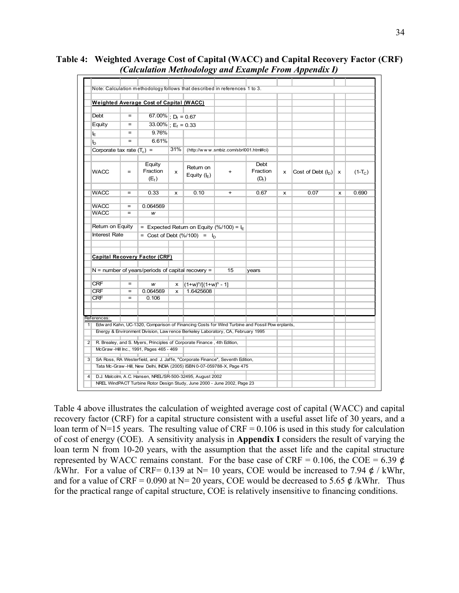| Note: Calculation methodology follows that described in references 1 to 3. |                   |                                                     |     |                                                                                                                                                         |           |                                                                                                |   |                        |   |           |
|----------------------------------------------------------------------------|-------------------|-----------------------------------------------------|-----|---------------------------------------------------------------------------------------------------------------------------------------------------------|-----------|------------------------------------------------------------------------------------------------|---|------------------------|---|-----------|
|                                                                            |                   | <b>Weighted Average Cost of Capital (WACC)</b>      |     |                                                                                                                                                         |           |                                                                                                |   |                        |   |           |
|                                                                            |                   |                                                     |     |                                                                                                                                                         |           |                                                                                                |   |                        |   |           |
| <b>Debt</b>                                                                | $=$               | 67.00% ; $D_f = 0.67$                               |     |                                                                                                                                                         |           |                                                                                                |   |                        |   |           |
| Equity                                                                     | $=$               | 33.00% $E_f = 0.33$                                 |     |                                                                                                                                                         |           |                                                                                                |   |                        |   |           |
| ١E                                                                         | $=$               | 9.76%                                               |     |                                                                                                                                                         |           |                                                                                                |   |                        |   |           |
| $\mathsf{I}_\mathsf{D}$                                                    | $=$               | 6.61%                                               |     |                                                                                                                                                         |           |                                                                                                |   |                        |   |           |
| Corporate tax rate $(T_c)$ =                                               |                   |                                                     | 31% | (http://www.smbiz.com/sbrl001.html#ci)                                                                                                                  |           |                                                                                                |   |                        |   |           |
|                                                                            |                   |                                                     |     |                                                                                                                                                         |           |                                                                                                |   |                        |   |           |
| <b>WACC</b>                                                                | $=$               | Equity<br>Fraction<br>(E <sub>f</sub> )             | X   | Retum on<br>Equity $(I_E)$                                                                                                                              | $+$       | Debt<br>Fraction<br>$(D_f)$                                                                    | x | Cost of Debt $(I_D)$ x |   | $(1-T_C)$ |
|                                                                            |                   |                                                     |     |                                                                                                                                                         |           |                                                                                                |   |                        |   |           |
| <b>WACC</b>                                                                | $\qquad \qquad =$ | 0.33                                                | x   | 0.10                                                                                                                                                    | $\ddot{}$ | 0.67                                                                                           | x | 0.07                   | x | 0.690     |
| <b>WACC</b>                                                                | $\qquad \qquad =$ | 0.064569                                            |     |                                                                                                                                                         |           |                                                                                                |   |                        |   |           |
| <b>WACC</b>                                                                | $=$               | W                                                   |     |                                                                                                                                                         |           |                                                                                                |   |                        |   |           |
|                                                                            |                   |                                                     |     |                                                                                                                                                         |           |                                                                                                |   |                        |   |           |
| Return on Equity                                                           |                   |                                                     |     | = Expected Return on Equity (%/100) = $I_F$                                                                                                             |           |                                                                                                |   |                        |   |           |
| <b>Interest Rate</b>                                                       |                   |                                                     |     | = Cost of Debt $(\frac{9}{6}/100)$ = $I_n$                                                                                                              |           |                                                                                                |   |                        |   |           |
|                                                                            |                   | Capital Recovery Factor (CRF)                       |     |                                                                                                                                                         |           |                                                                                                |   |                        |   |           |
|                                                                            |                   | $N =$ number of years/periods of capital recovery = |     |                                                                                                                                                         | 15        | years                                                                                          |   |                        |   |           |
|                                                                            | $=$               |                                                     |     |                                                                                                                                                         |           |                                                                                                |   |                        |   |           |
| <b>CRF</b><br><b>CRF</b>                                                   | $=$               | w                                                   |     | $X = (1+w)^n/[ (1+w)^n - 1]$<br>1.6425608                                                                                                               |           |                                                                                                |   |                        |   |           |
| <b>CRF</b>                                                                 | $\equiv$          | 0.064569<br>0.106                                   | x   |                                                                                                                                                         |           |                                                                                                |   |                        |   |           |
|                                                                            |                   |                                                     |     |                                                                                                                                                         |           |                                                                                                |   |                        |   |           |
| References:                                                                |                   |                                                     |     |                                                                                                                                                         |           |                                                                                                |   |                        |   |           |
|                                                                            |                   |                                                     |     | Energy & Environment Division, Law rence Berkeley Laboratory, CA, February 1995                                                                         |           | Edw ard Kahn, UC-1320, Comparison of Financing Costs for Wind Turbine and Fossil Pow erplants, |   |                        |   |           |
|                                                                            |                   |                                                     |     |                                                                                                                                                         |           |                                                                                                |   |                        |   |           |
|                                                                            |                   | McGraw-Hill Inc., 1991, Pages 465 - 469             |     | R. Brealey, and S. Myers, Principles of Corporate Finance, 4th Edition,                                                                                 |           |                                                                                                |   |                        |   |           |
|                                                                            |                   |                                                     |     | SA Ross, RA Westerfield, and J. Jaffe, "Corporate Finance", Seventh Edition,<br>Tata Mc-Graw-Hill, New Delhi, INDIA (2005) ISBN 0-07-059788-X, Page 475 |           |                                                                                                |   |                        |   |           |
|                                                                            |                   |                                                     |     |                                                                                                                                                         |           |                                                                                                |   |                        |   |           |

**Table 4: Weighted Average Cost of Capital (WACC) and Capital Recovery Factor (CRF)** *(Calculation Methodology and Example From Appendix I)*

Table 4 above illustrates the calculation of weighted average cost of capital (WACC) and capital recovery factor (CRF) for a capital structure consistent with a useful asset life of 30 years, and a loan term of N=15 years. The resulting value of  $CRF = 0.106$  is used in this study for calculation of cost of energy (COE). A sensitivity analysis in **Appendix I** considers the result of varying the loan term N from 10-20 years, with the assumption that the asset life and the capital structure represented by WACC remains constant. For the base case of CRF = 0.106, the COE = 6.39  $\phi$ /kWhr. For a value of CRF= 0.139 at N= 10 years, COE would be increased to 7.94  $\phi$  / kWhr, and for a value of CRF = 0.090 at N= 20 years, COE would be decreased to 5.65  $\phi$  /kWhr. Thus for the practical range of capital structure, COE is relatively insensitive to financing conditions.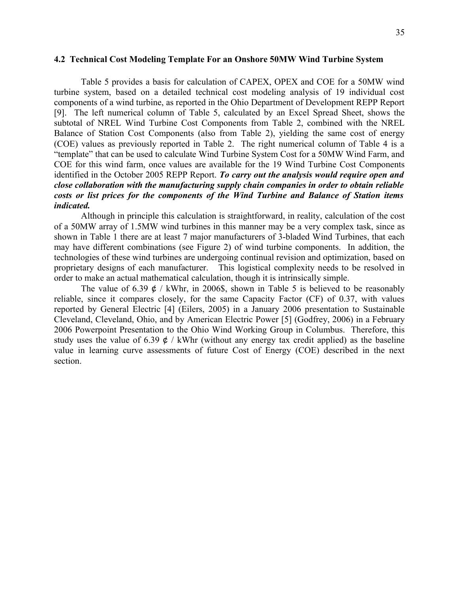Table 5 provides a basis for calculation of CAPEX, OPEX and COE for a 50MW wind turbine system, based on a detailed technical cost modeling analysis of 19 individual cost components of a wind turbine, as reported in the Ohio Department of Development REPP Report [9]. The left numerical column of Table 5, calculated by an Excel Spread Sheet, shows the subtotal of NREL Wind Turbine Cost Components from Table 2, combined with the NREL Balance of Station Cost Components (also from Table 2), yielding the same cost of energy (COE) values as previously reported in Table 2. The right numerical column of Table 4 is a "template" that can be used to calculate Wind Turbine System Cost for a 50MW Wind Farm, and COE for this wind farm, once values are available for the 19 Wind Turbine Cost Components identified in the October 2005 REPP Report. *To carry out the analysis would require open and close collaboration with the manufacturing supply chain companies in order to obtain reliable costs or list prices for the components of the Wind Turbine and Balance of Station items indicated.* 

Although in principle this calculation is straightforward, in reality, calculation of the cost of a 50MW array of 1.5MW wind turbines in this manner may be a very complex task, since as shown in Table 1 there are at least 7 major manufacturers of 3-bladed Wind Turbines, that each may have different combinations (see Figure 2) of wind turbine components. In addition, the technologies of these wind turbines are undergoing continual revision and optimization, based on proprietary designs of each manufacturer. This logistical complexity needs to be resolved in order to make an actual mathematical calculation, though it is intrinsically simple.

The value of 6.39  $\phi$  / kWhr, in 2006\$, shown in Table 5 is believed to be reasonably reliable, since it compares closely, for the same Capacity Factor (CF) of 0.37, with values reported by General Electric [4] (Eilers, 2005) in a January 2006 presentation to Sustainable Cleveland, Cleveland, Ohio, and by American Electric Power [5] (Godfrey, 2006) in a February 2006 Powerpoint Presentation to the Ohio Wind Working Group in Columbus. Therefore, this study uses the value of 6.39  $\phi$  / kWhr (without any energy tax credit applied) as the baseline value in learning curve assessments of future Cost of Energy (COE) described in the next section.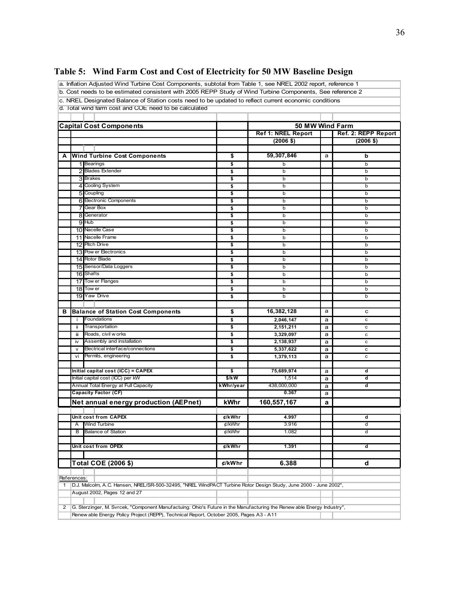# **Table 5: Wind Farm Cost and Cost of Electricity for 50 MW Baseline Design**

a. Inflation Adjusted Wind Turbine Cost Components, subtotal from Table 1, see NREL 2002 report, reference 1

b. Cost needs to be estimated consistent with 2005 REPP Study of Wind Turbine Components, See reference 2

c. NREL Designated Balance of Station costs need to be updated to reflect current economic conditions d. Total wind farm cost and COE need to be calculated

| 8<br>9 Hub<br>16 Shafts<br>17<br>18 | <b>Wind Turbine Cost Components</b><br>1 Bearings<br>2 Blades Extender<br>3 Brakes<br>4 Cooling System<br>5 Coupling<br>6 Electronic Components<br><b>7</b> Gear Box<br>Generator<br>10 Nacelle Case<br>11 Nacelle Frame<br>12 Pitch Drive<br>13 Pow er Electronics<br>14 Rotor Blade | \$<br>\$<br>\$<br>\$<br>\$<br>\$<br>\$<br>\$<br>\$<br>\$<br>\$<br>\$<br>\$ | <b>Ref 1: NREL Report</b><br>$(2006$ \$)<br>59,307,846<br>b<br>b<br>b<br>b<br>b<br>b<br>b<br>b<br>b<br>b | a | Ref. 2: REPP Report<br>$(2006 \; \text{$})$<br>b<br>b<br>b<br>b<br>b<br>b<br>b |
|-------------------------------------|---------------------------------------------------------------------------------------------------------------------------------------------------------------------------------------------------------------------------------------------------------------------------------------|----------------------------------------------------------------------------|----------------------------------------------------------------------------------------------------------|---|--------------------------------------------------------------------------------|
|                                     |                                                                                                                                                                                                                                                                                       |                                                                            |                                                                                                          |   |                                                                                |
|                                     |                                                                                                                                                                                                                                                                                       |                                                                            |                                                                                                          |   |                                                                                |
|                                     |                                                                                                                                                                                                                                                                                       |                                                                            |                                                                                                          |   |                                                                                |
|                                     |                                                                                                                                                                                                                                                                                       |                                                                            |                                                                                                          |   |                                                                                |
|                                     |                                                                                                                                                                                                                                                                                       |                                                                            |                                                                                                          |   |                                                                                |
|                                     |                                                                                                                                                                                                                                                                                       |                                                                            |                                                                                                          |   |                                                                                |
|                                     |                                                                                                                                                                                                                                                                                       |                                                                            |                                                                                                          |   |                                                                                |
|                                     |                                                                                                                                                                                                                                                                                       |                                                                            |                                                                                                          |   |                                                                                |
|                                     |                                                                                                                                                                                                                                                                                       |                                                                            |                                                                                                          |   |                                                                                |
|                                     |                                                                                                                                                                                                                                                                                       |                                                                            |                                                                                                          |   |                                                                                |
|                                     |                                                                                                                                                                                                                                                                                       |                                                                            |                                                                                                          |   | b                                                                              |
|                                     |                                                                                                                                                                                                                                                                                       |                                                                            |                                                                                                          |   | b                                                                              |
|                                     |                                                                                                                                                                                                                                                                                       |                                                                            |                                                                                                          |   | b                                                                              |
|                                     |                                                                                                                                                                                                                                                                                       |                                                                            |                                                                                                          |   | b                                                                              |
|                                     |                                                                                                                                                                                                                                                                                       |                                                                            | b                                                                                                        |   | b                                                                              |
|                                     |                                                                                                                                                                                                                                                                                       |                                                                            | b                                                                                                        |   | b                                                                              |
|                                     |                                                                                                                                                                                                                                                                                       | \$                                                                         | b                                                                                                        |   | b                                                                              |
|                                     |                                                                                                                                                                                                                                                                                       | \$                                                                         | b                                                                                                        |   | b                                                                              |
|                                     | 15 Sensor/Data Loggers                                                                                                                                                                                                                                                                | \$                                                                         | b                                                                                                        |   | b                                                                              |
|                                     |                                                                                                                                                                                                                                                                                       | \$                                                                         | b                                                                                                        |   | b                                                                              |
|                                     | Tow er Flanges                                                                                                                                                                                                                                                                        | \$                                                                         | b                                                                                                        |   | b                                                                              |
|                                     | Tow er                                                                                                                                                                                                                                                                                | \$                                                                         | b                                                                                                        |   | b                                                                              |
|                                     | 19 Yaw Drive                                                                                                                                                                                                                                                                          | \$                                                                         | b                                                                                                        |   | b                                                                              |
|                                     |                                                                                                                                                                                                                                                                                       |                                                                            |                                                                                                          |   |                                                                                |
|                                     | <b>Balance of Station Cost Components</b>                                                                                                                                                                                                                                             | \$                                                                         | 16,382,128                                                                                               | a | с                                                                              |
| ÷                                   | Foundations                                                                                                                                                                                                                                                                           | \$                                                                         | 2,046,147                                                                                                | a | c                                                                              |
| ii.                                 | Transportation                                                                                                                                                                                                                                                                        | \$                                                                         | 2,151,211                                                                                                | a | $\mathbf c$                                                                    |
| iii                                 | Roads, civil w orks                                                                                                                                                                                                                                                                   | \$                                                                         | 3,329,097                                                                                                | a | $\mathbf c$                                                                    |
| iv                                  | Assembly and installation                                                                                                                                                                                                                                                             | \$                                                                         | 2,138,937                                                                                                | a | c                                                                              |
| $\mathsf{v}$                        | Electrical interface/connections                                                                                                                                                                                                                                                      | \$                                                                         | 5,337,622                                                                                                | a | $\mathbf c$                                                                    |
| vi                                  | Permits, engineering                                                                                                                                                                                                                                                                  | \$                                                                         | 1,379,113                                                                                                | a | $\mathbf c$                                                                    |
|                                     |                                                                                                                                                                                                                                                                                       |                                                                            |                                                                                                          |   |                                                                                |
|                                     | Initial capital cost (ICC) = CAPEX                                                                                                                                                                                                                                                    | \$                                                                         | 75,689,974                                                                                               | a | d                                                                              |
|                                     | Initial capital cost (ICC) per kW                                                                                                                                                                                                                                                     | $$$ /kW                                                                    | 1,514                                                                                                    | a | d                                                                              |
|                                     | Annual Total Energy at Full Capacity                                                                                                                                                                                                                                                  | kWhr/year                                                                  | 438,000,000                                                                                              | a | d                                                                              |
|                                     | <b>Capacity Factor (CF)</b>                                                                                                                                                                                                                                                           |                                                                            | 0.367                                                                                                    | a |                                                                                |
|                                     | Net annual energy production (AEPnet)                                                                                                                                                                                                                                                 | kWhr                                                                       | 160,557,167                                                                                              | a |                                                                                |
|                                     |                                                                                                                                                                                                                                                                                       |                                                                            |                                                                                                          |   |                                                                                |
|                                     | Unit cost from CAPEX                                                                                                                                                                                                                                                                  | ¢/kWhr                                                                     | 4.997                                                                                                    |   | ď                                                                              |
| Α                                   | <b>Wind Turbine</b>                                                                                                                                                                                                                                                                   | ¢/kWhr                                                                     | 3.916                                                                                                    |   | d                                                                              |
| В                                   | <b>Balance of Station</b>                                                                                                                                                                                                                                                             | ¢/kWhr                                                                     | 1.082                                                                                                    |   | ď                                                                              |
|                                     |                                                                                                                                                                                                                                                                                       |                                                                            |                                                                                                          |   |                                                                                |
|                                     | Unit cost from OPEX                                                                                                                                                                                                                                                                   | $\notin$ /kWhr                                                             | 1.391                                                                                                    |   | d                                                                              |
|                                     |                                                                                                                                                                                                                                                                                       |                                                                            |                                                                                                          |   |                                                                                |
|                                     | Total COE (2006 \$)                                                                                                                                                                                                                                                                   | ¢/kWhr                                                                     | 6.388                                                                                                    |   | d                                                                              |
|                                     |                                                                                                                                                                                                                                                                                       |                                                                            |                                                                                                          |   |                                                                                |
| References:                         |                                                                                                                                                                                                                                                                                       |                                                                            |                                                                                                          |   |                                                                                |
|                                     | D.J. Malcolm, A.C. Hansen, NREL/SR-500-32495, "NREL WindPACT Turbine Rotor Design Study, June 2000 - June 2002",                                                                                                                                                                      |                                                                            |                                                                                                          |   |                                                                                |
|                                     | August 2002, Pages 12 and 27                                                                                                                                                                                                                                                          |                                                                            |                                                                                                          |   |                                                                                |
|                                     |                                                                                                                                                                                                                                                                                       |                                                                            |                                                                                                          |   |                                                                                |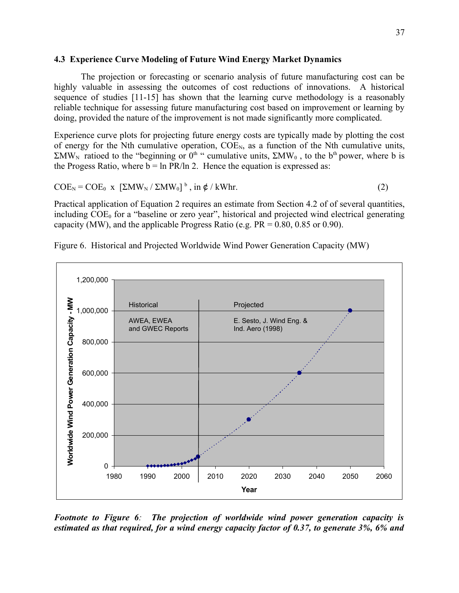#### **4.3 Experience Curve Modeling of Future Wind Energy Market Dynamics**

The projection or forecasting or scenario analysis of future manufacturing cost can be highly valuable in assessing the outcomes of cost reductions of innovations. A historical sequence of studies [11-15] has shown that the learning curve methodology is a reasonably reliable technique for assessing future manufacturing cost based on improvement or learning by doing, provided the nature of the improvement is not made significantly more complicated.

Experience curve plots for projecting future energy costs are typically made by plotting the cost of energy for the Nth cumulative operation,  $COE<sub>N</sub>$ , as a function of the Nth cumulative units,  $\Sigma MW_N$  ratioed to the "beginning or 0<sup>th</sup> " cumulative units,  $\Sigma MW_0$ , to the b<sup>th</sup> power, where b is the Progess Ratio, where  $b = \ln PR/\ln 2$ . Hence the equation is expressed as:

$$
COE_N = COE_0 \times [\Sigma MW_N / \Sigma MW_0]^b, \text{ in } \phi / \text{kWhr.}
$$
 (2)

Practical application of Equation 2 requires an estimate from Section 4.2 of of several quantities, including  $COE<sub>0</sub>$  for a "baseline or zero year", historical and projected wind electrical generating capacity (MW), and the applicable Progress Ratio (e.g.  $PR = 0.80$ , 0.85 or 0.90).



Figure 6. Historical and Projected Worldwide Wind Power Generation Capacity (MW)

*Footnote to Figure 6: The projection of worldwide wind power generation capacity is estimated as that required, for a wind energy capacity factor of 0.37, to generate 3%, 6% and*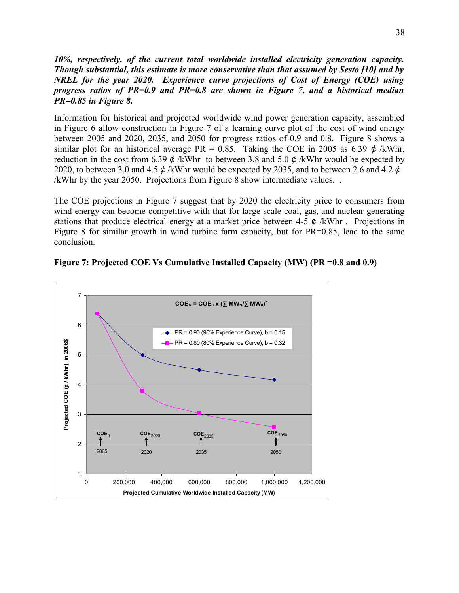#### *10%, respectively, of the current total worldwide installed electricity generation capacity. Though substantial, this estimate is more conservative than that assumed by Sesto [10] and by NREL for the year 2020. Experience curve projections of Cost of Energy (COE) using progress ratios of PR=0.9 and PR=0.8 are shown in Figure 7, and a historical median PR=0.85 in Figure 8.*

Information for historical and projected worldwide wind power generation capacity, assembled in Figure 6 allow construction in Figure 7 of a learning curve plot of the cost of wind energy between 2005 and 2020, 2035, and 2050 for progress ratios of 0.9 and 0.8. Figure 8 shows a similar plot for an historical average PR = 0.85. Taking the COE in 2005 as 6.39  $\phi$  /kWhr, reduction in the cost from 6.39  $\phi$  /kWhr to between 3.8 and 5.0  $\phi$  /kWhr would be expected by 2020, to between 3.0 and 4.5 ¢ /kWhr would be expected by 2035, and to between 2.6 and 4.2 ¢ /kWhr by the year 2050. Projections from Figure 8 show intermediate values. .

The COE projections in Figure 7 suggest that by 2020 the electricity price to consumers from wind energy can become competitive with that for large scale coal, gas, and nuclear generating stations that produce electrical energy at a market price between 4-5  $\phi$  /kWhr. Projections in Figure 8 for similar growth in wind turbine farm capacity, but for PR=0.85, lead to the same conclusion.



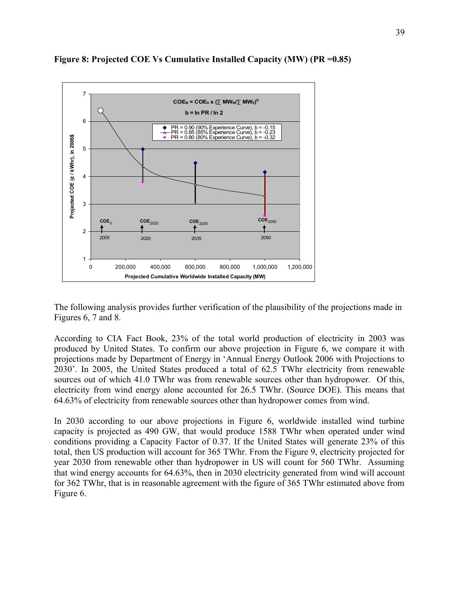

**Figure 8: Projected COE Vs Cumulative Installed Capacity (MW) (PR =0.85)**

The following analysis provides further verification of the plausibility of the projections made in Figures 6, 7 and 8.

According to CIA Fact Book, 23% of the total world production of electricity in 2003 was produced by United States. To confirm our above projection in Figure 6, we compare it with projections made by Department of Energy in 'Annual Energy Outlook 2006 with Projections to 2030'. In 2005, the United States produced a total of 62.5 TWhr electricity from renewable sources out of which 41.0 TWhr was from renewable sources other than hydropower. Of this, electricity from wind energy alone accounted for 26.5 TWhr. (Source DOE). This means that 64.63% of electricity from renewable sources other than hydropower comes from wind.

In 2030 according to our above projections in Figure 6, worldwide installed wind turbine capacity is projected as 490 GW, that would produce 1588 TWhr when operated under wind conditions providing a Capacity Factor of 0.37. If the United States will generate 23% of this total, then US production will account for 365 TWhr. From the Figure 9, electricity projected for year 2030 from renewable other than hydropower in US will count for 560 TWhr. Assuming that wind energy accounts for 64.63%, then in 2030 electricity generated from wind will account for 362 TWhr, that is in reasonable agreement with the figure of 365 TWhr estimated above from Figure 6.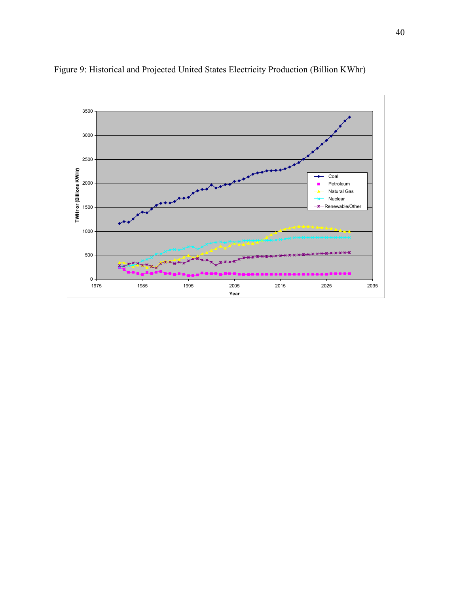

Figure 9: Historical and Projected United States Electricity Production (Billion KWhr)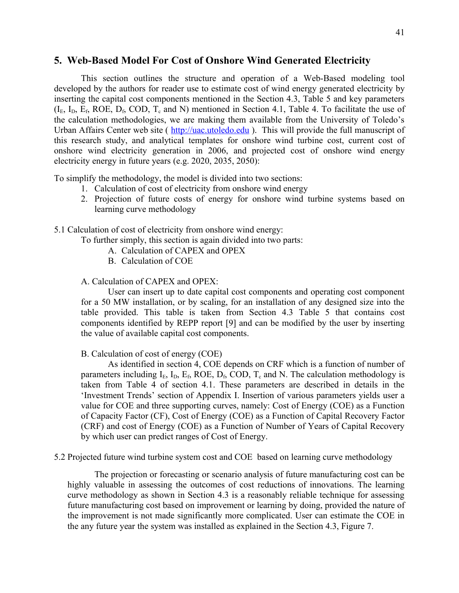#### **5. Web-Based Model For Cost of Onshore Wind Generated Electricity**

This section outlines the structure and operation of a Web-Based modeling tool developed by the authors for reader use to estimate cost of wind energy generated electricity by inserting the capital cost components mentioned in the Section 4.3, Table 5 and key parameters  $(I<sub>E</sub>, I<sub>D</sub>, E<sub>f</sub>, ROE, D<sub>f</sub>, COD, T<sub>c</sub> and N) mentioned in Section 4.1, Table 4. To facilitate the use of$ the calculation methodologies, we are making them available from the University of Toledo's Urban Affairs Center web site ( [http://uac.utoledo.edu](http://uac.utoledo.edu/) ). This will provide the full manuscript of this research study, and analytical templates for onshore wind turbine cost, current cost of onshore wind electricity generation in 2006, and projected cost of onshore wind energy electricity energy in future years (e.g. 2020, 2035, 2050):

To simplify the methodology, the model is divided into two sections:

- 1. Calculation of cost of electricity from onshore wind energy
- 2. Projection of future costs of energy for onshore wind turbine systems based on learning curve methodology
- 5.1 Calculation of cost of electricity from onshore wind energy:

To further simply, this section is again divided into two parts:

- A. Calculation of CAPEX and OPEX
- B. Calculation of COE
- A. Calculation of CAPEX and OPEX:

User can insert up to date capital cost components and operating cost component for a 50 MW installation, or by scaling, for an installation of any designed size into the table provided. This table is taken from Section 4.3 Table 5 that contains cost components identified by REPP report [9] and can be modified by the user by inserting the value of available capital cost components.

#### B. Calculation of cost of energy (COE)

As identified in section 4, COE depends on CRF which is a function of number of parameters including  $I_E$ ,  $I_D$ ,  $E_f$ , ROE,  $D_f$ , COD,  $T_c$  and N. The calculation methodology is taken from Table 4 of section 4.1. These parameters are described in details in the 'Investment Trends' section of Appendix I. Insertion of various parameters yields user a value for COE and three supporting curves, namely: Cost of Energy (COE) as a Function of Capacity Factor (CF), Cost of Energy (COE) as a Function of Capital Recovery Factor (CRF) and cost of Energy (COE) as a Function of Number of Years of Capital Recovery by which user can predict ranges of Cost of Energy.

5.2 Projected future wind turbine system cost and COE based on learning curve methodology

The projection or forecasting or scenario analysis of future manufacturing cost can be highly valuable in assessing the outcomes of cost reductions of innovations. The learning curve methodology as shown in Section 4.3 is a reasonably reliable technique for assessing future manufacturing cost based on improvement or learning by doing, provided the nature of the improvement is not made significantly more complicated. User can estimate the COE in the any future year the system was installed as explained in the Section 4.3, Figure 7.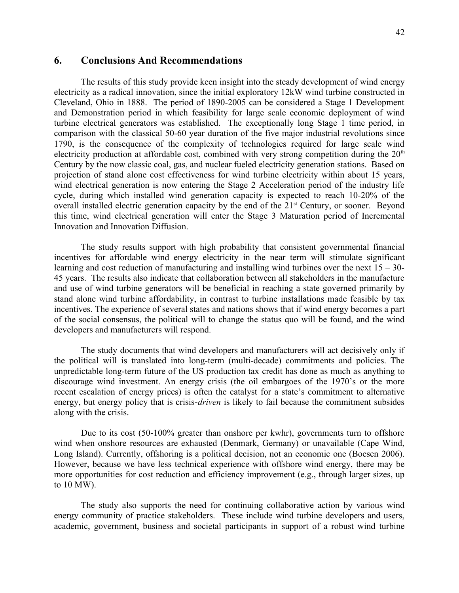#### **6. Conclusions And Recommendations**

The results of this study provide keen insight into the steady development of wind energy electricity as a radical innovation, since the initial exploratory 12kW wind turbine constructed in Cleveland, Ohio in 1888. The period of 1890-2005 can be considered a Stage 1 Development and Demonstration period in which feasibility for large scale economic deployment of wind turbine electrical generators was established. The exceptionally long Stage 1 time period, in comparison with the classical 50-60 year duration of the five major industrial revolutions since 1790, is the consequence of the complexity of technologies required for large scale wind electricity production at affordable cost, combined with very strong competition during the  $20<sup>th</sup>$ Century by the now classic coal, gas, and nuclear fueled electricity generation stations. Based on projection of stand alone cost effectiveness for wind turbine electricity within about 15 years, wind electrical generation is now entering the Stage 2 Acceleration period of the industry life cycle, during which installed wind generation capacity is expected to reach 10-20% of the overall installed electric generation capacity by the end of the 21<sup>st</sup> Century, or sooner. Beyond this time, wind electrical generation will enter the Stage 3 Maturation period of Incremental Innovation and Innovation Diffusion.

The study results support with high probability that consistent governmental financial incentives for affordable wind energy electricity in the near term will stimulate significant learning and cost reduction of manufacturing and installing wind turbines over the next  $15 - 30$ -45 years. The results also indicate that collaboration between all stakeholders in the manufacture and use of wind turbine generators will be beneficial in reaching a state governed primarily by stand alone wind turbine affordability, in contrast to turbine installations made feasible by tax incentives. The experience of several states and nations shows that if wind energy becomes a part of the social consensus, the political will to change the status quo will be found, and the wind developers and manufacturers will respond.

The study documents that wind developers and manufacturers will act decisively only if the political will is translated into long-term (multi-decade) commitments and policies. The unpredictable long-term future of the US production tax credit has done as much as anything to discourage wind investment. An energy crisis (the oil embargoes of the 1970's or the more recent escalation of energy prices) is often the catalyst for a state's commitment to alternative energy, but energy policy that is crisis-*driven* is likely to fail because the commitment subsides along with the crisis.

Due to its cost (50-100% greater than onshore per kwhr), governments turn to offshore wind when onshore resources are exhausted (Denmark, Germany) or unavailable (Cape Wind, Long Island). Currently, offshoring is a political decision, not an economic one (Boesen 2006). However, because we have less technical experience with offshore wind energy, there may be more opportunities for cost reduction and efficiency improvement (e.g., through larger sizes, up to 10 MW).

The study also supports the need for continuing collaborative action by various wind energy community of practice stakeholders. These include wind turbine developers and users, academic, government, business and societal participants in support of a robust wind turbine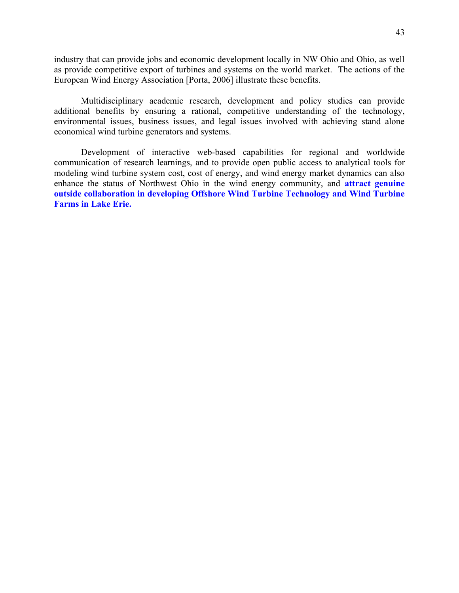industry that can provide jobs and economic development locally in NW Ohio and Ohio, as well as provide competitive export of turbines and systems on the world market. The actions of the European Wind Energy Association [Porta, 2006] illustrate these benefits.

Multidisciplinary academic research, development and policy studies can provide additional benefits by ensuring a rational, competitive understanding of the technology, environmental issues, business issues, and legal issues involved with achieving stand alone economical wind turbine generators and systems.

Development of interactive web-based capabilities for regional and worldwide communication of research learnings, and to provide open public access to analytical tools for modeling wind turbine system cost, cost of energy, and wind energy market dynamics can also enhance the status of Northwest Ohio in the wind energy community, and **attract genuine outside collaboration in developing Offshore Wind Turbine Technology and Wind Turbine Farms in Lake Erie.**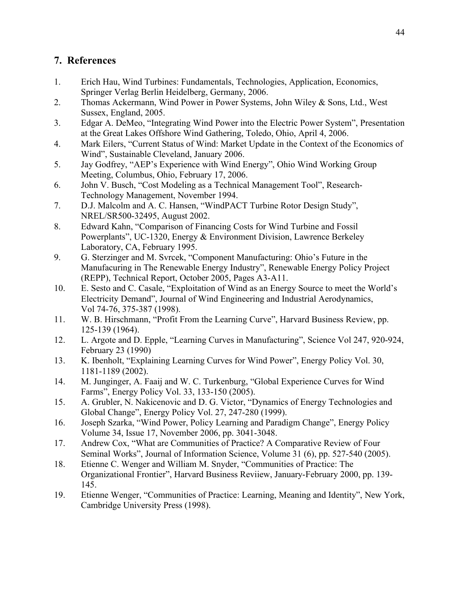### **7. References**

- 1. Erich Hau, Wind Turbines: Fundamentals, Technologies, Application, Economics, Springer Verlag Berlin Heidelberg, Germany, 2006.
- 2. Thomas Ackermann, Wind Power in Power Systems, John Wiley & Sons, Ltd., West Sussex, England, 2005.
- 3. Edgar A. DeMeo, "Integrating Wind Power into the Electric Power System", Presentation at the Great Lakes Offshore Wind Gathering, Toledo, Ohio, April 4, 2006.
- 4. Mark Eilers, "Current Status of Wind: Market Update in the Context of the Economics of Wind", Sustainable Cleveland, January 2006.
- 5. Jay Godfrey, "AEP's Experience with Wind Energy", Ohio Wind Working Group Meeting, Columbus, Ohio, February 17, 2006.
- 6. John V. Busch, "Cost Modeling as a Technical Management Tool", Research-Technology Management, November 1994.
- 7. D.J. Malcolm and A. C. Hansen, "WindPACT Turbine Rotor Design Study", NREL/SR500-32495, August 2002.
- 8. Edward Kahn, "Comparison of Financing Costs for Wind Turbine and Fossil Powerplants", UC-1320, Energy & Environment Division, Lawrence Berkeley Laboratory, CA, February 1995.
- 9. G. Sterzinger and M. Svrcek, "Component Manufacturing: Ohio's Future in the Manufacuring in The Renewable Energy Industry", Renewable Energy Policy Project (REPP), Technical Report, October 2005, Pages A3-A11.
- 10. E. Sesto and C. Casale, "Exploitation of Wind as an Energy Source to meet the World's Electricity Demand", Journal of Wind Engineering and Industrial Aerodynamics, Vol 74-76, 375-387 (1998).
- 11. W. B. Hirschmann, "Profit From the Learning Curve", Harvard Business Review, pp. 125-139 (1964).
- 12. L. Argote and D. Epple, "Learning Curves in Manufacturing", Science Vol 247, 920-924, February 23 (1990)
- 13. K. Ibenholt, "Explaining Learning Curves for Wind Power", Energy Policy Vol. 30, 1181-1189 (2002).
- 14. M. Junginger, A. Faaij and W. C. Turkenburg, "Global Experience Curves for Wind Farms", Energy Policy Vol. 33, 133-150 (2005).
- 15. A. Grubler, N. Nakicenovic and D. G. Victor, "Dynamics of Energy Technologies and Global Change", Energy Policy Vol. 27, 247-280 (1999).
- 16. Joseph Szarka, "Wind Power, Policy Learning and Paradigm Change", Energy Policy Volume 34, Issue 17, November 2006, pp. 3041-3048.
- 17. Andrew Cox, "What are Communities of Practice? A Comparative Review of Four Seminal Works", Journal of Information Science, Volume 31 (6), pp. 527-540 (2005).
- 18. Etienne C. Wenger and William M. Snyder, "Communities of Practice: The Organizational Frontier", Harvard Business Reviiew, January-February 2000, pp. 139- 145.
- 19. Etienne Wenger, "Communities of Practice: Learning, Meaning and Identity", New York, Cambridge University Press (1998).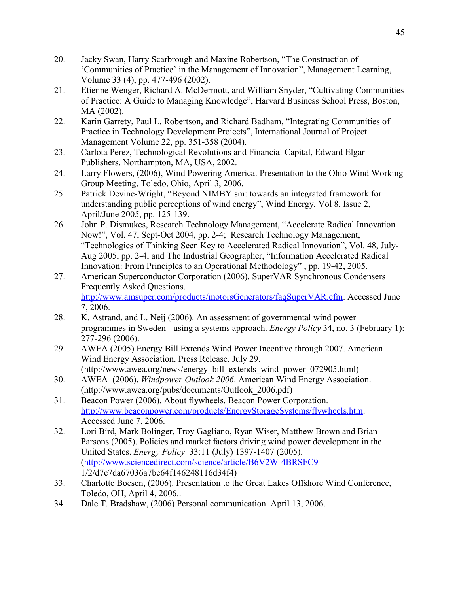- 20. Jacky Swan, Harry Scarbrough and Maxine Robertson, "The Construction of 'Communities of Practice' in the Management of Innovation", Management Learning, Volume 33 (4), pp. 477-496 (2002).
- 21. Etienne Wenger, Richard A. McDermott, and William Snyder, "Cultivating Communities of Practice: A Guide to Managing Knowledge", Harvard Business School Press, Boston, MA (2002).
- 22. Karin Garrety, Paul L. Robertson, and Richard Badham, "Integrating Communities of Practice in Technology Development Projects", International Journal of Project Management Volume 22, pp. 351-358 (2004).
- 23. Carlota Perez, Technological Revolutions and Financial Capital, Edward Elgar Publishers, Northampton, MA, USA, 2002.
- 24. Larry Flowers, (2006), Wind Powering America. Presentation to the Ohio Wind Working Group Meeting, Toledo, Ohio, April 3, 2006.
- 25. Patrick Devine-Wright, "Beyond NIMBYism: towards an integrated framework for understanding public perceptions of wind energy", Wind Energy, Vol 8, Issue 2, April/June 2005, pp. 125-139.
- 26. John P. Dismukes, Research Technology Management, "Accelerate Radical Innovation Now!", Vol. 47, Sept-Oct 2004, pp. 2-4; Research Technology Management, "Technologies of Thinking Seen Key to Accelerated Radical Innovation", Vol. 48, July-Aug 2005, pp. 2-4; and The Industrial Geographer, "Information Accelerated Radical Innovation: From Principles to an Operational Methodology" , pp. 19-42, 2005.
- 27. American Superconductor Corporation (2006). SuperVAR Synchronous Condensers Frequently Asked Questions. [http://www.amsuper.com/products/motorsGenerators/faqSuperVAR.cfm.](http://www.amsuper.com/products/motorsGenerators/faqSuperVAR.cfm) Accessed June 7, 2006.
- 28. K. Astrand, and L. Neij (2006). An assessment of governmental wind power programmes in Sweden - using a systems approach. *Energy Policy* 34, no. 3 (February 1): 277-296 (2006).
- 29. AWEA (2005) Energy Bill Extends Wind Power Incentive through 2007. American Wind Energy Association. Press Release. July 29. (http://www.awea.org/news/energy\_bill\_extends\_wind\_power\_072905.html)
- 30. AWEA (2006). *Windpower Outlook 2006*. American Wind Energy Association. (http://www.awea.org/pubs/documents/Outlook\_2006.pdf)
- 31. Beacon Power (2006). About flywheels. Beacon Power Corporation. [http://www.beaconpower.com/products/EnergyStorageSystems/flywheels.htm.](http://www.beaconpower.com/products/EnergyStorageSystems/flywheels.htm) Accessed June 7, 2006.
- 32. Lori Bird, Mark Bolinger, Troy Gagliano, Ryan Wiser, Matthew Brown and Brian Parsons (2005). Policies and market factors driving wind power development in the United States. *Energy Policy* 33:11 (July) 1397-1407 (2005). [\(http://www.sciencedirect.com/science/article/B6V2W-4BRSFC9-](http://www.sciencedirect.com/science/article/B6V2W-4BRSFC9-) 1/2/d7c7da67036a7bc64f146248116d34f4)
- 33. Charlotte Boesen, (2006). Presentation to the Great Lakes Offshore Wind Conference, Toledo, OH, April 4, 2006..
- 34. Dale T. Bradshaw, (2006) Personal communication. April 13, 2006.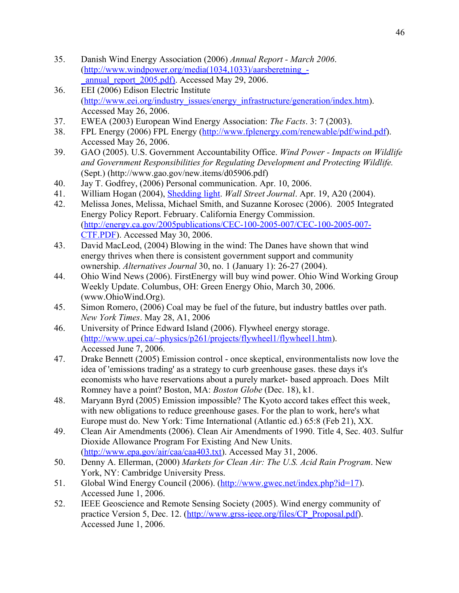- 35. Danish Wind Energy Association (2006) *Annual Report March 2006*. [\(http://www.windpower.org/media\(1034,1033\)/aarsberetning\\_-](http://www.windpower.org/media(1034,1033)/aarsberetning_-_annual_report_2005.pdf)) [\\_annual\\_report\\_2005.pdf\).](http://www.windpower.org/media(1034,1033)/aarsberetning_-_annual_report_2005.pdf)) Accessed May 29, 2006.
- 36. EEI (2006) Edison Electric Institute [\(http://www.eei.org/industry\\_issues/energy\\_infrastructure/generation/index.htm\)](http://www.eei.org/industry_issues/energy_infrastructure/generation/index.htm). Accessed May 26, 2006.
- 37. EWEA (2003) European Wind Energy Association: *The Facts*. 3: 7 (2003).
- 38. FPL Energy (2006) FPL Energy [\(http://www.fplenergy.com/renewable/pdf/wind.pdf\)](http://www.fplenergy.com/renewable/pdf/wind.pdf). Accessed May 26, 2006.
- 39. GAO (2005). U.S. Government Accountability Office. *Wind Power Impacts on Wildlife and Government Responsibilities for Regulating Development and Protecting Wildlife.* (Sept.) (http://www.gao.gov/new.items/d05906.pdf)
- 40. Jay T. Godfrey, (2006) Personal communication. Apr. 10, 2006.
- 41. William Hogan (2004), [Shedding light.](http://www.ksg.harvard.edu/hepg/Papers/hogan.shed.light.WSJ.0404.pdf) *Wall Street Journal*. Apr. 19, A20 (2004).
- 42. Melissa Jones, Melissa, Michael Smith, and Suzanne Korosec (2006). 2005 Integrated Energy Policy Report. February. California Energy Commission. [\(http://energy.ca.gov/2005publications/CEC-100-2005-007/CEC-100-2005-007-](http://energy.ca.gov/2005publications/CEC-100-2005-007/CEC-100-2005-007-CTF.PDF) [CTF.PDF\)](http://energy.ca.gov/2005publications/CEC-100-2005-007/CEC-100-2005-007-CTF.PDF). Accessed May 30, 2006.
- 43. David MacLeod, (2004) Blowing in the wind: The Danes have shown that wind energy thrives when there is consistent government support and community ownership. *Alternatives Journal* 30, no. 1 (January 1): 26-27 (2004).
- 44. Ohio Wind News (2006). FirstEnergy will buy wind power. Ohio Wind Working Group Weekly Update. Columbus, OH: Green Energy Ohio, March 30, 2006. (www.OhioWind.Org).
- 45. Simon Romero, (2006) Coal may be fuel of the future, but industry battles over path. *New York Times*. May 28, A1, 2006
- 46. University of Prince Edward Island (2006). Flywheel energy storage. [\(http://www.upei.ca/~physics/p261/projects/flywheel1/flywheel1.htm\)](http://www.upei.ca/~physics/p261/projects/flywheel1/flywheel1.htm). Accessed June 7, 2006.
- 47. Drake Bennett (2005) Emission control once skeptical, environmentalists now love the idea of 'emissions trading' as a strategy to curb greenhouse gases. these days it's economists who have reservations about a purely market- based approach. Does Milt Romney have a point? Boston, MA: *Boston Globe* (Dec. 18), k1.
- 48. Maryann Byrd (2005) Emission impossible? The Kyoto accord takes effect this week, with new obligations to reduce greenhouse gases. For the plan to work, here's what Europe must do. New York: Time International (Atlantic ed.) 65:8 (Feb 21), XX.
- 49. Clean Air Amendments (2006). Clean Air Amendments of 1990. Title 4, Sec. 403. Sulfur Dioxide Allowance Program For Existing And New Units. [\(http://www.epa.gov/air/caa/caa403.txt\)](http://www.epa.gov/air/caa/caa403.txt). Accessed May 31, 2006.
- 50. Denny A. Ellerman, (2000) *Markets for Clean Air: The U.S. Acid Rain Program*. New York, NY: Cambridge University Press.
- 51. Global Wind Energy Council (2006). [\(http://www.gwec.net/index.php?id=17\)](http://www.gwec.net/index.php?id=17). Accessed June 1, 2006.
- 52. IEEE Geoscience and Remote Sensing Society (2005). Wind energy community of practice Version 5, Dec. 12. [\(http://www.grss-ieee.org/files/CP\\_Proposal.pdf\)](http://www.grss-ieee.org/files/CP_Proposal.pdf). Accessed June 1, 2006.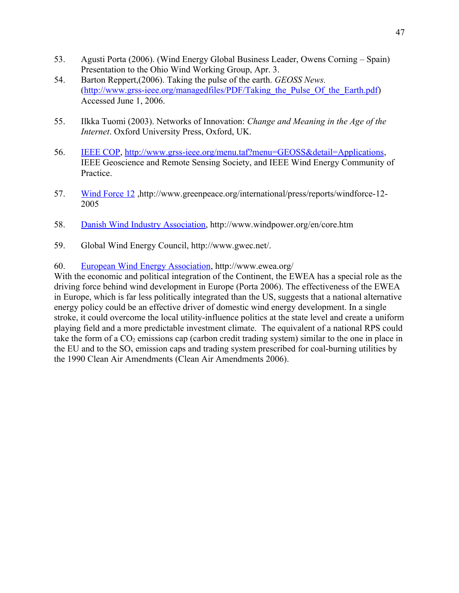- 53. Agusti Porta (2006). (Wind Energy Global Business Leader, Owens Corning Spain) Presentation to the Ohio Wind Working Group, Apr. 3.
- 54. Barton Reppert,(2006). Taking the pulse of the earth. *GEOSS News.* (http://www.grss-ieee.org/managedfiles/PDF/Taking the Pulse Of the Earth.pdf) Accessed June 1, 2006.
- 55. Ilkka Tuomi (2003). Networks of Innovation: *Change and Meaning in the Age of the Internet*. Oxford University Press, Oxford, UK.
- 56. [IEEE COP, http://www.grss-ieee.org/menu.taf?menu=GEOSS&detail=Applications,](http://www.grss-ieee.org/menu.taf?menu=GEOSS&detail=Applications) IEEE Geoscience and Remote Sensing Society, and IEEE Wind Energy Community of Practice.
- 57. [Wind Force 12](http://www.greenpeace.org/international/press/reports/windforce-12-2005) ,http://www.greenpeace.org/international/press/reports/windforce-12- 2005
- 58. [Danish Wind Industry Association,](http://www.windpower.org/) http://www.windpower.org/en/core.htm
- 59. Global Wind Energy Council, http://www.gwec.net/.

#### 60. [European Wind Energy Association,](http://www.ewea.org/) http://www.ewea.org/

With the economic and political integration of the Continent, the EWEA has a special role as the driving force behind wind development in Europe (Porta 2006). The effectiveness of the EWEA in Europe, which is far less politically integrated than the US, suggests that a national alternative energy policy could be an effective driver of domestic wind energy development. In a single stroke, it could overcome the local utility-influence politics at the state level and create a uniform playing field and a more predictable investment climate. The equivalent of a national RPS could take the form of a  $CO<sub>2</sub>$  emissions cap (carbon credit trading system) similar to the one in place in the EU and to the  $SO_x$  emission caps and trading system prescribed for coal-burning utilities by the 1990 Clean Air Amendments (Clean Air Amendments 2006).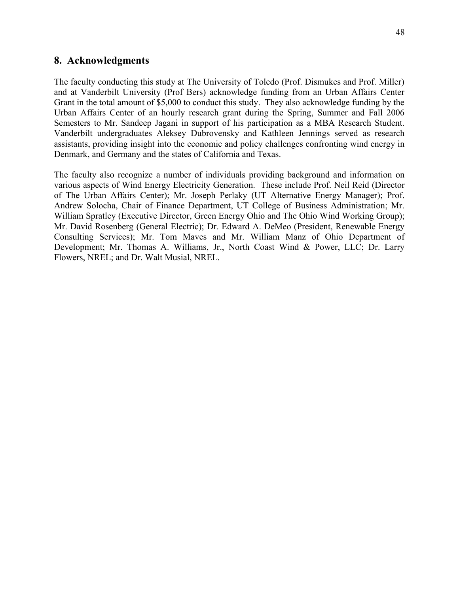#### **8. Acknowledgments**

The faculty conducting this study at The University of Toledo (Prof. Dismukes and Prof. Miller) and at Vanderbilt University (Prof Bers) acknowledge funding from an Urban Affairs Center Grant in the total amount of \$5,000 to conduct this study. They also acknowledge funding by the Urban Affairs Center of an hourly research grant during the Spring, Summer and Fall 2006 Semesters to Mr. Sandeep Jagani in support of his participation as a MBA Research Student. Vanderbilt undergraduates Aleksey Dubrovensky and Kathleen Jennings served as research assistants, providing insight into the economic and policy challenges confronting wind energy in Denmark, and Germany and the states of California and Texas.

The faculty also recognize a number of individuals providing background and information on various aspects of Wind Energy Electricity Generation. These include Prof. Neil Reid (Director of The Urban Affairs Center); Mr. Joseph Perlaky (UT Alternative Energy Manager); Prof. Andrew Solocha, Chair of Finance Department, UT College of Business Administration; Mr. William Spratley (Executive Director, Green Energy Ohio and The Ohio Wind Working Group); Mr. David Rosenberg (General Electric); Dr. Edward A. DeMeo (President, Renewable Energy Consulting Services); Mr. Tom Maves and Mr. William Manz of Ohio Department of Development; Mr. Thomas A. Williams, Jr., North Coast Wind & Power, LLC; Dr. Larry Flowers, NREL; and Dr. Walt Musial, NREL.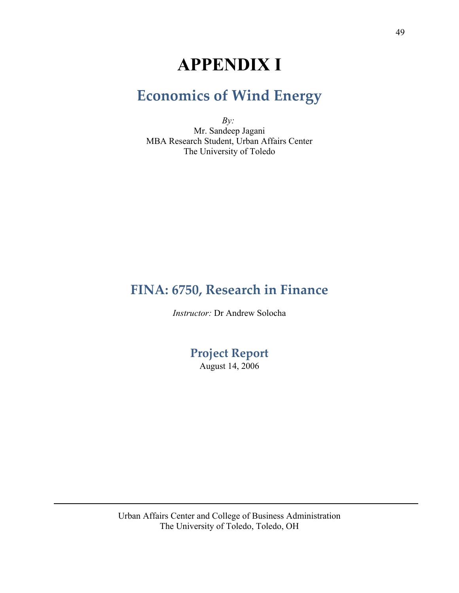# **APPENDIX I**

# **Economics of Wind Energy**

*By:* Mr. Sandeep Jagani MBA Research Student, Urban Affairs Center The University of Toledo

## **FINA: 6750, Research in Finance**

*Instructor:* Dr Andrew Solocha

**Project Report**

August 14, 2006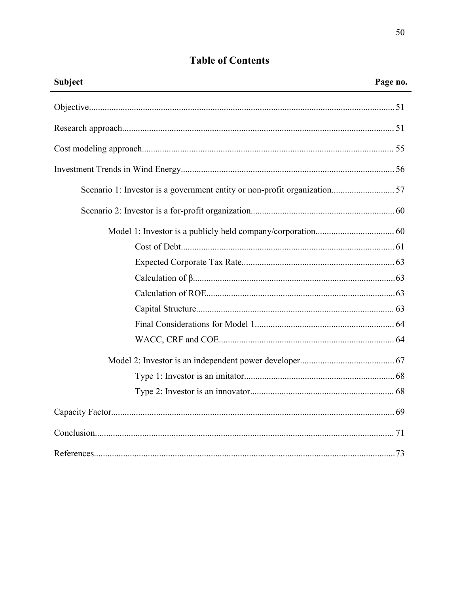| <b>Table of Contents</b> |  |
|--------------------------|--|
|--------------------------|--|

| Subject | Page no. |
|---------|----------|
|         |          |
|         |          |
|         |          |
|         |          |
|         |          |
|         |          |
|         |          |
|         |          |
|         |          |
|         |          |
|         |          |
|         |          |
|         |          |
|         |          |
|         |          |
|         |          |
|         |          |
|         |          |
|         |          |
|         |          |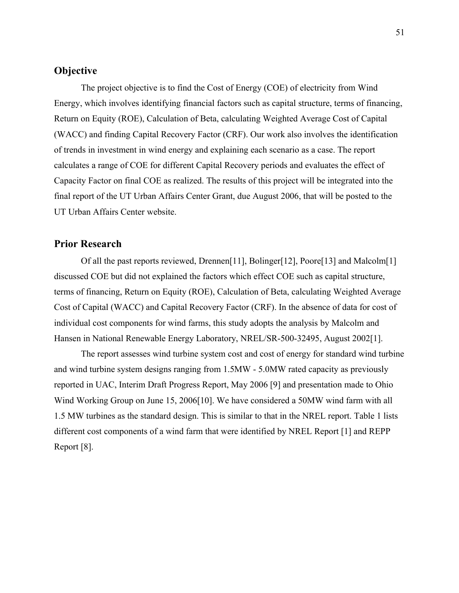#### **Objective**

The project objective is to find the Cost of Energy (COE) of electricity from Wind Energy, which involves identifying financial factors such as capital structure, terms of financing, Return on Equity (ROE), Calculation of Beta, calculating Weighted Average Cost of Capital (WACC) and finding Capital Recovery Factor (CRF). Our work also involves the identification of trends in investment in wind energy and explaining each scenario as a case. The report calculates a range of COE for different Capital Recovery periods and evaluates the effect of Capacity Factor on final COE as realized. The results of this project will be integrated into the final report of the UT Urban Affairs Center Grant, due August 2006, that will be posted to the UT Urban Affairs Center website.

#### **Prior Research**

Of all the past reports reviewed, Drennen[11], Bolinger[12], Poore[13] and Malcolm[1] discussed COE but did not explained the factors which effect COE such as capital structure, terms of financing, Return on Equity (ROE), Calculation of Beta, calculating Weighted Average Cost of Capital (WACC) and Capital Recovery Factor (CRF). In the absence of data for cost of individual cost components for wind farms, this study adopts the analysis by Malcolm and Hansen in National Renewable Energy Laboratory, NREL/SR-500-32495, August 2002[1].

The report assesses wind turbine system cost and cost of energy for standard wind turbine and wind turbine system designs ranging from 1.5MW - 5.0MW rated capacity as previously reported in UAC, Interim Draft Progress Report, May 2006 [9] and presentation made to Ohio Wind Working Group on June 15, 2006[10]. We have considered a 50MW wind farm with all 1.5 MW turbines as the standard design. This is similar to that in the NREL report. Table 1 lists different cost components of a wind farm that were identified by NREL Report [1] and REPP Report [8].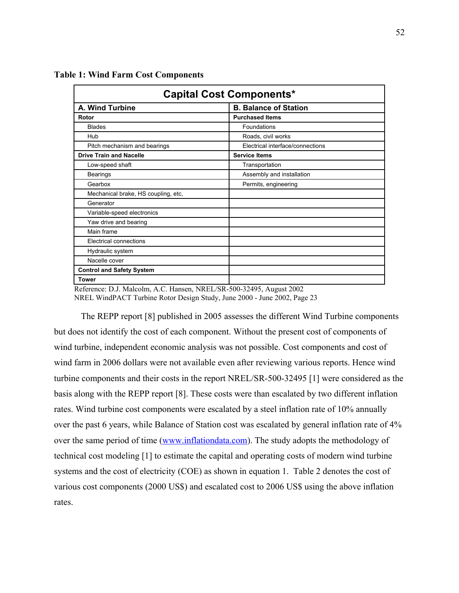| <b>Capital Cost Components*</b>     |                                  |  |  |  |  |  |  |
|-------------------------------------|----------------------------------|--|--|--|--|--|--|
| A. Wind Turbine                     | <b>B. Balance of Station</b>     |  |  |  |  |  |  |
| Rotor                               | <b>Purchased Items</b>           |  |  |  |  |  |  |
| <b>Blades</b>                       | Foundations                      |  |  |  |  |  |  |
| Hub                                 | Roads, civil works               |  |  |  |  |  |  |
| Pitch mechanism and bearings        | Electrical interface/connections |  |  |  |  |  |  |
| <b>Drive Train and Nacelle</b>      | <b>Service Items</b>             |  |  |  |  |  |  |
| Low-speed shaft                     | Transportation                   |  |  |  |  |  |  |
| <b>Bearings</b>                     | Assembly and installation        |  |  |  |  |  |  |
| Gearbox                             | Permits, engineering             |  |  |  |  |  |  |
| Mechanical brake, HS coupling, etc, |                                  |  |  |  |  |  |  |
| Generator                           |                                  |  |  |  |  |  |  |
| Variable-speed electronics          |                                  |  |  |  |  |  |  |
| Yaw drive and bearing               |                                  |  |  |  |  |  |  |
| Main frame                          |                                  |  |  |  |  |  |  |
| Electrical connections              |                                  |  |  |  |  |  |  |
| Hydraulic system                    |                                  |  |  |  |  |  |  |
| Nacelle cover                       |                                  |  |  |  |  |  |  |
| <b>Control and Safety System</b>    |                                  |  |  |  |  |  |  |
| <b>Tower</b>                        |                                  |  |  |  |  |  |  |

**Table 1: Wind Farm Cost Components**

Reference: D.J. Malcolm, A.C. Hansen, NREL/SR-500-32495, August 2002 NREL WindPACT Turbine Rotor Design Study, June 2000 - June 2002, Page 23

The REPP report [8] published in 2005 assesses the different Wind Turbine components but does not identify the cost of each component. Without the present cost of components of wind turbine, independent economic analysis was not possible. Cost components and cost of wind farm in 2006 dollars were not available even after reviewing various reports. Hence wind turbine components and their costs in the report NREL/SR-500-32495 [1] were considered as the basis along with the REPP report [8]. These costs were than escalated by two different inflation rates. Wind turbine cost components were escalated by a steel inflation rate of 10% annually over the past 6 years, while Balance of Station cost was escalated by general inflation rate of 4% over the same period of time [\(www.inflationdata.com\)](http://www.inflationdata.com/). The study adopts the methodology of technical cost modeling [1] to estimate the capital and operating costs of modern wind turbine systems and the cost of electricity (COE) as shown in equation 1. Table 2 denotes the cost of various cost components (2000 US\$) and escalated cost to 2006 US\$ using the above inflation rates.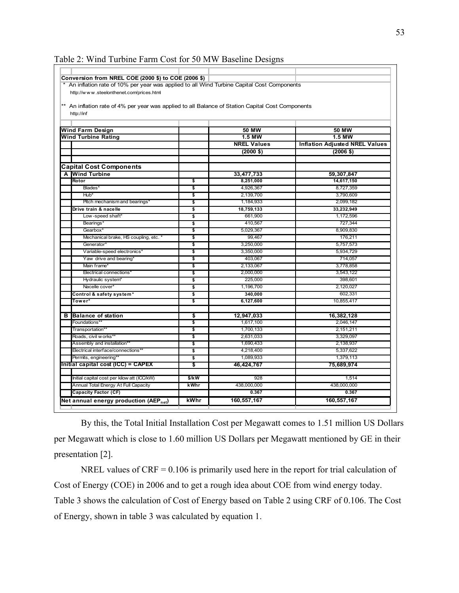| An inflation rate of 10% per year was applied to all Wind Turbine Capital Cost Components         |         |                         |                                       |
|---------------------------------------------------------------------------------------------------|---------|-------------------------|---------------------------------------|
| http://www.steelonthenet.com/prices.html                                                          |         |                         |                                       |
| ** An inflation rate of 4% per year was applied to all Balance of Station Capital Cost Components |         |                         |                                       |
| http://inf                                                                                        |         |                         |                                       |
|                                                                                                   |         |                         |                                       |
|                                                                                                   |         |                         |                                       |
| <b>Wind Farm Design</b>                                                                           |         | <b>50 MW</b>            | <b>50 MW</b>                          |
| <b>Wind Turbine Rating</b>                                                                        |         | $1.5$ MW                | <b>1.5 MW</b>                         |
|                                                                                                   |         | <b>NREL Values</b>      | <b>Inflation Adjusted NREL Values</b> |
|                                                                                                   |         | $(2000 \text{ $}0)$     | $(2006 \; \text{$})$                  |
|                                                                                                   |         |                         |                                       |
| Capital Cost Components                                                                           |         |                         |                                       |
| <b>Wind Turbine</b><br>A<br>Rotor                                                                 | \$      | 33,477,733<br>8,251,000 | 59,307,847<br>14,617,150              |
| Blades <sup>*</sup>                                                                               | \$      | 4,926,367               | 8,727,359                             |
| Hub*                                                                                              | \$      | 2,139,700               | 3,790,609                             |
| Pitch mechanism and bearings'                                                                     | \$      | 1,184,933               | 2,099,182                             |
| Drive train & nacelle                                                                             | \$      | 18.759.133              | 33,232,949                            |
| Low-speed shaft*                                                                                  | \$      | 661,900                 | 1,172,596                             |
| Bearings'                                                                                         | \$      | 410,567                 | 727,344                               |
| Gearbox*                                                                                          | \$      | 5,029,367               | 8,909,830                             |
| Mechanical brake, HS coupling, etc. *                                                             | \$      | 99,467                  | 176,211                               |
| Generator'                                                                                        | Ŝ.      | 3.250.000               | 5.757.573                             |
| Variable-speed electronics*                                                                       | \$      | 3,350,000               | 5,934,729                             |
| Yaw drive and bearing*                                                                            | \$      | 403.067                 | 714,057                               |
| Main frame*                                                                                       | \$      | 2,133,067               | 3,778,858                             |
| Electrical connections*                                                                           | \$      | 2.000.000               | 3,543,122                             |
| Hydraulic system*                                                                                 | \$      | 225,000                 | 398,601                               |
| Nacelle cover*                                                                                    | \$      | 1.196.700               | 2.120.027                             |
| Control & safety system*                                                                          | \$      | 340,000                 | 602,331                               |
| Tower*                                                                                            | \$      | 6,127,600               | 10,855,417                            |
|                                                                                                   |         |                         |                                       |
| в<br><b>Balance of station</b>                                                                    | \$      | 12,947,033              | 16,382,128                            |
| Foundations*                                                                                      | \$      | 1,617,100               | 2,046,147                             |
| Transportation**                                                                                  | \$      | 1.700.133               | 2,151,211                             |
| Roads, civil w orks**                                                                             | \$      | 2,631,033               | 3,329,097                             |
| Assembly and installation**                                                                       | \$      | 1,690,433               | 2,138,937                             |
| Electrical interface/connections**                                                                | \$      | 4,218,400               | 5,337,622                             |
| Permits, engineering*                                                                             | \$      | 1,089,933               | 1,379,113                             |
| Initial capital cost (ICC) = CAPEX                                                                | \$      | 46,424,767              | 75,689,974                            |
| Initial capital cost per kilow att (ICC/kW)                                                       | $$$ /kW | 928                     | 1,514                                 |
| Annual Total Energy At Full Capacity                                                              |         | 438,000,000             | 438,000,000                           |
| Capacity Factor (CF)                                                                              | kWhr    | 0.367                   | 0.367                                 |
|                                                                                                   |         | 160,557,167             |                                       |

Table 2: Wind Turbine Farm Cost for 50 MW Baseline Designs

By this, the Total Initial Installation Cost per Megawatt comes to 1.51 million US Dollars per Megawatt which is close to 1.60 million US Dollars per Megawatt mentioned by GE in their presentation [2].

NREL values of  $CRF = 0.106$  is primarily used here in the report for trial calculation of Cost of Energy (COE) in 2006 and to get a rough idea about COE from wind energy today. Table 3 shows the calculation of Cost of Energy based on Table 2 using CRF of 0.106. The Cost of Energy, shown in table 3 was calculated by equation 1.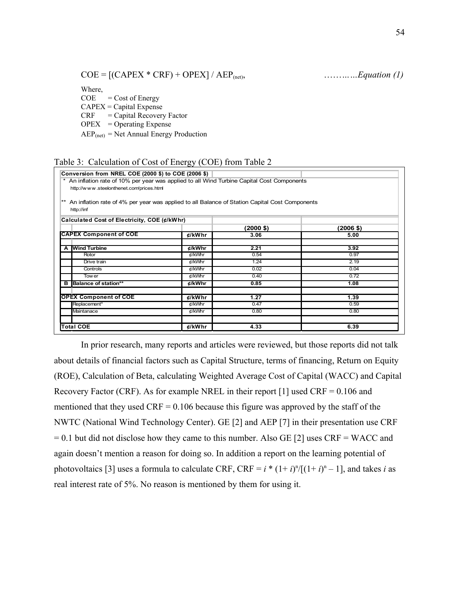$COE = [(CAPEX * CRF) + OPEX] / AEP<sub>(net)</sub>,$  …………*Equation (1)* 

Where,

 $COE = Cost of Energy$  $CAPEX = Capital$  Expense CRF = Capital Recovery Factor  $OPEX = Operating$  Expense  $AEP_{(net)} = Net Annual Energy Production$ 

|  |  | Table 3: Calculation of Cost of Energy (COE) from Table 2 |  |  |  |  |  |  |
|--|--|-----------------------------------------------------------|--|--|--|--|--|--|
|--|--|-----------------------------------------------------------|--|--|--|--|--|--|

|   | Conversion from NREL COE (2000 \$) to COE (2006 \$)                                                                                   |                    |           |           |
|---|---------------------------------------------------------------------------------------------------------------------------------------|--------------------|-----------|-----------|
|   | An inflation rate of 10% per year was applied to all Wind Turbine Capital Cost Components<br>http://www.steelonthenet.com/prices.html |                    |           |           |
|   | An inflation rate of 4% per year was applied to all Balance of Station Capital Cost Components<br>http://inf                          |                    |           |           |
|   | Calculated Cost of Electricity, COE (¢/kWhr)                                                                                          |                    |           |           |
|   |                                                                                                                                       |                    | (2000 \$) | (2006 \$) |
|   | <b>CAPEX Component of COE</b>                                                                                                         | $\mathcal{C}/kWhr$ | 3.06      | 5.00      |
|   | A Wind Turbine                                                                                                                        | ¢/kWhr             | 2.21      | 3.92      |
|   | Rotor                                                                                                                                 | ¢/kWhr             | 0.54      | 0.97      |
|   | Drive train                                                                                                                           | ¢/kWhr             | 1.24      | 2.19      |
|   | Controls                                                                                                                              | ¢/kWhr             | 0.02      | 0.04      |
|   | <b>Tower</b>                                                                                                                          | ¢/kWhr             | 0.40      | 0.72      |
| в | Balance of station**                                                                                                                  | ¢/kWhr             | 0.85      | 1.08      |
|   | <b>OPEX Component of COE</b>                                                                                                          | $t$ /kWhr          | 1.27      | 1.39      |
|   | Replacement*                                                                                                                          | ¢/kWhr             | 0.47      | 0.59      |
|   | Maintanace                                                                                                                            | ¢/kWhr             | 0.80      | 0.80      |
|   | <b>Total COE</b>                                                                                                                      | $t$ /kWhr          | 4.33      | 6.39      |

In prior research, many reports and articles were reviewed, but those reports did not talk about details of financial factors such as Capital Structure, terms of financing, Return on Equity (ROE), Calculation of Beta, calculating Weighted Average Cost of Capital (WACC) and Capital Recovery Factor (CRF). As for example NREL in their report  $[1]$  used CRF = 0.106 and mentioned that they used  $CRF = 0.106$  because this figure was approved by the staff of the NWTC (National Wind Technology Center). GE [2] and AEP [7] in their presentation use CRF  $= 0.1$  but did not disclose how they came to this number. Also GE [2] uses CRF = WACC and again doesn't mention a reason for doing so. In addition a report on the learning potential of photovoltaics [3] uses a formula to calculate CRF, CRF =  $i * (1 + i)^n / [(1 + i)^n - 1]$ , and takes *i* as real interest rate of 5%. No reason is mentioned by them for using it.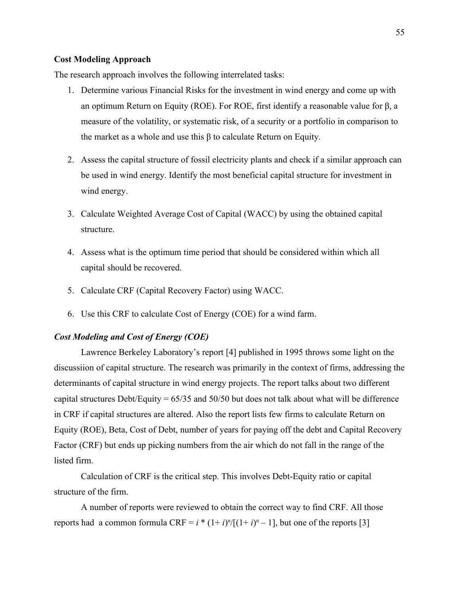#### **Cost Modeling Approach**

The research approach involves the following interrelated tasks:

- 1. Determine various Financial Risks for the investment in wind energy and come up with an optimum Return on Equity (ROE). For ROE, first identify a reasonable value for β, a measure of the volatility, or systematic risk, of a security or a portfolio in comparison to the market as a whole and use this  $\beta$  to calculate Return on Equity.
- 2. Assess the capital structure of fossil electricity plants and check if a similar approach can be used in wind energy. Identify the most beneficial capital structure for investment in wind energy.
- 3. Calculate Weighted Average Cost of Capital (WACC) by using the obtained capital structure.
- 4. Assess what is the optimum time period that should be considered within which all capital should be recovered.
- 5. Calculate CRF (Capital Recovery Factor) using WACC.
- 6. Use this CRF to calculate Cost of Energy (COE) for a wind farm.

#### *Cost Modeling and Cost of Energy (COE)*

Lawrence Berkeley Laboratory's report [4] published in 1995 throws some light on the discussiion of capital structure. The research was primarily in the context of firms, addressing the determinants of capital structure in wind energy projects. The report talks about two different capital structures Debt/Equity = 65/35 and 50/50 but does not talk about what will be difference in CRF if capital structures are altered. Also the report lists few firms to calculate Return on Equity (ROE), Beta, Cost of Debt, number of years for paying off the debt and Capital Recovery Factor (CRF) but ends up picking numbers from the air which do not fall in the range of the listed firm.

Calculation of CRF is the critical step. This involves Debt-Equity ratio or capital structure of the firm.

A number of reports were reviewed to obtain the correct way to find CRF. All those reports had a common formula  $CRF = i * (1 + i)^n / [(1 + i)^n - 1]$ , but one of the reports [3]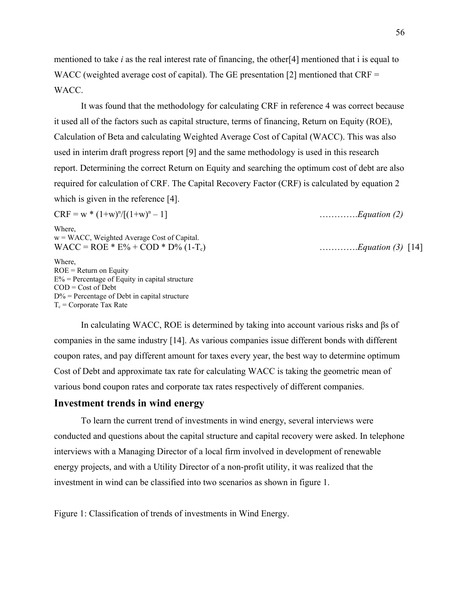mentioned to take *i* as the real interest rate of financing, the other[4] mentioned that i is equal to WACC (weighted average cost of capital). The GE presentation [2] mentioned that CRF = WACC.

It was found that the methodology for calculating CRF in reference 4 was correct because it used all of the factors such as capital structure, terms of financing, Return on Equity (ROE), Calculation of Beta and calculating Weighted Average Cost of Capital (WACC). This was also used in interim draft progress report [9] and the same methodology is used in this research report. Determining the correct Return on Equity and searching the optimum cost of debt are also required for calculation of CRF. The Capital Recovery Factor (CRF) is calculated by equation 2 which is given in the reference [4].

| $CRF = w * (1+w)^n / [(1+w)^n - 1]$                                                                | $\ldots \ldots \ldots$ Equation (2) |
|----------------------------------------------------------------------------------------------------|-------------------------------------|
| Where.<br>$w = WACC$ , Weighted Average Cost of Capital.<br>$WACC = ROE * E\% + COD * D\% (1-T_c)$ | <i>Equation</i> (3) [14]            |
| Where.<br>$ROE = Return$ on Equity<br>$E_0$ = Dependence of $E_0$ ity in conital etructure         |                                     |

 $E\%$  = Percentage of Equity in capital structure COD = Cost of Debt  $D\%$  = Percentage of Debt in capital structure  $T_c$  = Corporate Tax Rate

In calculating WACC, ROE is determined by taking into account various risks and βs of companies in the same industry [14]. As various companies issue different bonds with different coupon rates, and pay different amount for taxes every year, the best way to determine optimum Cost of Debt and approximate tax rate for calculating WACC is taking the geometric mean of various bond coupon rates and corporate tax rates respectively of different companies.

#### **Investment trends in wind energy**

To learn the current trend of investments in wind energy, several interviews were conducted and questions about the capital structure and capital recovery were asked. In telephone interviews with a Managing Director of a local firm involved in development of renewable energy projects, and with a Utility Director of a non-profit utility, it was realized that the investment in wind can be classified into two scenarios as shown in figure 1.

Figure 1: Classification of trends of investments in Wind Energy.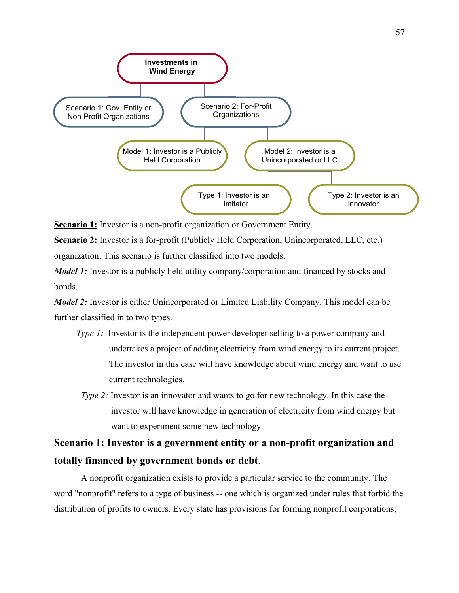

**Scenario 1:** Investor is a non-profit organization or Government Entity.

**Scenario 2:** Investor is a for-profit (Publicly Held Corporation, Unincorporated, LLC, etc.) organization. This scenario is further classified into two models.

*Model 1:* Investor is a publicly held utility company/corporation and financed by stocks and bonds.

*Model 2*: Investor is either Unincorporated or Limited Liability Company. This model can be further classified in to two types.

- *Type 1*: Investor is the independent power developer selling to a power company and undertakes a project of adding electricity from wind energy to its current project. The investor in this case will have knowledge about wind energy and want to use current technologies.
- *Type 2:* Investor is an innovator and wants to go for new technology. In this case the investor will have knowledge in generation of electricity from wind energy but want to experiment some new technology.

### **Scenario 1: Investor is a government entity or a non-profit organization and totally financed by government bonds or debt**.

A nonprofit organization exists to provide a particular service to the community. The word "nonprofit" refers to a type of business -- one which is organized under rules that forbid the distribution of profits to owners. Every state has provisions for forming nonprofit corporations;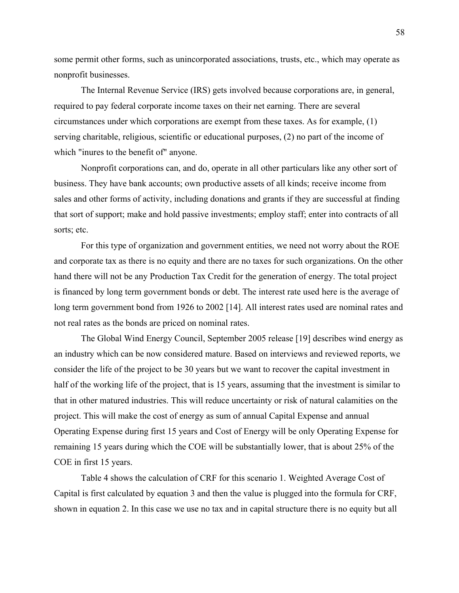some permit other forms, such as unincorporated associations, trusts, etc., which may operate as nonprofit businesses.

The Internal Revenue Service (IRS) gets involved because corporations are, in general, required to pay federal corporate income taxes on their net earning. There are several circumstances under which corporations are exempt from these taxes. As for example, (1) serving charitable, religious, scientific or educational purposes, (2) no part of the income of which "inures to the benefit of" anyone.

Nonprofit corporations can, and do, operate in all other particulars like any other sort of business. They have bank accounts; own productive assets of all kinds; receive income from sales and other forms of activity, including donations and grants if they are successful at finding that sort of support; make and hold passive investments; employ staff; enter into contracts of all sorts; etc.

For this type of organization and government entities, we need not worry about the ROE and corporate tax as there is no equity and there are no taxes for such organizations. On the other hand there will not be any Production Tax Credit for the generation of energy. The total project is financed by long term government bonds or debt. The interest rate used here is the average of long term government bond from 1926 to 2002 [14]. All interest rates used are nominal rates and not real rates as the bonds are priced on nominal rates.

The Global Wind Energy Council, September 2005 release [19] describes wind energy as an industry which can be now considered mature. Based on interviews and reviewed reports, we consider the life of the project to be 30 years but we want to recover the capital investment in half of the working life of the project, that is 15 years, assuming that the investment is similar to that in other matured industries. This will reduce uncertainty or risk of natural calamities on the project. This will make the cost of energy as sum of annual Capital Expense and annual Operating Expense during first 15 years and Cost of Energy will be only Operating Expense for remaining 15 years during which the COE will be substantially lower, that is about 25% of the COE in first 15 years.

Table 4 shows the calculation of CRF for this scenario 1. Weighted Average Cost of Capital is first calculated by equation 3 and then the value is plugged into the formula for CRF, shown in equation 2. In this case we use no tax and in capital structure there is no equity but all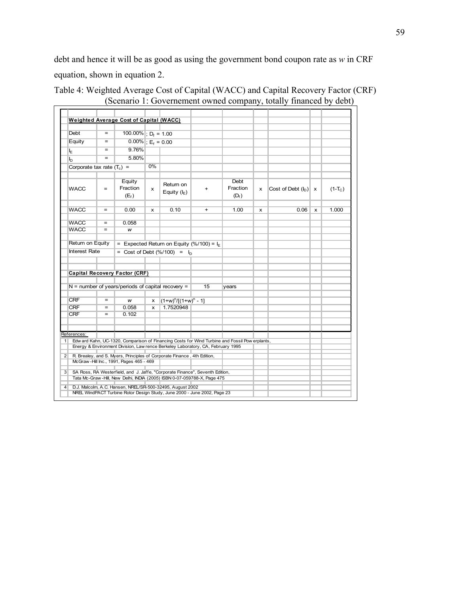debt and hence it will be as good as using the government bond coupon rate as *w* in CRF equation, shown in equation 2.

| Debt                         | $=$        | 100.00% ; $D_f = 1.00$                                                                      |    |                                                                                                |           |                             |   |                        |              |           |
|------------------------------|------------|---------------------------------------------------------------------------------------------|----|------------------------------------------------------------------------------------------------|-----------|-----------------------------|---|------------------------|--------------|-----------|
| Equity                       | $=$        | $0.00\%$ ; E <sub>f</sub> = 0.00                                                            |    |                                                                                                |           |                             |   |                        |              |           |
| ΙE                           |            | 9.76%                                                                                       |    |                                                                                                |           |                             |   |                        |              |           |
| $I_{\rm D}$                  | $=$        | 5.80%                                                                                       |    |                                                                                                |           |                             |   |                        |              |           |
| Corporate tax rate $(T_c)$ = |            |                                                                                             | 0% |                                                                                                |           |                             |   |                        |              |           |
| <b>WACC</b>                  | $=$        | Equity<br>Fraction<br>$(E_f)$                                                               | x  | Return on<br>Equity $(I_F)$                                                                    | $+$       | Debt<br>Fraction<br>$(D_f)$ | x | Cost of Debt $(I_D)$ x |              | $(1-T_C)$ |
| <b>WACC</b>                  | $\equiv$   | 0.00                                                                                        | x  | 0.10                                                                                           | $\ddot{}$ | 1.00                        | x | 0.06                   | $\mathbf{x}$ | 1.000     |
| <b>WACC</b>                  | $=$        | 0.058                                                                                       |    |                                                                                                |           |                             |   |                        |              |           |
| <b>WACC</b>                  | $=$        | w                                                                                           |    |                                                                                                |           |                             |   |                        |              |           |
| Return on Equity             |            |                                                                                             |    | = Expected Return on Equity (%/100) = $I_F$                                                    |           |                             |   |                        |              |           |
| <b>Interest Rate</b>         |            |                                                                                             |    | = Cost of Debt $(\frac{9}{6}/100)$ = $I_{D}$                                                   |           |                             |   |                        |              |           |
|                              |            | <b>Capital Recovery Factor (CRF)</b><br>$N =$ number of years/periods of capital recovery = |    |                                                                                                | 15        | vears                       |   |                        |              |           |
|                              |            |                                                                                             |    |                                                                                                |           |                             |   |                        |              |           |
| <b>CRF</b>                   | $=$        | w                                                                                           | x  | $(1+w)^n/[ (1+w)^n - 1]$                                                                       |           |                             |   |                        |              |           |
| <b>CRF</b><br><b>CRF</b>     | $=$<br>$=$ | 0.058<br>0.102                                                                              | x  | 1.7520948                                                                                      |           |                             |   |                        |              |           |
| References:                  |            |                                                                                             |    | Edw ard Kahn, UC-1320, Comparison of Financing Costs for Wind Turbine and Fossil Pow erplants, |           |                             |   |                        |              |           |
|                              |            |                                                                                             |    | Energy & Environment Division, Law rence Berkeley Laboratory, CA, February 1995                |           |                             |   |                        |              |           |
|                              |            | McGraw-Hill Inc., 1991, Pages 465 - 469                                                     |    | R. Brealey, and S. Myers, Principles of Corporate Finance, 4th Edition,                        |           |                             |   |                        |              |           |
|                              |            |                                                                                             |    |                                                                                                |           |                             |   |                        |              |           |

#### Table 4: Weighted Average Cost of Capital (WACC) and Capital Recovery Factor (CRF) (Scenario 1: Governement owned company, totally financed by debt)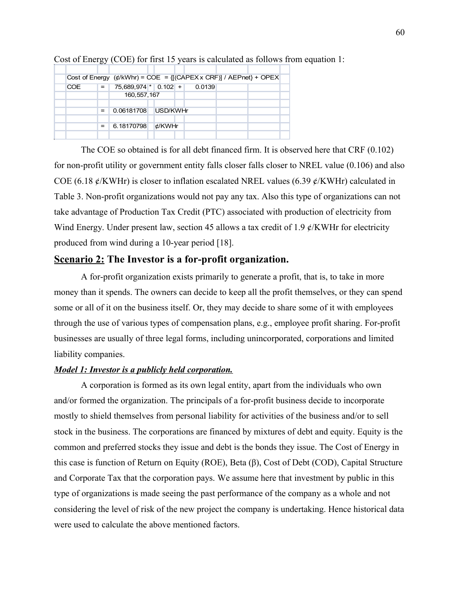|            |     | Cost of Energy $(\phi/kWhr)$ = COE = {[(CAPEX x CRF)] / AEPnet} + OPEX |          |        |  |  |
|------------|-----|------------------------------------------------------------------------|----------|--------|--|--|
| <b>COE</b> | $=$ | 75,689,974 * 0.102 +                                                   |          | 0.0139 |  |  |
|            |     | 160, 557, 167                                                          |          |        |  |  |
|            |     |                                                                        |          |        |  |  |
|            | $=$ | 0.06181708                                                             | USD/KWHr |        |  |  |
|            |     |                                                                        |          |        |  |  |
|            | $=$ | 6.18170798                                                             | ¢/KWHr   |        |  |  |
|            |     |                                                                        |          |        |  |  |

Cost of Energy (COE) for first 15 years is calculated as follows from equation 1:

The COE so obtained is for all debt financed firm. It is observed here that CRF (0.102) for non-profit utility or government entity falls closer falls closer to NREL value (0.106) and also COE (6.18  $\ell$ /KWHr) is closer to inflation escalated NREL values (6.39  $\ell$ /KWHr) calculated in Table 3. Non-profit organizations would not pay any tax. Also this type of organizations can not take advantage of Production Tax Credit (PTC) associated with production of electricity from Wind Energy. Under present law, section 45 allows a tax credit of 1.9  $\ell$ /KWHr for electricity produced from wind during a 10-year period [18].

#### **Scenario 2: The Investor is a for-profit organization.**

A for-profit organization exists primarily to generate a profit, that is, to take in more money than it spends. The owners can decide to keep all the profit themselves, or they can spend some or all of it on the business itself. Or, they may decide to share some of it with employees through the use of various types of compensation plans, e.g., employee profit sharing. For-profit businesses are usually of three legal forms, including unincorporated, corporations and limited liability companies.

#### *Model 1: Investor is a publicly held corporation.*

A corporation is formed as its own legal entity, apart from the individuals who own and/or formed the organization. The principals of a for-profit business decide to incorporate mostly to shield themselves from personal liability for activities of the business and/or to sell stock in the business. The corporations are financed by mixtures of debt and equity. Equity is the common and preferred stocks they issue and debt is the bonds they issue. The Cost of Energy in this case is function of Return on Equity (ROE), Beta (β), Cost of Debt (COD), Capital Structure and Corporate Tax that the corporation pays. We assume here that investment by public in this type of organizations is made seeing the past performance of the company as a whole and not considering the level of risk of the new project the company is undertaking. Hence historical data were used to calculate the above mentioned factors.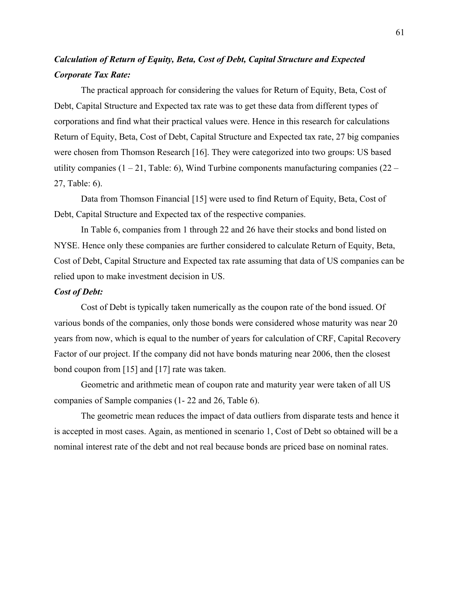### *Calculation of Return of Equity, Beta, Cost of Debt, Capital Structure and Expected Corporate Tax Rate:*

The practical approach for considering the values for Return of Equity, Beta, Cost of Debt, Capital Structure and Expected tax rate was to get these data from different types of corporations and find what their practical values were. Hence in this research for calculations Return of Equity, Beta, Cost of Debt, Capital Structure and Expected tax rate, 27 big companies were chosen from Thomson Research [16]. They were categorized into two groups: US based utility companies  $(1 - 21,$  Table: 6), Wind Turbine components manufacturing companies  $(22 -$ 27, Table: 6).

Data from Thomson Financial [15] were used to find Return of Equity, Beta, Cost of Debt, Capital Structure and Expected tax of the respective companies.

In Table 6, companies from 1 through 22 and 26 have their stocks and bond listed on NYSE. Hence only these companies are further considered to calculate Return of Equity, Beta, Cost of Debt, Capital Structure and Expected tax rate assuming that data of US companies can be relied upon to make investment decision in US.

#### *Cost of Debt:*

Cost of Debt is typically taken numerically as the coupon rate of the bond issued. Of various bonds of the companies, only those bonds were considered whose maturity was near 20 years from now, which is equal to the number of years for calculation of CRF, Capital Recovery Factor of our project. If the company did not have bonds maturing near 2006, then the closest bond coupon from [15] and [17] rate was taken.

Geometric and arithmetic mean of coupon rate and maturity year were taken of all US companies of Sample companies (1- 22 and 26, Table 6).

The geometric mean reduces the impact of data outliers from disparate tests and hence it is accepted in most cases. Again, as mentioned in scenario 1, Cost of Debt so obtained will be a nominal interest rate of the debt and not real because bonds are priced base on nominal rates.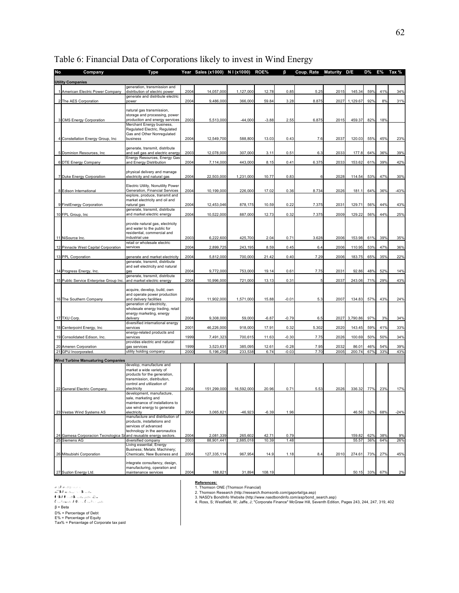| No. | <b>Company</b>                                                                 | Type                                                                 |              | Year Sales (x1000) N I (x1000) |                      | ROE%           | ß            | Coup. Rate | <b>Maturity</b> | D/E             | D%         | E%         | Tax %     |
|-----|--------------------------------------------------------------------------------|----------------------------------------------------------------------|--------------|--------------------------------|----------------------|----------------|--------------|------------|-----------------|-----------------|------------|------------|-----------|
|     |                                                                                |                                                                      |              |                                |                      |                |              |            |                 |                 |            |            |           |
|     | <b>Utility Companies</b>                                                       | generation, transmission and                                         |              |                                |                      |                |              |            |                 |                 |            |            |           |
|     | 1 American Electric Power Company                                              | distribution of electric power                                       | 2004         | 14,057,000                     | 1,127,000            | 12.78          | 0.85         | 5.25       | 2015            | 145.34          | 59%        | 41%        | 34%       |
|     | 2 The AES Corporation                                                          | generate and distribute electric<br>power                            | 2004         | 9,486,000                      | 366,000              | 59.84          | 3.28         | 8.875      | 2027            | 1,129.67        | 92%        | 8%         | 31%       |
|     |                                                                                | natural gas transmission,                                            |              |                                |                      |                |              |            |                 |                 |            |            |           |
|     |                                                                                | storage and processing, power                                        |              |                                |                      |                |              |            |                 |                 |            |            |           |
|     | 3 CMS Energy Corporation                                                       | production and energy services<br>Merchant Energy business,          | 2003         | 5,513,000                      | $-44,000$            | $-3.88$        | 2.55         | 6.875      | 2015            | 459.37          | 82%        | 18%        |           |
|     |                                                                                | Regulated Electric, Regulated                                        |              |                                |                      |                |              |            |                 |                 |            |            |           |
|     | 4 Constellation Energy Group, Inc.                                             | Gas and Other Nonregulated<br>business                               | 2004         | 12,549,700                     | 588,800              | 13.03          | 0.43         | 7.6        | 2037            | 120.03          | 55%        | 45%        | 23%       |
|     |                                                                                |                                                                      |              |                                |                      |                |              |            |                 |                 |            |            |           |
|     | 5 Dominion Resources, Inc.                                                     | generate, transmit, distribute<br>and sell gas and electric energy   | 2003         | 12,078,000                     | 307,000              | 3.11           | 0.51         | 6.3        | 2033            | 177.8           | 64%        | 36%        | 39%       |
|     |                                                                                | Energy Resources, Energy Gas                                         |              |                                |                      |                |              |            |                 |                 |            |            |           |
|     | 6 DTE Energy Company                                                           | and Energy Distribution                                              | 2004         | 7,114,000                      | 443,000              | 8.15           | 0.41         | 6.375      | 2033            | 153.62          | 61%        | 39%        | 42%       |
|     |                                                                                | physical delivery and manage                                         |              |                                |                      |                |              |            |                 |                 |            |            |           |
|     | 7 Duke Energy Corporation                                                      | electricity and natural gas                                          | 2004         | 22,503,000                     | 1,231,000            | 10.77          | 0.83         | 6          | 2028            | 114.54          | 53%        | 47%        | 30%       |
|     |                                                                                | Electric Utility, Nonutility Power<br>Generation, Financial Services | 2004         |                                |                      | 17.02          |              |            |                 |                 |            | 36%        |           |
|     | 8 Edison International                                                         | explore, produce, transmit and                                       |              | 10,199,000                     | 226,000              |                | 0.36         | 8.734      | 2026            | 181.1           | 64%        |            | $-43%$    |
|     | 9 FirstEnergy Corporation                                                      | market electricity and oil and<br>natural gas                        | 2004         | 12,453,046                     | 878,175              | 10.59          | 0.22         | 7.375      | 2031            | 129.71          | 56%        | 44%        | 43%       |
|     |                                                                                | generate, transmit, distribute                                       |              |                                |                      |                |              |            |                 |                 |            |            |           |
|     | 10 FPL Group, Inc.                                                             | and market electric energy                                           | 2004         | 10,522,000                     | 887,000              | 12.73          | 0.32         | 7.375      | 2009            | 129.22          | 56%        | 44%        | 25%       |
|     |                                                                                | provide natural gas, electricity                                     |              |                                |                      |                |              |            |                 |                 |            |            |           |
|     |                                                                                | and water to the public for<br>residential, commercial and           |              |                                |                      |                |              |            |                 |                 |            |            |           |
|     | 11 NiSource Inc.                                                               | industrial use                                                       | 2003         | 6,222,600                      | 425,700              | 2.04           | 0.71         | 3.628      | 2006            | 153.98          | 61%        | 39%        | 35%       |
|     | 12 Pinnacle West Capital Corporation                                           | retail or wholesale electric<br>services                             | 2004         | 2,899,725                      | 243,195              | 8.59           | 0.45         | 6.4        | 2006            | 110.95          | 53%        | 47%        | 36%       |
|     |                                                                                |                                                                      |              |                                |                      |                |              |            |                 |                 |            |            |           |
|     | 13 PPL Corporation                                                             | generate and market electricity<br>generate, transmit, distribute    | 2004         | 5,812,000                      | 700,000              | 21.42          | 0.40         | 7.29       | 2006            | 183.75          | 65%        | 35%        | 22%       |
|     |                                                                                | and sell electricity and natural                                     |              |                                |                      |                |              |            |                 |                 |            |            |           |
|     | 14 Progress Energy, Inc.                                                       | qas<br>generate, transmit, distribute                                | 2004         | 9,772,000                      | 753,000              | 19.14          | 0.61         | 7.75       | 2031            | 92.86           | 48%        | 52%        | 14%       |
|     | 15 Public Service Enterprise Group Inc.                                        | and market electric energy                                           | 2004         | 10,996,000                     | 721,000              | 13.13          | 0.31         | 5          | 2037            | 243.06          | 71%        | 29%        | 43%       |
|     |                                                                                | acquire, develop, build, own                                         |              |                                |                      |                |              |            |                 |                 |            |            |           |
|     |                                                                                | and operate power production                                         | 2004         |                                |                      | 15.88          | $-0.01$      | 5.3        | 2007            |                 |            | 43%        |           |
|     | 16 The Southern Company                                                        | and delivery facilities<br>generation of electricity,                |              | 11,902,000                     | 1,571,000            |                |              |            |                 | 134.83          | 57%        |            | 24%       |
|     |                                                                                | wholesale energy trading, retail<br>energy marketing, energy         |              |                                |                      |                |              |            |                 |                 |            |            |           |
|     | 17 TXU Corp                                                                    | delivery                                                             | 2004         | 9,308,000                      | 59,000               | $-6.87$        | $-0.79$      | 6.5        | 2027            | 3,790.86        | 97%        | 3%         | 34%       |
|     | 18 Centerpoint Energy, Inc.                                                    | diversified international energy<br>services                         | 2001         | 46,226,000                     | 918,000              | 17.91          | 0.32         | 5.302      | 2020            | 143.45          | 59%        | 41%        | 33%       |
|     |                                                                                | energy-related products and                                          |              |                                |                      |                |              |            |                 |                 |            |            |           |
|     | 19 Consolidated Edison, Inc.                                                   | services<br>provides electric and natural                            | 1999         | 7,491,323                      | 700,615              | 11.63          | $-0.30$      | 7.75       | 2026            | 100.69          | 50%        | 50%        | 34%       |
|     | 20 Ameren Corporation                                                          | gas services                                                         | 1999         | 3,523,631                      | 385,095              | 12.61          | $-0.28$      | 7.95       | 2032            | 86.01           | 46%        | 54%        | 39%       |
|     | 21 GPU Incorporated                                                            | utility holding company                                              | 2000         | 5,196,256                      | 233,538              | 6.74           | $-0.03$      | 7.70       | 2005            | 200.74          | 67%        | 33%        | 43%       |
|     | <b>Wind Turbine Manuaturing Companies</b>                                      |                                                                      |              |                                |                      |                |              |            |                 |                 |            |            |           |
|     |                                                                                | develop, manufacture and<br>market a wide variety of                 |              |                                |                      |                |              |            |                 |                 |            |            |           |
|     |                                                                                | products for the generation,                                         |              |                                |                      |                |              |            |                 |                 |            |            |           |
|     |                                                                                | transmission, distribution,<br>control and utilization of            |              |                                |                      |                |              |            |                 |                 |            |            |           |
|     | 22 General Electric Company.                                                   | electricity                                                          | 2004         | 151,299,000                    | 16,592,000           | 20.96          | 0.71         | 5.53       | 2026            | 336.32          | 77%        | 23%        | 17%       |
|     |                                                                                | development, manufacture,<br>sale, marketing and                     |              |                                |                      |                |              |            |                 |                 |            |            |           |
|     |                                                                                | maintenance of installations to                                      |              |                                |                      |                |              |            |                 |                 |            |            |           |
|     | 23 Vestas Wind Systems AS                                                      | use wind energy to generate<br>electricity                           | 2004         | 3,065,821                      | $-46,923$            | $-6.39$        | 1.96         |            |                 | 46.56           | 32%        | 68%        | $-24%$    |
|     |                                                                                | manufacture and distribution of<br>products, installations and       |              |                                |                      |                |              |            |                 |                 |            |            |           |
|     |                                                                                | services of advanced                                                 |              |                                |                      |                |              |            |                 |                 |            |            |           |
|     |                                                                                | technology in the aeronautics                                        |              |                                |                      |                |              |            |                 |                 |            |            |           |
| 24  | Gamesa Corporacion Tecnologica S/and reusable energy sectors.<br>25 Siemens AG | diversified company                                                  | 2004<br>2003 | 2,081,339<br>88.901.441        | 265,602<br>2,885,018 | 42.71<br>10.39 | 0.79<br>1.48 |            |                 | 159.82<br>55.57 | 62%<br>36% | 38%<br>64% | 9%<br>26% |
|     |                                                                                | Living essential; Energy<br>Business; Metals; Machinery;             |              |                                |                      |                |              |            |                 |                 |            |            |           |
|     | 26 Mitsubishi Corporation                                                      | Chemicals; New Business and                                          | 2004         | 127,335,114                    | 967,954              | 14.9           | 1.18         | 8.4        | 2010            | 274.61          | 73%        | 27%        | 45%       |
|     |                                                                                | integrate consultancy, design,                                       |              |                                |                      |                |              |            |                 |                 |            |            |           |
|     |                                                                                | manufacturing, operation and                                         |              |                                |                      |                |              |            |                 |                 |            |            |           |
|     | 27 Suzion Energy Ltd.                                                          | maintenance services                                                 | 2004         | 188,821                        | 31,894               | 108.19         |              |            |                 | 50.15           | 33%        | 67%        | 2%        |

### Table 6: Financial Data of Corporations likely to invest in Wind Energy

® <del>20</del> @sh@2 =\x<br>**a'' %** *b* ashboot \\* % = @v<br>(\&*b* (x =@%) ==@v==@v==@v<br>(\\_+xae@k *b* (x - x (\\_+x = \_=@k<br>β = Beta<br>}

D% = Percentage of Debt E% = Percentage of Equity Tax% = Percentage of Corporate tax paid

aಾರೋನಾ ಮಾಡಿದ್ದ ಸಂಪರ್ಕಾರ ಸಾಧಿಕಾರ್ಯ <mark>References:</mark><br>- "ಎಕ್ಸೋಮ್ ಸಂಪರ್ಕಾರ್ಯ ಸಂಪರ್ಕಾರ ಸಂಪರ್ಕಾರ (http://research.thomsonib.com/gaportal/ga.asp)<br>- "ಎಕ್ಸೋಮ್ ಸಂಪರ್ಕಾರ್ಯ ಸಂಪರ್ಕಾರ ಸಂಪರ್ಕಾರ ಸಂಪರ್ಕಾರ ಸಂಪರ್ಕಾರ (http://research.thomsoni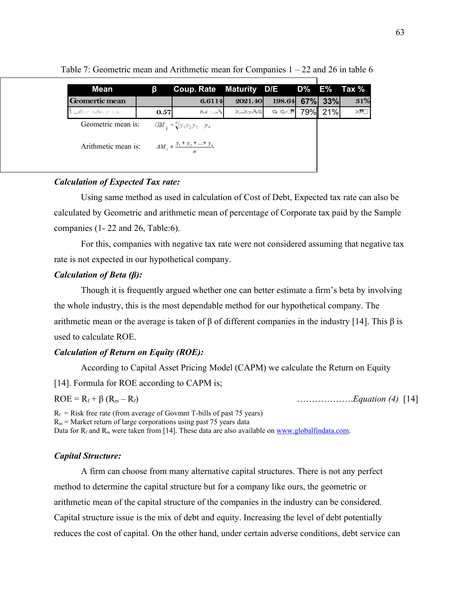| <b>Mean</b>         | ß    | Coup. Rate Maturity D/E D% E% Tax %     |               |         |         |                   |
|---------------------|------|-----------------------------------------|---------------|---------|---------|-------------------|
| Geomertic mean      |      | 6.6114                                  | 2021.40       | 198.64  | 67% 33% | 31%               |
| WATCH BEARD A ROBOT | 0.57 | $R_{0}$                                 | $X = X - X Q$ | ় ঞ্∕া™ | 79% 21% | $\times$ m $\Box$ |
| Geometric mean is:  |      | $GM_{\pi} = \sqrt[n]{y_1 y_2 y_3  y_n}$ |               |         |         |                   |
| Arithmetic mean is: |      | $AM_v = \frac{y_1 + y_2 +  + y_n}{ }$   |               |         |         |                   |
|                     |      |                                         |               |         |         |                   |

Table 7: Geometric mean and Arithmetic mean for Companies 1 – 22 and 26 in table 6

#### *Calculation of Expected Tax rate:*

Using same method as used in calculation of Cost of Debt, Expected tax rate can also be calculated by Geometric and arithmetic mean of percentage of Corporate tax paid by the Sample companies (1- 22 and 26, Table:6).

For this, companies with negative tax rate were not considered assuming that negative tax rate is not expected in our hypothetical company.

#### *Calculation of Beta (β):*

Though it is frequently argued whether one can better estimate a firm's beta by involving the whole industry, this is the most dependable method for our hypothetical company. The arithmetic mean or the average is taken of β of different companies in the industry [14]. This β is used to calculate ROE.

#### *Calculation of Return on Equity (ROE):*

According to Capital Asset Pricing Model (CAPM) we calculate the Return on Equity

[14]. Formula for ROE according to CAPM is;

 $ROE = R_f + \beta (R_m - R_f)$  [14]

 $R_f$  = Risk free rate (from average of Govmnt T-bills of past 75 years)  $R_m$  = Market return of large corporations using past 75 years data

Data for  $R_f$  and  $R_m$  were taken from [14]. These data are also available on [www.globalfindata.com.](http://www.globalfindata.com/)

#### *Capital Structure:*

A firm can choose from many alternative capital structures. There is not any perfect method to determine the capital structure but for a company like ours, the geometric or arithmetic mean of the capital structure of the companies in the industry can be considered. Capital structure issue is the mix of debt and equity. Increasing the level of debt potentially reduces the cost of capital. On the other hand, under certain adverse conditions, debt service can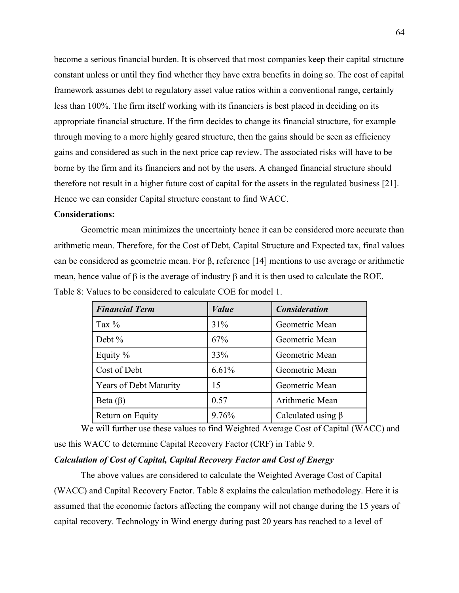become a serious financial burden. It is observed that most companies keep their capital structure constant unless or until they find whether they have extra benefits in doing so. The cost of capital framework assumes debt to regulatory asset value ratios within a conventional range, certainly less than 100%. The firm itself working with its financiers is best placed in deciding on its appropriate financial structure. If the firm decides to change its financial structure, for example through moving to a more highly geared structure, then the gains should be seen as efficiency gains and considered as such in the next price cap review. The associated risks will have to be borne by the firm and its financiers and not by the users. A changed financial structure should therefore not result in a higher future cost of capital for the assets in the regulated business [21]. Hence we can consider Capital structure constant to find WACC.

#### **Considerations:**

Geometric mean minimizes the uncertainty hence it can be considered more accurate than arithmetic mean. Therefore, for the Cost of Debt, Capital Structure and Expected tax, final values can be considered as geometric mean. For β, reference [14] mentions to use average or arithmetic mean, hence value of β is the average of industry β and it is then used to calculate the ROE. Table 8: Values to be considered to calculate COE for model 1.

| <b>Financial Term</b>         | <i>Value</i> | <b>Consideration</b>     |
|-------------------------------|--------------|--------------------------|
| Tax $\%$                      | 31%          | Geometric Mean           |
| Debt $%$                      | 67%          | Geometric Mean           |
| Equity $%$                    | 33%          | Geometric Mean           |
| Cost of Debt                  | 6.61%        | Geometric Mean           |
| <b>Years of Debt Maturity</b> | 15           | Geometric Mean           |
| Beta $(\beta)$                | 0.57         | Arithmetic Mean          |
| Return on Equity              | 9.76%        | Calculated using $\beta$ |

We will further use these values to find Weighted Average Cost of Capital (WACC) and use this WACC to determine Capital Recovery Factor (CRF) in Table 9.

#### *Calculation of Cost of Capital, Capital Recovery Factor and Cost of Energy*

The above values are considered to calculate the Weighted Average Cost of Capital (WACC) and Capital Recovery Factor. Table 8 explains the calculation methodology. Here it is assumed that the economic factors affecting the company will not change during the 15 years of capital recovery. Technology in Wind energy during past 20 years has reached to a level of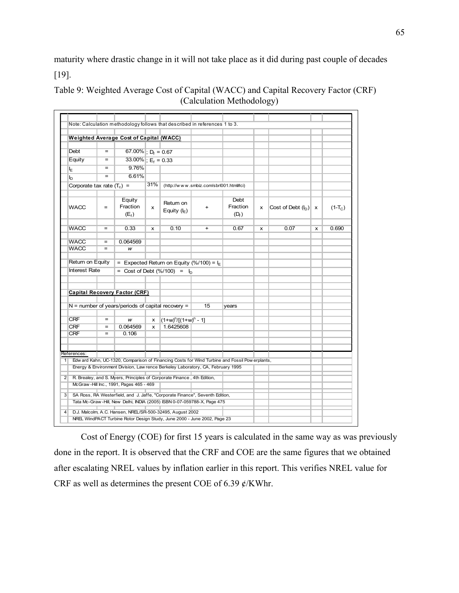maturity where drastic change in it will not take place as it did during past couple of decades [19].

|                              |                   | <b>Weighted Average Cost of Capital (WACC)</b>      |              |                                                                                                                                                         |           |                                                                                                |              |                        |                           |           |
|------------------------------|-------------------|-----------------------------------------------------|--------------|---------------------------------------------------------------------------------------------------------------------------------------------------------|-----------|------------------------------------------------------------------------------------------------|--------------|------------------------|---------------------------|-----------|
| Debt                         | $=$               | 67.00% $\overline{, D_f} = 0.67$                    |              |                                                                                                                                                         |           |                                                                                                |              |                        |                           |           |
| Equity                       | $=$               | 33.00% $E_f = 0.33$                                 |              |                                                                                                                                                         |           |                                                                                                |              |                        |                           |           |
| ١E                           | $=$               | 9.76%                                               |              |                                                                                                                                                         |           |                                                                                                |              |                        |                           |           |
| $\mathsf{I}_{\mathsf{D}}$    | $=$               | 6.61%                                               |              |                                                                                                                                                         |           |                                                                                                |              |                        |                           |           |
| Corporate tax rate $(T_c)$ = |                   |                                                     | 31%          | (http://www.smbiz.com/sbrl001.html#ci)                                                                                                                  |           |                                                                                                |              |                        |                           |           |
| <b>WACC</b>                  | $\qquad \qquad =$ | Equity<br>Fraction<br>(E <sub>f</sub> )             | x            | Retum on<br>Equity $(I_F)$                                                                                                                              | $+$       | Debt<br>Fraction<br>$(D_f)$                                                                    | $\mathsf{x}$ | Cost of Debt $(I_D)$ x |                           | $(1-T_C)$ |
| <b>WACC</b>                  | $\qquad \qquad =$ | 0.33                                                | x            | 0.10                                                                                                                                                    | $\ddot{}$ | 0.67                                                                                           | X            | 0.07                   | $\boldsymbol{\mathsf{x}}$ | 0.690     |
| WACC                         | $\equiv$          | 0.064569                                            |              |                                                                                                                                                         |           |                                                                                                |              |                        |                           |           |
| <b>WACC</b>                  | $=$               | w                                                   |              |                                                                                                                                                         |           |                                                                                                |              |                        |                           |           |
|                              |                   | Capital Recovery Factor (CRF)                       |              |                                                                                                                                                         |           |                                                                                                |              |                        |                           |           |
|                              |                   | $N =$ number of years/periods of capital recovery = |              |                                                                                                                                                         | 15        | years                                                                                          |              |                        |                           |           |
| <b>CRF</b>                   | $=$               |                                                     |              |                                                                                                                                                         |           |                                                                                                |              |                        |                           |           |
| <b>CRF</b>                   | $=$               | w<br>0.064569                                       | $\mathsf{x}$ | $x \left[ (1+w)^n / [(1+w)^n - 1] \right]$<br>1.6425608                                                                                                 |           |                                                                                                |              |                        |                           |           |
| <b>CRF</b>                   | $=$               | 0.106                                               |              |                                                                                                                                                         |           |                                                                                                |              |                        |                           |           |
| References:                  |                   |                                                     |              |                                                                                                                                                         |           |                                                                                                |              |                        |                           |           |
| 1 <sup>1</sup>               |                   |                                                     |              | Energy & Environment Division, Law rence Berkeley Laboratory, CA, February 1995                                                                         |           | Edw ard Kahn, UC-1320, Comparison of Financing Costs for Wind Turbine and Fossil Pow erplants, |              |                        |                           |           |
|                              |                   | McGraw-Hill Inc., 1991, Pages 465 - 469             |              | R. Brealey, and S. Myers, Principles of Corporate Finance, 4th Edition,<br>SA Ross, RA Westerfield, and J. Jaffe, "Corporate Finance", Seventh Edition, |           |                                                                                                |              |                        |                           |           |

Table 9: Weighted Average Cost of Capital (WACC) and Capital Recovery Factor (CRF) (Calculation Methodology)

Cost of Energy (COE) for first 15 years is calculated in the same way as was previously done in the report. It is observed that the CRF and COE are the same figures that we obtained after escalating NREL values by inflation earlier in this report. This verifies NREL value for CRF as well as determines the present COE of 6.39  $\ell$ /KWhr.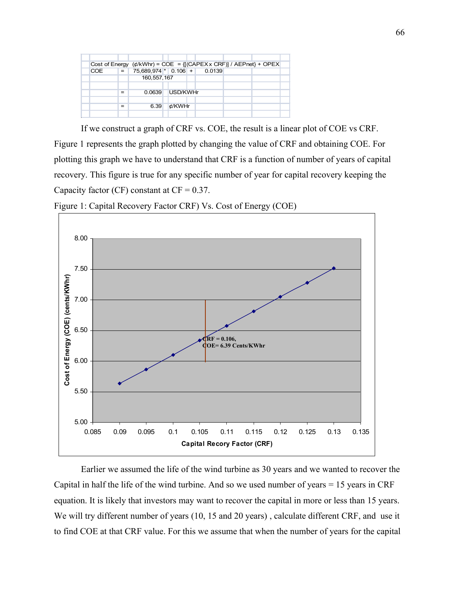|            |     | Cost of Energy $(\phi/kWhr) = COE = \{[(CAPEX \times CRF)] / AEPnet\} + OPEX$ |              |  |  |  |
|------------|-----|-------------------------------------------------------------------------------|--------------|--|--|--|
| <b>COE</b> | $=$ | 75,689,974 * 0.106 + 0.0139                                                   |              |  |  |  |
|            |     | 160, 557, 167                                                                 |              |  |  |  |
|            |     |                                                                               |              |  |  |  |
|            | $=$ | 0.0639                                                                        | USD/KWHr     |  |  |  |
|            |     |                                                                               |              |  |  |  |
|            | $=$ | 6.39                                                                          | $\n  d/KWHr$ |  |  |  |
|            |     |                                                                               |              |  |  |  |

If we construct a graph of CRF vs. COE, the result is a linear plot of COE vs CRF. Figure 1 represents the graph plotted by changing the value of CRF and obtaining COE. For plotting this graph we have to understand that CRF is a function of number of years of capital recovery. This figure is true for any specific number of year for capital recovery keeping the Capacity factor (CF) constant at  $CF = 0.37$ .



Figure 1: Capital Recovery Factor CRF) Vs. Cost of Energy (COE)

Earlier we assumed the life of the wind turbine as 30 years and we wanted to recover the Capital in half the life of the wind turbine. And so we used number of years  $= 15$  years in CRF equation. It is likely that investors may want to recover the capital in more or less than 15 years. We will try different number of years (10, 15 and 20 years) , calculate different CRF, and use it to find COE at that CRF value. For this we assume that when the number of years for the capital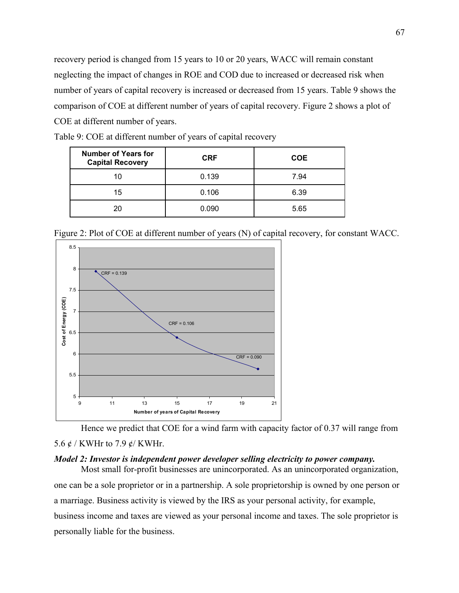recovery period is changed from 15 years to 10 or 20 years, WACC will remain constant neglecting the impact of changes in ROE and COD due to increased or decreased risk when number of years of capital recovery is increased or decreased from 15 years. Table 9 shows the comparison of COE at different number of years of capital recovery. Figure 2 shows a plot of COE at different number of years.

| <b>Number of Years for</b><br><b>Capital Recovery</b> | <b>CRF</b> | <b>COE</b> |  |
|-------------------------------------------------------|------------|------------|--|
| 10                                                    | 0.139      | 7.94       |  |
| 15                                                    | 0.106      | 6.39       |  |
|                                                       | 0.090      | 5.65       |  |

Table 9: COE at different number of years of capital recovery

Figure 2: Plot of COE at different number of years (N) of capital recovery, for constant WACC.



Hence we predict that COE for a wind farm with capacity factor of 0.37 will range from 5.6 ¢ / KWHr to 7.9 ¢/ KWHr.

#### *Model 2: Investor is independent power developer selling electricity to power company.*

Most small for-profit businesses are unincorporated. As an unincorporated organization, one can be a sole proprietor or in a partnership. A sole proprietorship is owned by one person or a marriage. Business activity is viewed by the IRS as your personal activity, for example, business income and taxes are viewed as your personal income and taxes. The sole proprietor is personally liable for the business.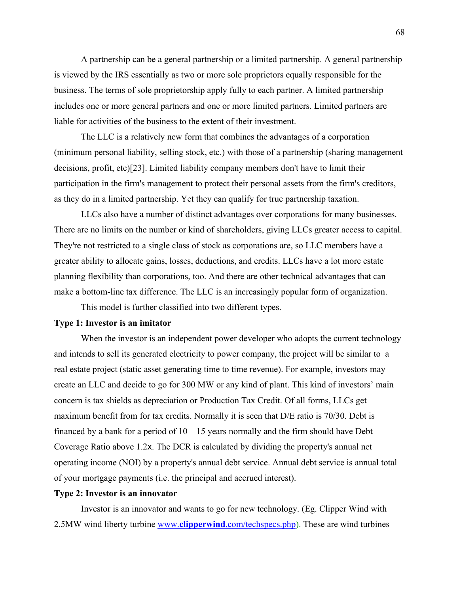A partnership can be a general partnership or a limited partnership. A general partnership is viewed by the IRS essentially as two or more sole proprietors equally responsible for the business. The terms of sole proprietorship apply fully to each partner. A limited partnership includes one or more general partners and one or more limited partners. Limited partners are liable for activities of the business to the extent of their investment.

The LLC is a relatively new form that combines the advantages of a corporation (minimum personal liability, selling stock, etc.) with those of a partnership (sharing management decisions, profit, etc)[23]. Limited liability company members don't have to limit their participation in the firm's management to protect their personal assets from the firm's creditors, as they do in a limited partnership. Yet they can qualify for true partnership taxation.

LLCs also have a number of distinct advantages over corporations for many businesses. There are no limits on the number or kind of shareholders, giving LLCs greater access to capital. They're not restricted to a single class of stock as corporations are, so LLC members have a greater ability to allocate gains, losses, deductions, and credits. LLCs have a lot more estate planning flexibility than corporations, too. And there are other technical advantages that can make a bottom-line tax difference. The LLC is an increasingly popular form of organization.

This model is further classified into two different types.

#### **Type 1: Investor is an imitator**

When the investor is an independent power developer who adopts the current technology and intends to sell its generated electricity to power company, the project will be similar to a real estate project (static asset generating time to time revenue). For example, investors may create an LLC and decide to go for 300 MW or any kind of plant. This kind of investors' main concern is tax shields as depreciation or Production Tax Credit. Of all forms, LLCs get maximum benefit from for tax credits. Normally it is seen that D/E ratio is 70/30. Debt is financed by a bank for a period of  $10 - 15$  years normally and the firm should have Debt Coverage Ratio above 1.2x. The DCR is calculated by dividing the property's annual net operating income (NOI) by a property's annual debt service. Annual debt service is annual total of your mortgage payments (i.e. the principal and accrued interest).

#### **Type 2: Investor is an innovator**

Investor is an innovator and wants to go for new technology. (Eg. Clipper Wind with 2.5MW wind liberty turbine www. **clipperwind** [.com/techspecs.php\)](http://www.clipperwind.com/techspecs.php). These are wind turbines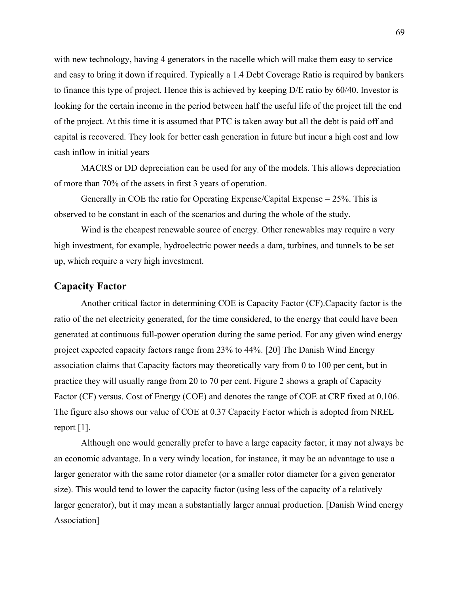with new technology, having 4 generators in the nacelle which will make them easy to service and easy to bring it down if required. Typically a 1.4 Debt Coverage Ratio is required by bankers to finance this type of project. Hence this is achieved by keeping D/E ratio by 60/40. Investor is looking for the certain income in the period between half the useful life of the project till the end of the project. At this time it is assumed that PTC is taken away but all the debt is paid off and capital is recovered. They look for better cash generation in future but incur a high cost and low cash inflow in initial years

MACRS or DD depreciation can be used for any of the models. This allows depreciation of more than 70% of the assets in first 3 years of operation.

Generally in COE the ratio for Operating Expense/Capital Expense = 25%. This is observed to be constant in each of the scenarios and during the whole of the study.

Wind is the cheapest renewable source of energy. Other renewables may require a very high investment, for example, hydroelectric power needs a dam, turbines, and tunnels to be set up, which require a very high investment.

#### **Capacity Factor**

Another critical factor in determining COE is Capacity Factor (CF).Capacity factor is the ratio of the net electricity generated, for the time considered, to the energy that could have been generated at continuous full-power operation during the same period. For any given wind energy project expected capacity factors range from 23% to 44%. [20] The Danish Wind Energy association claims that Capacity factors may theoretically vary from 0 to 100 per cent, but in practice they will usually range from 20 to 70 per cent. Figure 2 shows a graph of Capacity Factor (CF) versus. Cost of Energy (COE) and denotes the range of COE at CRF fixed at 0.106. The figure also shows our value of COE at 0.37 Capacity Factor which is adopted from NREL report [1].

Although one would generally prefer to have a large capacity factor, it may not always be an economic advantage. In a very windy location, for instance, it may be an advantage to use a larger generator with the same rotor diameter (or a smaller rotor diameter for a given generator size). This would tend to lower the capacity factor (using less of the capacity of a relatively larger generator), but it may mean a substantially larger annual production. [Danish Wind energy Association]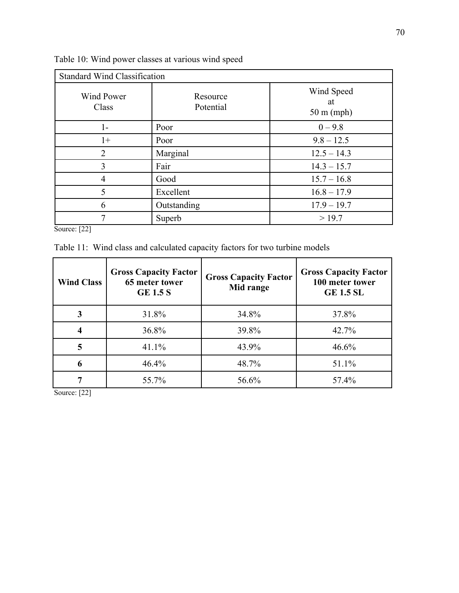| <b>Standard Wind Classification</b> |                       |                                          |  |  |  |
|-------------------------------------|-----------------------|------------------------------------------|--|--|--|
| <b>Wind Power</b><br>Class          | Resource<br>Potential | Wind Speed<br>at<br>$50 \text{ m}$ (mph) |  |  |  |
| $1-$                                | Poor                  | $0 - 9.8$                                |  |  |  |
| $1+$                                | Poor                  | $9.8 - 12.5$                             |  |  |  |
| $\overline{2}$                      | Marginal              | $12.5 - 14.3$                            |  |  |  |
| 3                                   | Fair                  | $14.3 - 15.7$                            |  |  |  |
| $\overline{4}$                      | Good                  | $15.7 - 16.8$                            |  |  |  |
| 5                                   | Excellent             | $16.8 - 17.9$                            |  |  |  |
| 6                                   | Outstanding           | $17.9 - 19.7$                            |  |  |  |
| 7                                   | Superb                | >19.7                                    |  |  |  |

Table 10: Wind power classes at various wind speed

Source: [22]

Table 11: Wind class and calculated capacity factors for two turbine models

| <b>Wind Class</b> | <b>Gross Capacity Factor</b><br>65 meter tower<br><b>GE 1.5 S</b> | <b>Gross Capacity Factor</b><br>Mid range | <b>Gross Capacity Factor</b><br>100 meter tower<br><b>GE 1.5 SL</b> |
|-------------------|-------------------------------------------------------------------|-------------------------------------------|---------------------------------------------------------------------|
|                   | 31.8%                                                             | 34.8%                                     | 37.8%                                                               |
|                   | 36.8%                                                             | 39.8%                                     | 42.7%                                                               |
| 5                 | 41.1%                                                             | 43.9%                                     | 46.6%                                                               |
| 6                 | 46.4%                                                             | 48.7%                                     | 51.1%                                                               |
|                   | 55.7%                                                             | 56.6%                                     | 57.4%                                                               |

Source: [22]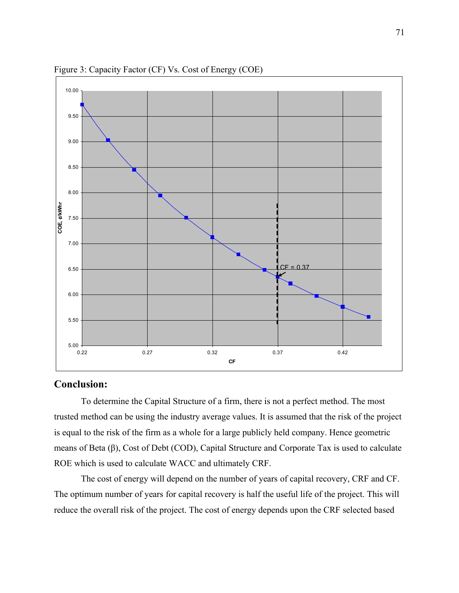

Figure 3: Capacity Factor (CF) Vs. Cost of Energy (COE)

#### **Conclusion:**

To determine the Capital Structure of a firm, there is not a perfect method. The most trusted method can be using the industry average values. It is assumed that the risk of the project is equal to the risk of the firm as a whole for a large publicly held company. Hence geometric means of Beta (β), Cost of Debt (COD), Capital Structure and Corporate Tax is used to calculate ROE which is used to calculate WACC and ultimately CRF.

The cost of energy will depend on the number of years of capital recovery, CRF and CF. The optimum number of years for capital recovery is half the useful life of the project. This will reduce the overall risk of the project. The cost of energy depends upon the CRF selected based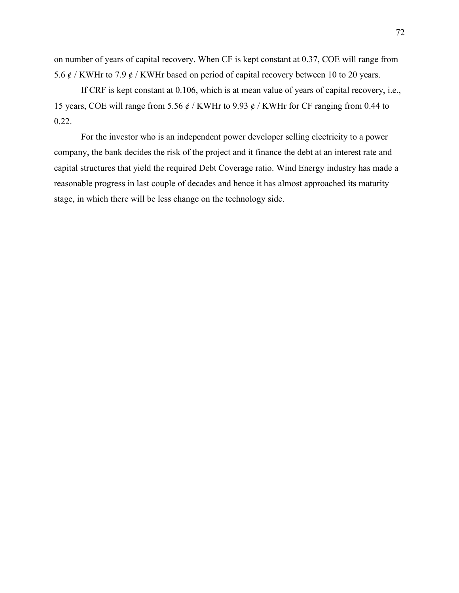on number of years of capital recovery. When CF is kept constant at 0.37, COE will range from 5.6  $\phi$  / KWHr to 7.9  $\phi$  / KWHr based on period of capital recovery between 10 to 20 years.

If CRF is kept constant at 0.106, which is at mean value of years of capital recovery, i.e., 15 years, COE will range from 5.56  $\phi$  / KWHr to 9.93  $\phi$  / KWHr for CF ranging from 0.44 to 0.22.

For the investor who is an independent power developer selling electricity to a power company, the bank decides the risk of the project and it finance the debt at an interest rate and capital structures that yield the required Debt Coverage ratio. Wind Energy industry has made a reasonable progress in last couple of decades and hence it has almost approached its maturity stage, in which there will be less change on the technology side.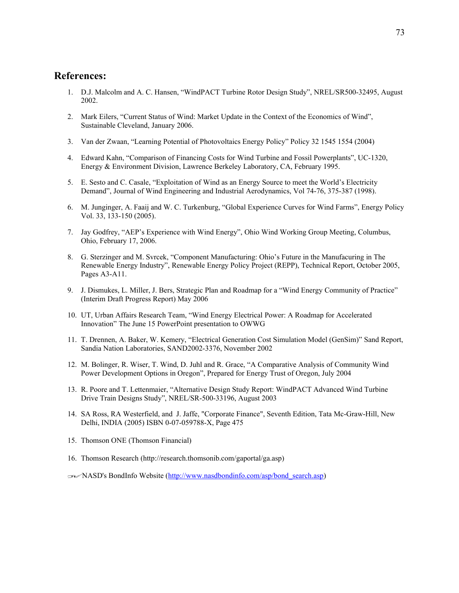## **References:**

- 1. D.J. Malcolm and A. C. Hansen, "WindPACT Turbine Rotor Design Study", NREL/SR500-32495, August 2002.
- 2. Mark Eilers, "Current Status of Wind: Market Update in the Context of the Economics of Wind", Sustainable Cleveland, January 2006.
- 3. Van der Zwaan, "Learning Potential of Photovoltaics Energy Policy" Policy 32 1545 1554 (2004)
- 4. Edward Kahn, "Comparison of Financing Costs for Wind Turbine and Fossil Powerplants", UC-1320, Energy & Environment Division, Lawrence Berkeley Laboratory, CA, February 1995.
- 5. E. Sesto and C. Casale, "Exploitation of Wind as an Energy Source to meet the World's Electricity Demand", Journal of Wind Engineering and Industrial Aerodynamics, Vol 74-76, 375-387 (1998).
- 6. M. Junginger, A. Faaij and W. C. Turkenburg, "Global Experience Curves for Wind Farms", Energy Policy Vol. 33, 133-150 (2005).
- 7. Jay Godfrey, "AEP's Experience with Wind Energy", Ohio Wind Working Group Meeting, Columbus, Ohio, February 17, 2006.
- 8. G. Sterzinger and M. Svrcek, "Component Manufacturing: Ohio's Future in the Manufacuring in The Renewable Energy Industry", Renewable Energy Policy Project (REPP), Technical Report, October 2005, Pages A3-A11.
- 9. J. Dismukes, L. Miller, J. Bers, Strategic Plan and Roadmap for a "Wind Energy Community of Practice" (Interim Draft Progress Report) May 2006
- 10. UT, Urban Affairs Research Team, "Wind Energy Electrical Power: A Roadmap for Accelerated Innovation" The June 15 PowerPoint presentation to OWWG
- 11. T. Drennen, A. Baker, W. Kemery, "Electrical Generation Cost Simulation Model (GenSim)" Sand Report, Sandia Nation Laboratories, SAND2002-3376, November 2002
- 12. M. Bolinger, R. Wiser, T. Wind, D. Juhl and R. Grace, "A Comparative Analysis of Community Wind Power Development Options in Oregon", Prepared for Energy Trust of Oregon, July 2004
- 13. R. Poore and T. Lettenmaier, "Alternative Design Study Report: WindPACT Advanced Wind Turbine Drive Train Designs Study", NREL/SR-500-33196, August 2003
- 14. SA Ross, RA Westerfield, and J. Jaffe, "Corporate Finance", Seventh Edition, Tata Mc-Graw-Hill, New Delhi, INDIA (2005) ISBN 0-07-059788-X, Page 475
- 15. Thomson ONE (Thomson Financial)
- 16. Thomson Research (http://research.thomsonib.com/gaportal/ga.asp)
- 17.NASD's BondInfo Website [\(http://www.nasdbondinfo.com/asp/bond\\_search.asp\)](http://www.nasdbondinfo.com/asp/bond_search.asp)